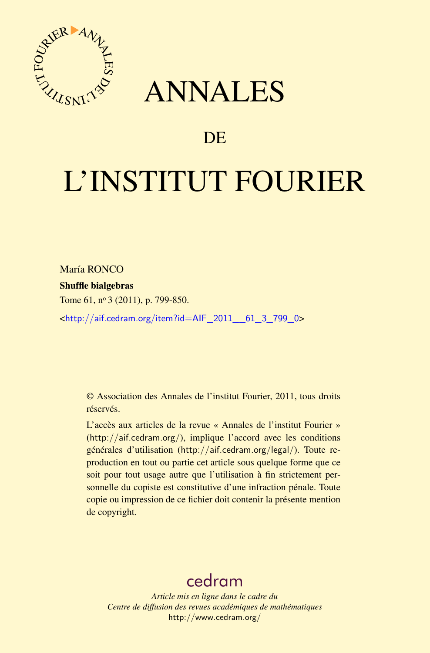<span id="page-0-0"></span>

## ANNALES

### **DE**

# L'INSTITUT FOURIER

María RONCO

Shuffle bialgebras

Tome 61, nº 3 (2011), p. 799-850.

<[http://aif.cedram.org/item?id=AIF\\_2011\\_\\_61\\_3\\_799\\_0](http://aif.cedram.org/item?id=AIF_2011__61_3_799_0)>

© Association des Annales de l'institut Fourier, 2011, tous droits réservés.

L'accès aux articles de la revue « Annales de l'institut Fourier » (<http://aif.cedram.org/>), implique l'accord avec les conditions générales d'utilisation (<http://aif.cedram.org/legal/>). Toute reproduction en tout ou partie cet article sous quelque forme que ce soit pour tout usage autre que l'utilisation à fin strictement personnelle du copiste est constitutive d'une infraction pénale. Toute copie ou impression de ce fichier doit contenir la présente mention de copyright.

## [cedram](http://www.cedram.org/)

*Article mis en ligne dans le cadre du Centre de diffusion des revues académiques de mathématiques* <http://www.cedram.org/>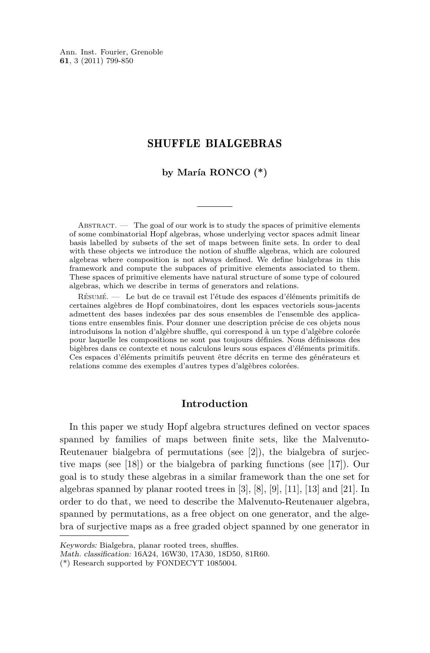Ann. Inst. Fourier, Grenoble **61**, 3 (2011) 799-850

#### SHUFFLE BIALGEBRAS

#### **by María RONCO (\*)**

ABSTRACT.  $\overline{\phantom{a}}$  The goal of our work is to study the spaces of primitive elements of some combinatorial Hopf algebras, whose underlying vector spaces admit linear basis labelled by subsets of the set of maps between finite sets. In order to deal with these objects we introduce the notion of shuffle algebras, which are coloured algebras where composition is not always defined. We define bialgebras in this framework and compute the subpaces of primitive elements associated to them. These spaces of primitive elements have natural structure of some type of coloured algebras, which we describe in terms of generators and relations.

Résumé. — Le but de ce travail est l'étude des espaces d'éléments primitifs de certaines algèbres de Hopf combinatoires, dont les espaces vectoriels sous-jacents admettent des bases indexées par des sous ensembles de l'ensemble des applications entre ensembles finis. Pour donner une description précise de ces objets nous introduisons la notion d'algèbre shuffle, qui correspond à un type d'algèbre colorée pour laquelle les compositions ne sont pas toujours définies. Nous définissons des bigèbres dans ce contexte et nous calculons leurs sous espaces d'éléments primitifs. Ces espaces d'éléments primitifs peuvent être décrits en terme des générateurs et relations comme des exemples d'autres types d'algèbres colorées.

#### **Introduction**

In this paper we study Hopf algebra structures defined on vector spaces spanned by families of maps between finite sets, like the Malvenuto-Reutenauer bialgebra of permutations (see [\[2\]](#page-51-0)), the bialgebra of surjective maps (see [\[18\]](#page-52-0)) or the bialgebra of parking functions (see [\[17\]](#page-52-0)). Our goal is to study these algebras in a similar framework than the one set for algebras spanned by planar rooted trees in [\[3\]](#page-51-0), [\[8\]](#page-52-0), [\[9\]](#page-52-0), [\[11\]](#page-52-0), [\[13\]](#page-52-0) and [\[21\]](#page-52-0). In order to do that, we need to describe the Malvenuto-Reutenauer algebra, spanned by permutations, as a free object on one generator, and the algebra of surjective maps as a free graded object spanned by one generator in

Keywords: Bialgebra, planar rooted trees, shuffles.

Math. classification: 16A24, 16W30, 17A30, 18D50, 81R60.

<sup>(\*)</sup> Research supported by FONDECYT 1085004.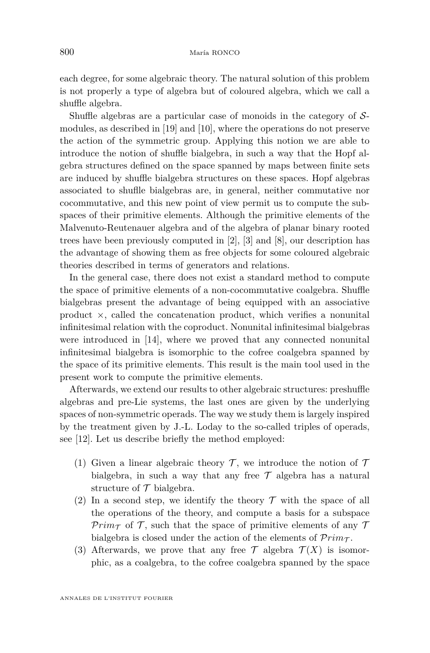each degree, for some algebraic theory. The natural solution of this problem is not properly a type of algebra but of coloured algebra, which we call a shuffle algebra.

Shuffle algebras are a particular case of monoids in the category of  $S$ modules, as described in [\[19\]](#page-52-0) and [\[10\]](#page-52-0), where the operations do not preserve the action of the symmetric group. Applying this notion we are able to introduce the notion of shuffle bialgebra, in such a way that the Hopf algebra structures defined on the space spanned by maps between finite sets are induced by shuffle bialgebra structures on these spaces. Hopf algebras associated to shuflle bialgebras are, in general, neither commutative nor cocommutative, and this new point of view permit us to compute the subspaces of their primitive elements. Although the primitive elements of the Malvenuto-Reutenauer algebra and of the algebra of planar binary rooted trees have been previously computed in [\[2\]](#page-51-0), [\[3\]](#page-51-0) and [\[8\]](#page-52-0), our description has the advantage of showing them as free objects for some coloured algebraic theories described in terms of generators and relations.

In the general case, there does not exist a standard method to compute the space of primitive elements of a non-cocommutative coalgebra. Shuffle bialgebras present the advantage of being equipped with an associative product ×, called the concatenation product, which verifies a nonunital infinitesimal relation with the coproduct. Nonunital infinitesimal bialgebras were introduced in [\[14\]](#page-52-0), where we proved that any connected nonunital infinitesimal bialgebra is isomorphic to the cofree coalgebra spanned by the space of its primitive elements. This result is the main tool used in the present work to compute the primitive elements.

Afterwards, we extend our results to other algebraic structures: preshuffle algebras and pre-Lie systems, the last ones are given by the underlying spaces of non-symmetric operads. The way we study them is largely inspired by the treatment given by J.-L. Loday to the so-called triples of operads, see [\[12\]](#page-52-0). Let us describe briefly the method employed:

- (1) Given a linear algebraic theory  $\mathcal T$ , we introduce the notion of  $\mathcal T$ bialgebra, in such a way that any free  $\mathcal T$  algebra has a natural structure of  $\mathcal T$  bialgebra.
- (2) In a second step, we identify the theory  $\mathcal T$  with the space of all the operations of the theory, and compute a basis for a subspace  $Prim_{\mathcal{T}}$  of  $\mathcal{T}$ , such that the space of primitive elements of any  $\mathcal{T}$ bialgebra is closed under the action of the elements of  $Prim_{\mathcal{T}}$ .
- (3) Afterwards, we prove that any free  $\mathcal{T}$  algebra  $\mathcal{T}(X)$  is isomorphic, as a coalgebra, to the cofree coalgebra spanned by the space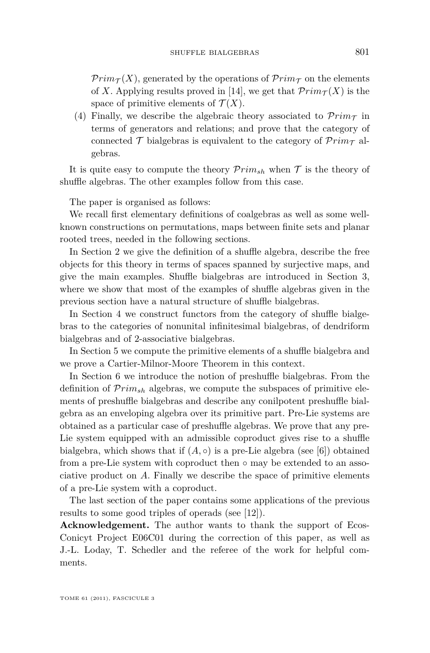$Prim_{\mathcal{T}}(X)$ , generated by the operations of  $Prim_{\mathcal{T}}$  on the elements of *X*. Applying results proved in [\[14\]](#page-52-0), we get that  $Prim_{\mathcal{T}}(X)$  is the space of primitive elements of  $\mathcal{T}(X)$ .

(4) Finally, we describe the algebraic theory associated to  $Prim_{\mathcal{T}}$  in terms of generators and relations; and prove that the category of connected  $\mathcal T$  bialgebras is equivalent to the category of  $\mathcal P\text{rim}_{\mathcal T}$  algebras.

It is quite easy to compute the theory  $Prim_{sh}$  when  $\mathcal T$  is the theory of shuffle algebras. The other examples follow from this case.

The paper is organised as follows:

We recall first elementary definitions of coalgebras as well as some wellknown constructions on permutations, maps between finite sets and planar rooted trees, needed in the following sections.

In Section 2 we give the definition of a shuffle algebra, describe the free objects for this theory in terms of spaces spanned by surjective maps, and give the main examples. Shuffle bialgebras are introduced in Section 3, where we show that most of the examples of shuffle algebras given in the previous section have a natural structure of shuffle bialgebras.

In Section 4 we construct functors from the category of shuffle bialgebras to the categories of nonunital infinitesimal bialgebras, of dendriform bialgebras and of 2-associative bialgebras.

In Section 5 we compute the primitive elements of a shuffle bialgebra and we prove a Cartier-Milnor-Moore Theorem in this context.

In Section 6 we introduce the notion of preshuffle bialgebras. From the definition of P*rimsh* algebras, we compute the subspaces of primitive elements of preshuffle bialgebras and describe any conilpotent preshuffle bialgebra as an enveloping algebra over its primitive part. Pre-Lie systems are obtained as a particular case of preshuffle algebras. We prove that any pre-Lie system equipped with an admissible coproduct gives rise to a shuffle bialgebra, which shows that if  $(A, \circ)$  is a pre-Lie algebra (see [\[6\]](#page-52-0)) obtained from a pre-Lie system with coproduct then ◦ may be extended to an associative product on *A*. Finally we describe the space of primitive elements of a pre-Lie system with a coproduct.

The last section of the paper contains some applications of the previous results to some good triples of operads (see [\[12\]](#page-52-0)).

**Acknowledgement.** The author wants to thank the support of Ecos-Conicyt Project E06C01 during the correction of this paper, as well as J.-L. Loday, T. Schedler and the referee of the work for helpful comments.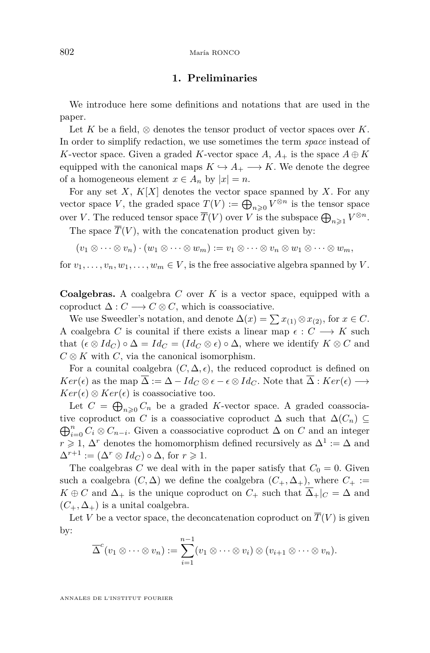#### 802 María RONCO

#### **1. Preliminaries**

We introduce here some definitions and notations that are used in the paper.

Let *K* be a field,  $\otimes$  denotes the tensor product of vector spaces over *K*. In order to simplify redaction, we use sometimes the term *space* instead of *K*-vector space. Given a graded *K*-vector space  $A, A_+$  is the space  $A \oplus K$ equipped with the canonical maps  $K \hookrightarrow A_+ \longrightarrow K$ . We denote the degree of a homogeneous element  $x \in A_n$  by  $|x| = n$ .

For any set  $X, K[X]$  denotes the vector space spanned by  $X$ . For any vector space *V*, the graded space  $T(V) := \bigoplus_{n \geq 0} V^{\otimes n}$  is the tensor space over *V*. The reduced tensor space  $\overline{T}(V)$  over *V* is the subspace  $\bigoplus_{n\geqslant 1} V^{\otimes n}$ .

The space  $\overline{T}(V)$ , with the concatenation product given by:

$$
(v_1\otimes\cdots\otimes v_n)\cdot (w_1\otimes\cdots\otimes w_m):=v_1\otimes\cdots\otimes v_n\otimes w_1\otimes\cdots\otimes w_m,
$$

for  $v_1, \ldots, v_n, w_1, \ldots, w_m \in V$ , is the free associative algebra spanned by *V*.

**Coalgebras.** A coalgebra *C* over *K* is a vector space, equipped with a coproduct  $\Delta: C \longrightarrow C \otimes C$ , which is coassociative.

We use Sweedler's notation, and denote  $\Delta(x) = \sum x_{(1)} \otimes x_{(2)}$ , for  $x \in C$ . A coalgebra *C* is counital if there exists a linear map  $\epsilon : C \longrightarrow K$  such that  $(\epsilon \otimes Id_C) \circ \Delta = Id_C = (Id_C \otimes \epsilon) \circ \Delta$ , where we identify  $K \otimes C$  and  $C \otimes K$  with *C*, via the canonical isomorphism.

For a counital coalgebra  $(C, \Delta, \epsilon)$ , the reduced coproduct is defined on  $Ker(\epsilon)$  as the map  $\overline{\Delta} := \Delta - Id_C \otimes \epsilon - \epsilon \otimes Id_C$ . Note that  $\overline{\Delta} : Ker(\epsilon) \longrightarrow$  $Ker(\epsilon) \otimes Ker(\epsilon)$  is coassociative too.

Let  $C = \bigoplus_{n \geq 0} C_n$  be a graded *K*-vector space. A graded coassociative coproduct on *C* is a coassociative coproduct  $\Delta$  such that  $\Delta(C_n) \subseteq$  $\bigoplus_{i=0}^{n} C_i \otimes C_{n-i}$ . Given a coassociative coproduct ∆ on *C* and an integer  $r \geqslant 1, \Delta^r$  denotes the homomorphism defined recursively as  $\Delta^1 := \Delta$  and  $\Delta^{r+1} := (\Delta^r \otimes Id_C) \circ \Delta$ , for  $r \geq 1$ .

The coalgebras *C* we deal with in the paper satisfy that  $C_0 = 0$ . Given such a coalgebra  $(C, \Delta)$  we define the coalgebra  $(C_+, \Delta_+)$ , where  $C_+ :=$  $K \oplus C$  and  $\Delta_+$  is the unique coproduct on  $C_+$  such that  $\Delta_+|_C = \Delta$  and  $(C_+,\Delta_+)$  is a unital coalgebra.

Let *V* be a vector space, the deconcatenation coproduct on  $\overline{T}(V)$  is given by:

$$
\overline{\Delta}^c(v_1\otimes\cdots\otimes v_n):=\sum_{i=1}^{n-1}(v_1\otimes\cdots\otimes v_i)\otimes (v_{i+1}\otimes\cdots\otimes v_n).
$$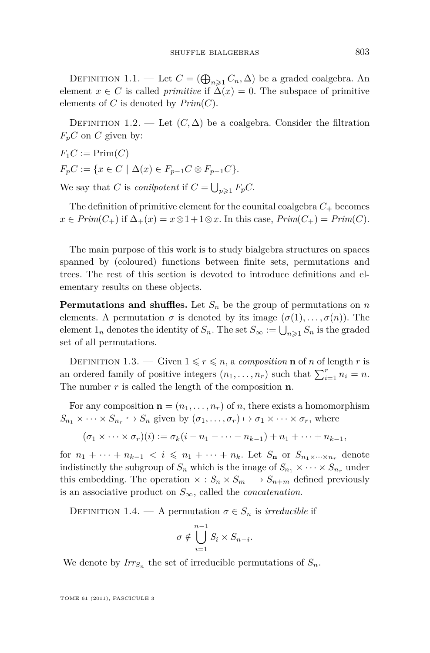DEFINITION 1.1. — Let  $C = (\bigoplus_{n \geq 1} C_n, \Delta)$  be a graded coalgebra. An element  $x \in C$  is called *primitive* if  $\Delta(x) = 0$ . The subspace of primitive elements of  $C$  is denoted by  $Prim(C)$ .

DEFINITION 1.2. — Let  $(C, \Delta)$  be a coalgebra. Consider the filtration  $F_pC$  on *C* given by:

 $F_1C := \text{Prim}(C)$  $F_pC := \{x \in C \mid \Delta(x) \in F_{p-1}C \otimes F_{p-1}C\}.$ 

We say that *C* is *conilpotent* if  $C = \bigcup_{p \geqslant 1} F_p C$ .

The definition of primitive element for the counital coalgebra  $C_+$  becomes  $x \in Prim(C_{+})$  if  $\Delta_{+}(x) = x \otimes 1 + 1 \otimes x$ . In this case,  $Prim(C_{+}) = Prim(C)$ .

The main purpose of this work is to study bialgebra structures on spaces spanned by (coloured) functions between finite sets, permutations and trees. The rest of this section is devoted to introduce definitions and elementary results on these objects.

**Permutations and shuffles.** Let  $S_n$  be the group of permutations on *n* elements. A permutation  $\sigma$  is denoted by its image  $(\sigma(1), \ldots, \sigma(n))$ . The element  $1_n$  denotes the identity of  $S_n$ . The set  $S_{\infty} := \bigcup_{n \geqslant 1} S_n$  is the graded set of all permutations.

DEFINITION 1.3. — Given  $1 \leq r \leq n$ , a *composition* **n** of *n* of length *r* is an ordered family of positive integers  $(n_1, \ldots, n_r)$  such that  $\sum_{i=1}^r n_i = n$ . The number *r* is called the length of the composition **n**.

For any composition  $\mathbf{n} = (n_1, \ldots, n_r)$  of *n*, there exists a homomorphism  $S_{n_1} \times \cdots \times S_{n_r} \hookrightarrow S_n$  given by  $(\sigma_1, \ldots, \sigma_r) \mapsto \sigma_1 \times \cdots \times \sigma_r$ , where

$$
(\sigma_1 \times \cdots \times \sigma_r)(i) := \sigma_k(i - n_1 - \cdots - n_{k-1}) + n_1 + \cdots + n_{k-1},
$$

for  $n_1 + \cdots + n_{k-1} < i \leq n_1 + \cdots + n_k$ . Let  $S_n$  or  $S_{n_1 \times \cdots \times n_r}$  denote indistinctly the subgroup of  $S_n$  which is the image of  $S_{n_1} \times \cdots \times S_{n_r}$  under this embedding. The operation  $\times$  :  $S_n \times S_m \longrightarrow S_{n+m}$  defined previously is an associative product on  $S_{\infty}$ , called the *concatenation*.

DEFINITION 1.4. — A permutation  $\sigma \in S_n$  is *irreducible* if

$$
\sigma \notin \bigcup_{i=1}^{n-1} S_i \times S_{n-i}.
$$

We denote by  $Irr_{S_n}$  the set of irreducible permutations of  $S_n$ .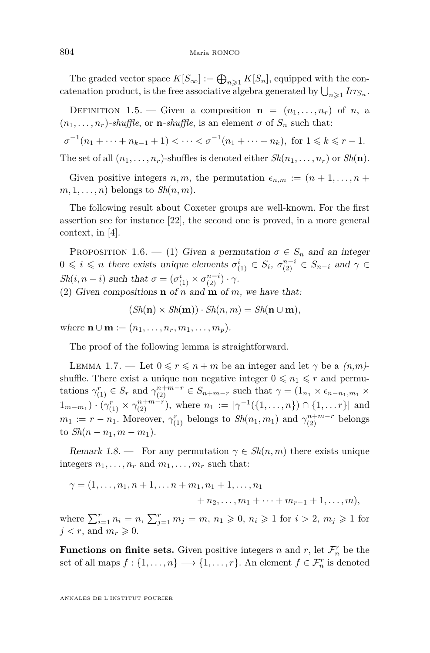<span id="page-6-0"></span>The graded vector space  $K[S_{\infty}] := \bigoplus_{n \geq 1} K[S_n]$ , equipped with the concatenation product, is the free associative algebra generated by  $\bigcup_{n\geqslant 1} Irr_{S_n}$ .

DEFINITION 1.5. — Given a composition  $\mathbf{n} = (n_1, \ldots, n_r)$  of *n*, a  $(n_1, \ldots, n_r)$ -shuffle, or **n**-shuffle, is an element  $\sigma$  of  $S_n$  such that:

$$
\sigma^{-1}(n_1 + \dots + n_{k-1} + 1) < \dots < \sigma^{-1}(n_1 + \dots + n_k)
$$
, for  $1 \le k \le r - 1$ .

The set of all  $(n_1, \ldots, n_r)$ -shuffles is denoted either  $Sh(n_1, \ldots, n_r)$  or  $Sh(\mathbf{n})$ .

Given positive integers *n, m,* the permutation  $\epsilon_{n,m} := (n+1,\ldots,n+1)$  $m, 1, \ldots, n$  belongs to  $\mathfrak{Sh}(n, m)$ .

The following result about Coxeter groups are well-known. For the first assertion see for instance [\[22\]](#page-52-0), the second one is proved, in a more general context, in [\[4\]](#page-51-0).

PROPOSITION 1.6. — (1) Given a permutation  $\sigma \in S_n$  and an integer  $0 \leq i \leq n$  there exists unique elements  $\sigma_{(1)}^i \in S_i$ ,  $\sigma_{(2)}^{n-i} \in S_{n-i}$  and  $\gamma \in S$ *Sh*(*i*, *n* − *i*) such that  $\sigma = (\sigma_{(1)}^i \times \sigma_{(2)}^{n-i}) \cdot \gamma$ .

(2) Given compositions **n** of *n* and **m** of *m*, we have that:

$$
(Sh(\mathbf{n})\times Sh(\mathbf{m}))\cdot Sh(n,m)=Sh(\mathbf{n}\cup\mathbf{m}),
$$

where  $\mathbf{n} \cup \mathbf{m} := (n_1, \ldots, n_r, m_1, \ldots, m_p).$ 

The proof of the following lemma is straightforward.

LEMMA 1.7. — Let  $0 \le r \le n+m$  be an integer and let  $\gamma$  be a  $(n,m)$ shuffle. There exist a unique non negative integer  $0 \leq n_1 \leq r$  and permutations  $\gamma_{(1)}^r \in S_r$  and  $\gamma_{(2)}^{n+m-r} \in S_{n+m-r}$  such that  $\gamma = (1_{n_1} \times \epsilon_{n-n_1,m_1} \times$  $1_{m-m_1}$ ) ·  $(\gamma_{(1)}^r \times \gamma_{(2)}^{n+m-r})$ , where  $n_1 := |\gamma^{-1}(\{1, ..., n\}) \cap \{1, ..., r\}|$  and  $m_1 := r - n_1$ . Moreover,  $\gamma_{(1)}^r$  belongs to  $\mathit{Sh}(n_1, m_1)$  and  $\gamma_{(2)}^{n+m-r}$  belongs  $\text{to } Sh(n - n_1, m - m_1).$ 

Remark 1.8. — For any permutation  $\gamma \in Sh(n,m)$  there exists unique integers  $n_1, \ldots, n_r$  and  $m_1, \ldots, m_r$  such that:

$$
\gamma = (1, \dots, n_1, n+1, \dots, n+m_1, n_1+1, \dots, n_1 + n_2, \dots, m_1 + \dots + m_{r-1} + 1, \dots, m),
$$

where  $\sum_{i=1}^{r} n_i = n$ ,  $\sum_{j=1}^{r} m_j = m$ ,  $n_1 \ge 0$ ,  $n_i \ge 1$  for  $i > 2$ ,  $m_j \ge 1$  for  $j < r$ , and  $m_r \geqslant 0$ .

**Functions on finite sets.** Given positive integers *n* and *r*, let  $\mathcal{F}_n^r$  be the set of all maps  $f: \{1, \ldots, n\} \longrightarrow \{1, \ldots, r\}$ . An element  $f \in \mathcal{F}_n^r$  is denoted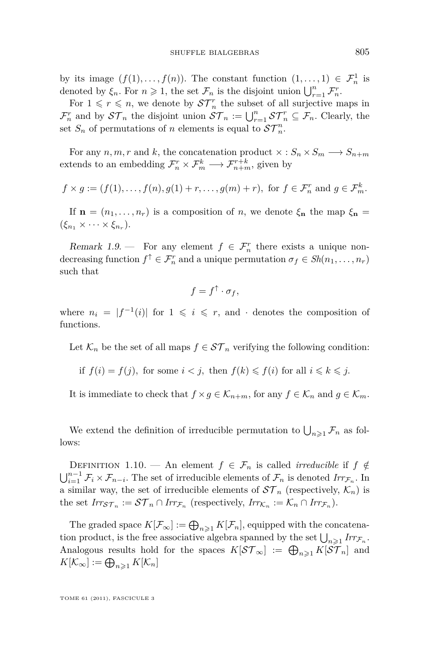<span id="page-7-0"></span>by its image  $(f(1),..., f(n))$ . The constant function  $(1,..., 1) \in \mathcal{F}_n^1$  is denoted by  $\xi_n$ . For  $n \ge 1$ , the set  $\mathcal{F}_n$  is the disjoint union  $\bigcup_{r=1}^n \mathcal{F}_n^r$ .

For  $1 \leq r \leq n$ , we denote by  $\mathcal{ST}_n^r$  the subset of all surjective maps in  $\mathcal{F}_n^r$  and by  $\mathcal{ST}_n$  the disjoint union  $\mathcal{ST}_n := \bigcup_{r=1}^n \mathcal{ST}_n^r \subseteq \mathcal{F}_n$ . Clearly, the set  $S_n$  of permutations of *n* elements is equal to  $ST_n^n$ .

For any  $n, m, r$  and  $k$ , the concatenation product  $\times : S_n \times S_m \longrightarrow S_{n+m}$ extends to an embedding  $\mathcal{F}_n^r \times \mathcal{F}_m^k \longrightarrow \mathcal{F}_{n+m}^{r+k}$ , given by

$$
f \times g := (f(1), \dots, f(n), g(1) + r, \dots, g(m) + r), \text{ for } f \in \mathcal{F}_n^r \text{ and } g \in \mathcal{F}_m^k.
$$

If  $\mathbf{n} = (n_1, \ldots, n_r)$  is a composition of *n*, we denote  $\xi_{\mathbf{n}}$  the map  $\xi_{\mathbf{n}} =$  $(\xi_{n_1} \times \cdots \times \xi_{n_r}).$ 

Remark 1.9. — For any element  $f \in \mathcal{F}_n^r$  there exists a unique nondecreasing function  $f^{\uparrow} \in \mathcal{F}_n^r$  and a unique permutation  $\sigma_f \in Sh(n_1, \ldots, n_r)$ such that

$$
f = f^{\uparrow} \cdot \sigma_f,
$$

where  $n_i = |f^{-1}(i)|$  for  $1 \leq i \leq r$ , and · denotes the composition of functions.

Let  $\mathcal{K}_n$  be the set of all maps  $f \in \mathcal{ST}_n$  verifying the following condition:

if 
$$
f(i) = f(j)
$$
, for some  $i < j$ , then  $f(k) \leq f(i)$  for all  $i \leq k \leq j$ .

It is immediate to check that  $f \times g \in \mathcal{K}_{n+m}$ , for any  $f \in \mathcal{K}_n$  and  $g \in \mathcal{K}_m$ .

We extend the definition of irreducible permutation to  $\bigcup_{n\geqslant 1} \mathcal{F}_n$  as follows:

DEFINITION 1.10. — An element  $f \in \mathcal{F}_n$  is called *irreducible* if  $f \notin$  $\bigcup_{i=1}^{n-1} \mathcal{F}_i \times \mathcal{F}_{n-i}$ . The set of irreducible elements of  $\mathcal{F}_n$  is denoted  $\text{Irr}_{\mathcal{F}_n}$ . In a similar way, the set of irreducible elements of  $ST_n$  (respectively,  $\mathcal{K}_n$ ) is the set  $Irr_{\mathcal{ST}_n} := \mathcal{ST}_n \cap Irr_{\mathcal{F}_n}$  (respectively,  $Irr_{\mathcal{K}_n} := \mathcal{K}_n \cap Irr_{\mathcal{F}_n}$ ).

The graded space  $K[\mathcal{F}_{\infty}] := \bigoplus_{n \geq 1} K[\mathcal{F}_n]$ , equipped with the concatenation product, is the free associative algebra spanned by the set  $\bigcup_{n\geqslant 1} Irr_{\mathcal{F}_n}$ . Analogous results hold for the spaces  $K[\mathcal{ST}_{\infty}] := \bigoplus_{n \geq 1} K[\mathcal{ST}_n]$  and  $K[\mathcal{K}_{\infty}] := \bigoplus_{n \geqslant 1} K[\mathcal{K}_n]$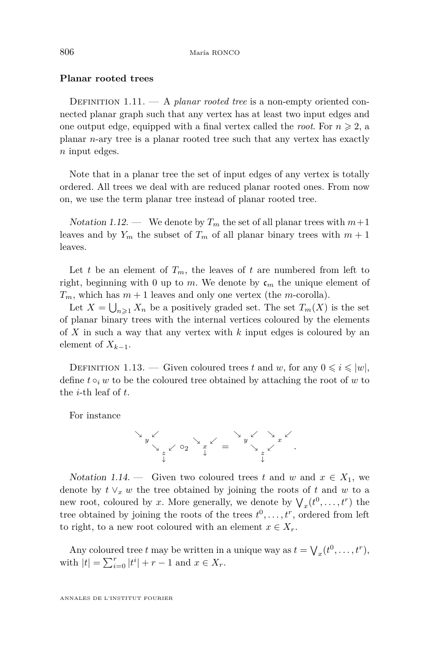#### <span id="page-8-0"></span>**Planar rooted trees**

Definition 1.11. — A *planar rooted tree* is a non-empty oriented connected planar graph such that any vertex has at least two input edges and one output edge, equipped with a final vertex called the *root*. For  $n \geq 2$ , a planar *n*-ary tree is a planar rooted tree such that any vertex has exactly *n* input edges.

Note that in a planar tree the set of input edges of any vertex is totally ordered. All trees we deal with are reduced planar rooted ones. From now on, we use the term planar tree instead of planar rooted tree.

Notation 1.12. — We denote by  $T_m$  the set of all planar trees with  $m+1$ leaves and by  $Y_m$  the subset of  $T_m$  of all planar binary trees with  $m+1$ leaves.

Let *t* be an element of  $T_m$ , the leaves of *t* are numbered from left to right, beginning with 0 up to *m*. We denote by  $\mathfrak{c}_m$  the unique element of  $T_m$ , which has  $m + 1$  leaves and only one vertex (the *m*-corolla).

Let  $X = \bigcup_{n \geqslant 1} X_n$  be a positively graded set. The set  $T_m(X)$  is the set of planar binary trees with the internal vertices coloured by the elements of *X* in such a way that any vertex with *k* input edges is coloured by an element of  $X_{k-1}$ .

DEFINITION 1.13. — Given coloured trees t and w, for any  $0 \le i \le |w|$ , define  $t \circ_i w$  to be the coloured tree obtained by attaching the root of *w* to the *i*-th leaf of *t*.

For instance



Notation 1.14. — Given two coloured trees t and w and  $x \in X_1$ , we denote by  $t \vee_x w$  the tree obtained by joining the roots of *t* and *w* to a new root, coloured by *x*. More generally, we denote by  $\bigvee_x(t^0,\ldots,t^r)$  the tree obtained by joining the roots of the trees  $t^0, \ldots, t^r$ , ordered from left to right, to a new root coloured with an element  $x \in X_r$ .

Any coloured tree *t* may be written in a unique way as  $t = \bigvee_x (t^0, \ldots, t^r)$ , with  $|t| = \sum_{i=0}^{r} |t^i| + r - 1$  and  $x \in X_r$ .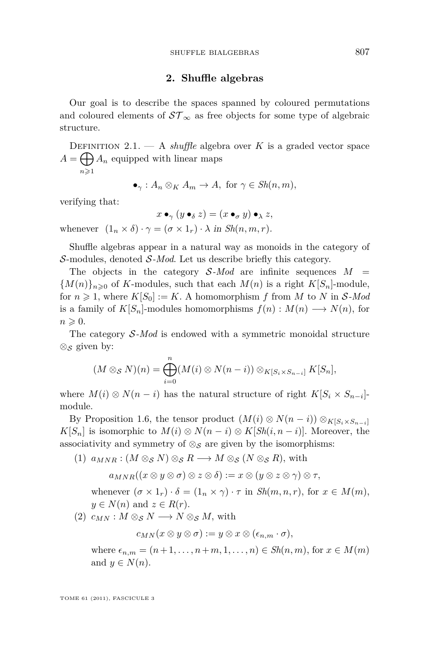#### **2. Shuffle algebras**

<span id="page-9-0"></span>Our goal is to describe the spaces spanned by coloured permutations and coloured elements of  $ST_{\infty}$  as free objects for some type of algebraic structure.

DEFINITION 2.1. — A *shuffle* algebra over *K* is a graded vector space  $A = \bigoplus A_n$  equipped with linear maps

$$
\sum_{n\geqslant 1}
$$

$$
\bullet_{\gamma}: A_n \otimes_K A_m \to A, \text{ for } \gamma \in Sh(n, m),
$$

verifying that:

$$
x \bullet_{\gamma} (y \bullet_{\delta} z) = (x \bullet_{\sigma} y) \bullet_{\lambda} z,
$$
  
whenever  $(1_n \times \delta) \cdot \gamma = (\sigma \times 1_r) \cdot \lambda$  in  $Sh(n, m, r)$ .

Shuffle algebras appear in a natural way as monoids in the category of S-modules, denoted S*-Mod*. Let us describe briefly this category.

The objects in the category  $S-Mod$  are infinite sequences  $M =$  ${M(n)}_{n\geqslant0}$  of *K*-modules, such that each  $M(n)$  is a right  $K[S_n]$ -module, for  $n \ge 1$ , where  $K[S_0] := K$ . A homomorphism f from M to N in S-Mod is a family of  $K[S_n]$ -modules homomorphisms  $f(n): M(n) \longrightarrow N(n)$ , for  $n \geqslant 0$ .

The category S*-Mod* is endowed with a symmetric monoidal structure ⊗s given by:

$$
(M\otimes_{\mathcal{S}}N)(n)=\bigoplus_{i=0}^n(M(i)\otimes N(n-i))\otimes_{K[S_i\times S_{n-i}]}K[S_n],
$$

where  $M(i) \otimes N(n - i)$  has the natural structure of right  $K[S_i \times S_{n-i}]$ module.

By Proposition [1.6,](#page-6-0) the tensor product  $(M(i) \otimes N(n-i)) \otimes_{K[S_i \times S_{n-i}]}$  $K[S_n]$  is isomorphic to  $M(i) \otimes N(n-i) \otimes K[Sh(i, n-i)]$ . Moreover, the associativity and symmetry of  $\otimes_{\mathcal{S}}$  are given by the isomorphisms:

 $(1)$   $a_{MNR}$  :  $(M \otimes_S N) \otimes_S R \longrightarrow M \otimes_S (N \otimes_S R)$ , with

$$
a_{MNR}((x\otimes y\otimes \sigma)\otimes z\otimes \delta):=x\otimes (y\otimes z\otimes \gamma)\otimes \tau,
$$

whenever  $(\sigma \times 1_r) \cdot \delta = (1_n \times \gamma) \cdot \tau$  in  $\mathit{Sh}(m, n, r)$ , for  $x \in M(m)$ ,  $y \in N(n)$  and  $z \in R(r)$ .

 $(2)$   $c_{MN}: M \otimes_{\mathcal{S}} N \longrightarrow N \otimes_{\mathcal{S}} M$ , with

$$
c_{MN}(x\otimes y\otimes \sigma):=y\otimes x\otimes (\epsilon_{n,m}\cdot \sigma),
$$

where  $\epsilon_{n,m} = (n+1, ..., n+m, 1, ..., n) \in Sh(n,m)$ , for  $x \in M(m)$ and  $y \in N(n)$ .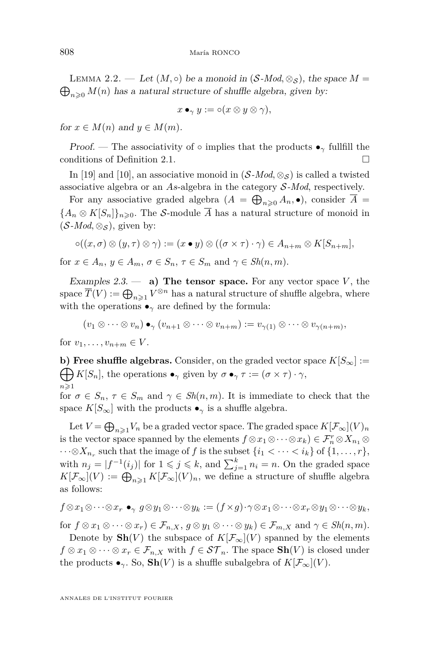<span id="page-10-0"></span> $\bigoplus_{n\geqslant 0} M(n)$  has a natural structure of shuffle algebra, given by: LEMMA 2.2. — Let  $(M, \circ)$  be a monoid in  $(S\text{-}Mod, \otimes_S)$ , the space  $M =$ 

$$
x \bullet_\gamma y := \circ (x \otimes y \otimes \gamma),
$$

for  $x \in M(n)$  and  $y \in M(m)$ .

Proof. — The associativity of  $\circ$  implies that the products  $\bullet_{\gamma}$  fullfill the conditions of Definition [2.1.](#page-9-0)  $\Box$ 

In [\[19\]](#page-52-0) and [\[10\]](#page-52-0), an associative monoid in  $(S\text{-}Mod, \otimes_{\mathcal{S}})$  is called a twisted associative algebra or an *As*-algebra in the category S*-Mod*, respectively.

For any associative graded algebra  $(A = \bigoplus_{n\geqslant 0} A_n, \bullet)$ , consider  $A =$  ${A_n \otimes K[S_n]}_{n \geq 0}$ . The S-module  $\overline{A}$  has a natural structure of monoid in  $(S$ *-Mod*,  $\otimes_S$ ), given by:

$$
\circ((x,\sigma)\otimes (y,\tau)\otimes \gamma):=(x\bullet y)\otimes ((\sigma\times \tau)\cdot\gamma)\in A_{n+m}\otimes K[S_{n+m}],
$$

for  $x \in A_n$ ,  $y \in A_m$ ,  $\sigma \in S_n$ ,  $\tau \in S_m$  and  $\gamma \in Sh(n, m)$ .

Examples 2.3.  $\qquad$  **a)** The tensor space. For any vector space *V*, the  $space \ \overline{T}(V) := \bigoplus_{n \geqslant 1} V^{\otimes n}$  has a natural structure of shuffle algebra, where with the operations  $\bullet_{\gamma}$  are defined by the formula:

$$
(v_1 \otimes \cdots \otimes v_n) \bullet_\gamma (v_{n+1} \otimes \cdots \otimes v_{n+m}) := v_{\gamma(1)} \otimes \cdots \otimes v_{\gamma(n+m)},
$$

for  $v_1, \ldots, v_{n+m} \in V$ .

**b) Free shuffle algebras.** Consider, on the graded vector space  $K[S_\infty] :=$  $\bigoplus K[S_n]$ , the operations  $\bullet_\gamma$  given by  $\sigma \bullet_\gamma \tau := (\sigma \times \tau) \cdot \gamma$ , *n*>1

for  $\sigma \in S_n$ ,  $\tau \in S_m$  and  $\gamma \in Sh(n,m)$ . It is immediate to check that the space  $K[S_{\infty}]$  with the products  $\bullet_{\gamma}$  is a shuffle algebra.

Let  $V = \bigoplus_{n \geq 1} V_n$  be a graded vector space. The graded space  $K[\mathcal{F}_{\infty}](V)_n$ is the vector space spanned by the elements  $f \otimes x_1 \otimes \cdots \otimes x_k$ ) ∈  $\mathcal{F}_n^r \otimes X_{n_1} \otimes$  $\dots \otimes X_{n_r}$  such that the image of *f* is the subset  $\{i_1 < \dots < i_k\}$  of  $\{1, \dots, r\}$ , with  $n_j = |f^{-1}(i_j)|$  for  $1 \leq j \leq k$ , and  $\sum_{j=1}^k n_j = n$ . On the graded space  $K[\mathcal{F}_{\infty}](V) := \bigoplus_{n \geqslant 1} K[\mathcal{F}_{\infty}](V)_n$ , we define a structure of shuffle algebra as follows:

$$
f\otimes x_1\otimes\cdots\otimes x_r\bullet_\gamma g\otimes y_1\otimes\cdots\otimes y_k:=(f\times g)\cdot\gamma\otimes x_1\otimes\cdots\otimes x_r\otimes y_1\otimes\cdots\otimes y_k,
$$

for  $f \otimes x_1 \otimes \cdots \otimes x_r$   $\in \mathcal{F}_{n,X}$ ,  $g \otimes y_1 \otimes \cdots \otimes y_k$   $\in \mathcal{F}_{m,X}$  and  $\gamma \in Sh(n,m)$ .

Denote by  $\mathbf{Sh}(V)$  the subspace of  $K[\mathcal{F}_{\infty}](V)$  spanned by the elements  $f \otimes x_1 \otimes \cdots \otimes x_r \in \mathcal{F}_{n,X}$  with  $f \in \mathcal{ST}_n$ . The space  $\mathbf{Sh}(V)$  is closed under the products  $\bullet_{\gamma}$ . So, **Sh**(*V*) is a shuffle subalgebra of  $K[\mathcal{F}_{\infty}](V)$ .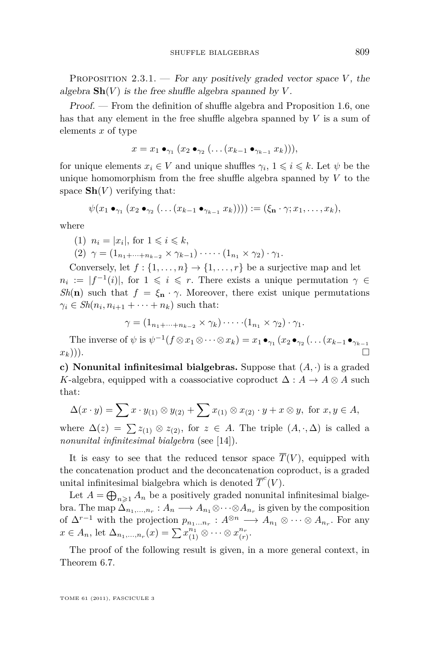PROPOSITION  $2.3.1.$  — For any positively graded vector space *V*, the algebra  $\mathbf{Sh}(V)$  is the free shuffle algebra spanned by V.

Proof. — From the definition of shuffle algebra and Proposition [1.6,](#page-6-0) one has that any element in the free shuffle algebra spanned by *V* is a sum of elements *x* of type

$$
x = x_1 \bullet_{\gamma_1} (x_2 \bullet_{\gamma_2} (\ldots (x_{k-1} \bullet_{\gamma_{k-1}} x_k))),
$$

for unique elements  $x_i \in V$  and unique shuffles  $\gamma_i$ ,  $1 \leq i \leq k$ . Let  $\psi$  be the unique homomorphism from the free shuffle algebra spanned by *V* to the space  $\mathbf{Sh}(V)$  verifying that:

$$
\psi(x_1 \bullet_{\gamma_1} (x_2 \bullet_{\gamma_2} (\ldots (x_{k-1} \bullet_{\gamma_{k-1}} x_k)))) := (\xi_{\mathbf{n}} \cdot \gamma; x_1, \ldots, x_k),
$$

where

(1) 
$$
n_i = |x_i|
$$
, for  $1 \le i \le k$ ,  
(2)  $\gamma = (1_{n_1 + \dots + n_{k-2}} \times \gamma_{k-1}) \cdot \dots \cdot (1_{n_1} \times \gamma_2) \cdot \gamma_1$ .

Conversely, let  $f: \{1, \ldots, n\} \to \{1, \ldots, r\}$  be a surjective map and let  $n_i := |f^{-1}(i)|$ , for  $1 \leq i \leq r$ . There exists a unique permutation  $\gamma \in$ *Sh*(**n**) such that  $f = \xi_{\bf n} \cdot \gamma$ . Moreover, there exist unique permutations  $\gamma_i \in Sh(n_i, n_{i+1} + \cdots + n_k)$  such that:

$$
\gamma = (1_{n_1 + \dots + n_{k-2}} \times \gamma_k) \cdot \dots \cdot (1_{n_1} \times \gamma_2) \cdot \gamma_1.
$$

The inverse of  $\psi$  is  $\psi^{-1}(f \otimes x_1 \otimes \cdots \otimes x_k) = x_1 \bullet_{\gamma_1} (x_2 \bullet_{\gamma_2} (\ldots (x_{k-1} \bullet_{\gamma_{k-1}}$  $(x_k))$ .

**c) Nonunital infinitesimal bialgebras.** Suppose that (*A,* ·) is a graded *K*-algebra, equipped with a coassociative coproduct  $\Delta : A \to A \otimes A$  such that:

$$
\Delta(x \cdot y) = \sum x \cdot y_{(1)} \otimes y_{(2)} + \sum x_{(1)} \otimes x_{(2)} \cdot y + x \otimes y, \text{ for } x, y \in A,
$$

where  $\Delta(z) = \sum z_{(1)} \otimes z_{(2)}$ , for  $z \in A$ . The triple  $(A, \cdot, \Delta)$  is called a *nonunital infinitesimal bialgebra* (see [\[14\]](#page-52-0)).

It is easy to see that the reduced tensor space  $\overline{T}(V)$ , equipped with the concatenation product and the deconcatenation coproduct, is a graded unital infinitesimal bialgebra which is denoted  $\overline{T}^c(V)$ .

Let  $A = \bigoplus_{n \geqslant 1} A_n$  be a positively graded nonunital infinitesimal bialgebra. The map  $\Delta_{n_1,\dots,n_r}: A_n \longrightarrow A_{n_1} \otimes \cdots \otimes A_{n_r}$  is given by the composition of  $\Delta^{r-1}$  with the projection  $p_{n_1...n_r}: A^{\otimes n} \longrightarrow A_{n_1} \otimes \cdots \otimes A_{n_r}$ . For any  $x \in A_n$ , let  $\Delta_{n_1,...,n_r}(x) = \sum x_{(1)}^{n_1} \otimes \cdots \otimes x_{(r)}^{n_r}.$ 

The proof of the following result is given, in a more general context, in Theorem [6.7.](#page-37-0)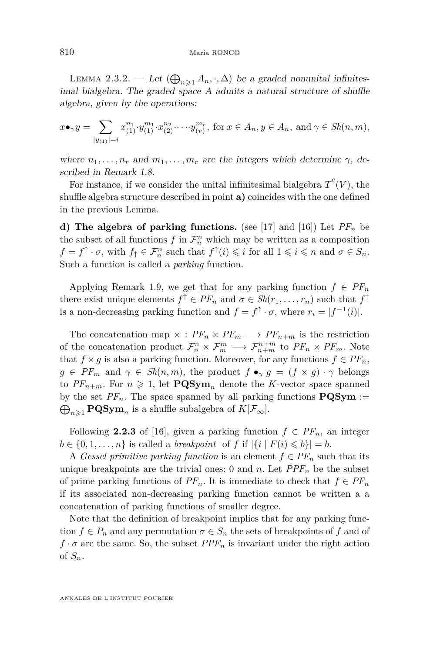LEMMA 2.3.2. — Let  $(\bigoplus_{n\geqslant1}A_n,\cdot,\Delta)$  be a graded nonunital infinitesimal bialgebra. The graded space *A* admits a natural structure of shuffle algebra, given by the operations:

$$
x \bullet_{\gamma} y = \sum_{|y_{(1)}|=i} x_{(1)}^{n_1} \cdot y_{(1)}^{m_1} \cdot x_{(2)}^{n_2} \cdots \cdot y_{(r)}^{m_r}, \text{ for } x \in A_n, y \in A_n, \text{ and } \gamma \in Sh(n, m),
$$

where  $n_1, \ldots, n_r$  and  $m_1, \ldots, m_r$  are the integers which determine  $\gamma$ , described in Remark [1.8.](#page-6-0)

For instance, if we consider the unital infinitesimal bialgebra  $\overline{T}^c(V)$ , the shuffle algebra structure described in point **a)** coincides with the one defined in the previous Lemma.

**d)** The algebra of parking functions. (see [\[17\]](#page-52-0) and [\[16\]](#page-52-0)) Let  $PF_n$  be the subset of all functions  $f$  in  $\mathcal{F}_n^n$  which may be written as a composition  $f = f^{\uparrow} \cdot \sigma$ , with  $f_{\uparrow} \in \mathcal{F}_n^n$  such that  $f^{\uparrow}(i) \leqslant i$  for all  $1 \leqslant i \leqslant n$  and  $\sigma \in S_n$ . Such a function is called a *parking* function.

Applying Remark [1.9,](#page-7-0) we get that for any parking function  $f \in PF_n$ there exist unique elements  $f^{\uparrow} \in PF_n$  and  $\sigma \in Sh(r_1, \ldots, r_n)$  such that  $f^{\uparrow}$ is a non-decreasing parking function and  $f = f^{\uparrow} \cdot \sigma$ , where  $r_i = |f^{-1}(i)|$ .

The concatenation map  $\times : PF_n \times PF_m \longrightarrow PF_{n+m}$  is the restriction of the concatenation product  $\mathcal{F}_n^n \times \mathcal{F}_m^m \longrightarrow \mathcal{F}_{n+m}^{n+m}$  to  $PF_n \times PF_m$ . Note that  $f \times g$  is also a parking function. Moreover, for any functions  $f \in PF_n$ ,  $g \in PF_m$  and  $\gamma \in Sh(n,m)$ , the product  $f \bullet_\gamma g = (f \times g) \cdot \gamma$  belongs to  $PF_{n+m}$ . For  $n \geq 1$ , let  $\mathbf{PQSym}_n$  denote the *K*-vector space spanned by the set  $PF_n$ . The space spanned by all parking functions  $\mathbf{PQSym} :=$  $\bigoplus_{n\geqslant 1}$  **PQSym**<sub>n</sub> is a shuffle subalgebra of  $K[\mathcal{F}_{\infty}]$ .

Following **2.2.3** of [\[16\]](#page-52-0), given a parking function  $f \in PF_n$ , an integer  $b \in \{0, 1, \ldots, n\}$  is called a *breakpoint* of *f* if  $|\{i \mid F(i) \leq b\}| = b$ .

A Gessel primitive parking function is an element  $f \in PF_n$  such that its unique breakpoints are the trivial ones: 0 and  $n$ . Let  $PPF_n$  be the subset of prime parking functions of  $PF_n$ . It is immediate to check that  $f \in PF_n$ if its associated non-decreasing parking function cannot be written a a concatenation of parking functions of smaller degree.

Note that the definition of breakpoint implies that for any parking function  $f \in P_n$  and any permutation  $\sigma \in S_n$  the sets of breakpoints of f and of  $f \cdot \sigma$  are the same. So, the subset  $PPF_n$  is invariant under the right action of  $S_n$ .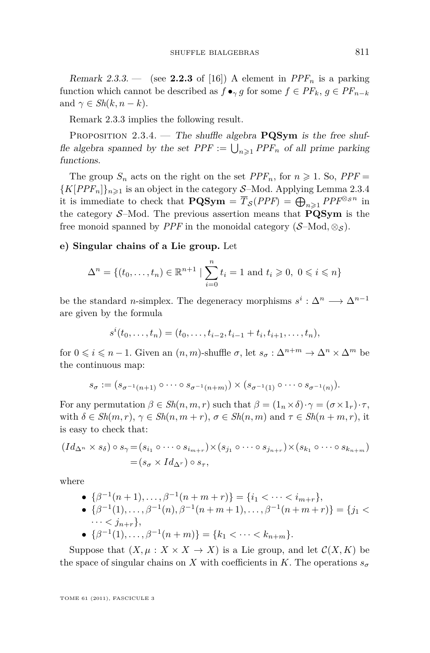Remark 2.3.3. — (see **2.2.3** of [\[16\]](#page-52-0)) A element in  $PPF_n$  is a parking function which cannot be described as  $f \bullet_\gamma g$  for some  $f \in PF_k$ ,  $g \in PF_{n-k}$ and  $\gamma \in Sh(k, n-k)$ .

Remark 2.3.3 implies the following result.

PROPOSITION 2.3.4. — The shuffle algebra **PQSym** is the free shuffle algebra spanned by the set  $PPF := \bigcup_{n \geqslant 1} PPF_n$  of all prime parking functions.

The group  $S_n$  acts on the right on the set  $PPF_n$ , for  $n \geq 1$ . So,  $PPF =$  ${K[PPF_n]}_{n\geq 1}$  is an object in the category S–Mod. Applying Lemma 2.3.4 it is immediate to check that  $\mathbf{PQSym} = \overline{T}_{\mathcal{S}}(PPF) = \bigoplus_{n \geq 1} PPF^{\otimes_{\mathcal{S}} n}$  in the category S–Mod. The previous assertion means that **PQSym** is the free monoid spanned by *PPF* in the monoidal category  $(S\text{-Mod}, \otimes_S)$ .

#### **e) Singular chains of a Lie group.** Let

$$
\Delta^n = \{(t_0, \dots, t_n) \in \mathbb{R}^{n+1} \mid \sum_{i=0}^n t_i = 1 \text{ and } t_i \geq 0, \ 0 \leq i \leq n\}
$$

be the standard *n*-simplex. The degeneracy morphisms  $s^i : \Delta^n \longrightarrow \Delta^{n-1}$ are given by the formula

$$
s^{i}(t_{0},...,t_{n})=(t_{0},...,t_{i-2},t_{i-1}+t_{i},t_{i+1},...,t_{n}),
$$

for  $0\leqslant i\leqslant n-1.$  Given an  $(n,m)\text{-shuffle } \sigma,$  let  $s_{\sigma}:\Delta^{n+m}\to \Delta^n\times \Delta^m$  be the continuous map:

$$
s_{\sigma} := (s_{\sigma^{-1}(n+1)} \circ \cdots \circ s_{\sigma^{-1}(n+m)}) \times (s_{\sigma^{-1}(1)} \circ \cdots \circ s_{\sigma^{-1}(n)}).
$$

For any permutation  $\beta \in Sh(n, m, r)$  such that  $\beta = (1_n \times \delta) \cdot \gamma = (\sigma \times 1_r) \cdot \tau$ , with  $\delta \in Sh(m,r), \gamma \in Sh(n,m+r), \sigma \in Sh(n,m)$  and  $\tau \in Sh(n+m,r),$  it is easy to check that:

$$
(Id_{\Delta^n} \times s_\delta) \circ s_\gamma = (s_{i_1} \circ \cdots \circ s_{i_{m+r}}) \times (s_{j_1} \circ \cdots \circ s_{j_{n+r}}) \times (s_{k_1} \circ \cdots \circ s_{k_{n+m}})
$$
  
=  $(s_\sigma \times Id_{\Delta^r}) \circ s_\tau$ ,

where

 $\bullet$  { $\beta^{-1}(n+1), \ldots, \beta^{-1}(n+m+r)$ } = {*i*<sub>1</sub> < ⋅ ⋅ ⋅ < *i*<sub>*m*+*r*</sub>},  $\bullet$  {*β*<sup>-1</sup>(1)*,..., β*<sup>-1</sup>(*n*)*, β*<sup>-1</sup>(*n*+*m*+1)*,...,β*<sup>-1</sup>(*n*+*m*+*r*)} = {*j*<sub>1</sub> <  $\cdots < j_{n+r}$ , •  $\{\beta^{-1}(1), \ldots, \beta^{-1}(n+m)\} = \{k_1 < \cdots < k_{n+m}\}.$ 

Suppose that  $(X, \mu : X \times X \to X)$  is a Lie group, and let  $\mathcal{C}(X, K)$  be the space of singular chains on *X* with coefficients in *K*. The operations  $s_{\sigma}$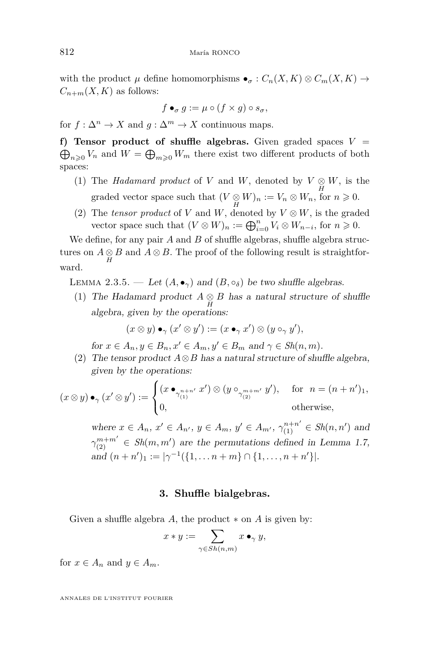with the product  $\mu$  define homomorphisms  $\bullet_{\sigma}: C_n(X,K) \otimes C_m(X,K) \to$  $C_{n+m}(X,K)$  as follows:

$$
f \bullet_{\sigma} g := \mu \circ (f \times g) \circ s_{\sigma},
$$

for  $f: \Delta^n \to X$  and  $g: \Delta^m \to X$  continuous maps.

 $\bigoplus_{n\geqslant 0} V_n$  and  $W = \bigoplus_{m\geqslant 0} W_m$  there exist two different products of both **f)** Tensor product of shuffle algebras. Given graded spaces  $V =$ spaces:

- (1) The *Hadamard product* of *V* and *W*, denoted by  $V \underset{H}{\otimes} W$ , is the graded vector space such that  $(V \underset{H}{\otimes} W)_n := V_n \otimes W_n$ , for  $n \ge 0$ .
- (2) The *tensor product* of *V* and *W*, denoted by  $V \otimes W$ , is the graded vector space such that  $(V \otimes W)_n := \bigoplus_{i=0}^n V_i \otimes W_{n-i}$ , for  $n \ge 0$ .

We define, for any pair *A* and *B* of shuffle algebras, shuffle algebra structures on  $A \otimes B$  and  $A \otimes B$ . The proof of the following result is straightforward.

LEMMA 2.3.5. — Let  $(A, \bullet_{\gamma})$  and  $(B, \circ_{\delta})$  be two shuffle algebras.

(1) The Hadamard product  $A \underset{H}{\otimes} B$  has a natural structure of shuffle algebra, given by the operations:

$$
(x \otimes y) \bullet_{\gamma} (x' \otimes y') := (x \bullet_{\gamma} x') \otimes (y \circ_{\gamma} y'),
$$

for  $x \in A_n, y \in B_n, x' \in A_m, y' \in B_m$  and  $\gamma \in Sh(n, m)$ .

(2) The tensor product  $A \otimes B$  has a natural structure of shuffle algebra, given by the operations:

$$
(x \otimes y) \bullet_{\gamma} (x' \otimes y') := \begin{cases} (x \bullet_{\gamma_1^{n+n'}} x') \otimes (y \circ_{\gamma_2^{m+m'}} y'), & \text{for } n = (n+n')_1, \\ 0, & \text{otherwise,} \end{cases}
$$

where  $x \in A_n$ ,  $x' \in A_{n'}$ ,  $y \in A_m$ ,  $y' \in A_{m'}$ ,  $\gamma_{(1)}^{n+n'} \in Sh(n, n')$  and  $\gamma_{(2)}^{m+m'} \in Sh(m, m')$  are the permutations defined in Lemma [1.7,](#page-6-0) and  $(n + n')_1 := |\gamma^{-1}(\{1, ..., n + m\} \cap \{1, ..., n + n'\} |)$ .

#### **3. Shuffle bialgebras.**

Given a shuffle algebra *A*, the product ∗ on *A* is given by:

$$
x * y := \sum_{\gamma \in Sh(n,m)} x \bullet_{\gamma} y,
$$

for  $x \in A_n$  and  $y \in A_m$ .

<span id="page-14-0"></span>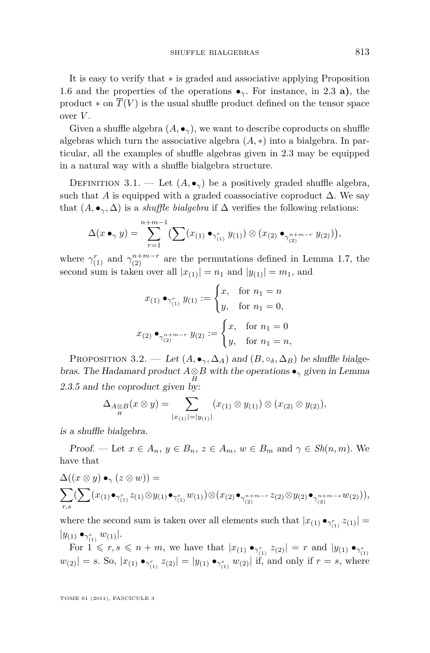<span id="page-15-0"></span>It is easy to verify that ∗ is graded and associative applying Proposition [1.6](#page-6-0) and the properties of the operations •*γ*. For instance, in [2.3](#page-10-0) **a)**, the product  $*$  on  $\overline{T}(V)$  is the usual shuffle product defined on the tensor space over *V* .

Given a shuffle algebra  $(A, \bullet_\gamma)$ , we want to describe coproducts on shuffle algebras which turn the associative algebra (*A,* ∗) into a bialgebra. In particular, all the examples of shuffle algebras given in [2.3](#page-10-0) may be equipped in a natural way with a shuffle bialgebra structure.

DEFINITION 3.1. — Let  $(A, \bullet_\gamma)$  be a positively graded shuffle algebra, such that *A* is equipped with a graded coassociative coproduct  $\Delta$ . We say that  $(A, \bullet_\gamma, \Delta)$  is a *shuffle bialgebra* if  $\Delta$  verifies the following relations:

$$
\Delta(x \bullet_\gamma y) = \sum_{r=1}^{n+m-1} \left( \sum (x_{(1)} \bullet_{\gamma_{(1)}^r} y_{(1)}) \otimes (x_{(2)} \bullet_{\gamma_{(2)}^{n+m-r}} y_{(2)}) \right),
$$

where  $\gamma_{(1)}^r$  and  $\gamma_{(2)}^{n+m-r}$  are the permutations defined in Lemma [1.7,](#page-6-0) the second sum is taken over all  $|x_{(1)}| = n_1$  and  $|y_{(1)}| = m_1$ , and

$$
x_{(1)} \bullet_{\gamma_{(1)}^r} y_{(1)} := \begin{cases} x, & \text{for } n_1 = n \\ y, & \text{for } n_1 = 0, \end{cases}
$$

$$
x_{(2)} \bullet_{\gamma_{(2)}^{n+m-r}} y_{(2)} := \begin{cases} x, & \text{for } n_1 = 0 \\ y, & \text{for } n_1 = n, \end{cases}
$$

PROPOSITION 3.2. — Let  $(A, \bullet_{\gamma}, \Delta_A)$  and  $(B, \circ_{\delta}, \Delta_B)$  be shuffle bialgebras. The Hadamard product  $A \otimes B$  with the operations  $\bullet_\gamma$  given in Lemma [2.3.5](#page-14-0) and the coproduct given by:

$$
\Delta_{A\otimes B}(x\otimes y)=\sum_{|x_{(1)}|=|y_{(1)}|}(x_{(1)}\otimes y_{(1)})\otimes (x_{(2)}\otimes y_{(2)}),
$$

is a shuffle bialgebra.

Proof. — Let  $x \in A_n$ ,  $y \in B_n$ ,  $z \in A_m$ ,  $w \in B_m$  and  $\gamma \in Sh(n, m)$ . We have that

$$
\Delta((x \otimes y) \bullet_{\gamma} (z \otimes w)) =
$$
  

$$
\sum_{r,s} (\sum (x_{(1)} \bullet_{\gamma_{(1)}^r} z_{(1)} \otimes y_{(1)} \bullet_{\gamma_{(1)}^s} w_{(1)}) \otimes (x_{(2)} \bullet_{\gamma_{(2)}^{n+m-r}} z_{(2)} \otimes y_{(2)} \bullet_{\gamma_{(2)}^{n+m-s}} w_{(2)})),
$$

where the second sum is taken over all elements such that  $|x_{(1)} \bullet_{\gamma_{(1)}^r} z_{(1)}|$  =  $|y_{(1)} \bullet_{\gamma_{(1)}^s} w_{(1)}|.$ 

For  $1 \leq r, s \leq n+m$ , we have that  $|x_{(1)} \bullet_{\gamma_{(1)}^r} z_{(2)}| = r$  and  $|y_{(1)} \bullet_{\gamma_{(1)}^s}$  $w_{(2)}| = s$ . So,  $|x_{(1)} \bullet_{\gamma_{(1)}^r} z_{(2)}| = |y_{(1)} \bullet_{\gamma_{(1)}^s} w_{(2)}|$  if, and only if  $r = s$ , where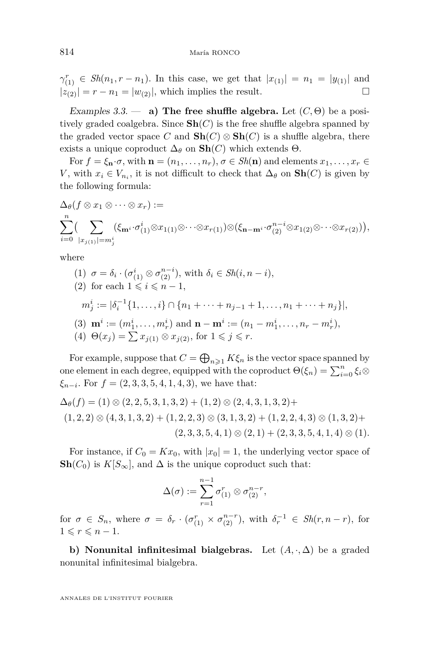<span id="page-16-0"></span> $\gamma_{(1)}^r \in Sh(n_1, r - n_1)$ . In this case, we get that  $|x_{(1)}| = n_1 = |y_{(1)}|$  and  $|z_{(2)}| = r - n_1 = |w_{(2)}|$ , which implies the result.

Examples 3.3.  $\qquad$  **a)** The free shuffle algebra. Let  $(C, \Theta)$  be a positively graded coalgebra. Since  $\mathbf{Sh}(C)$  is the free shuffle algebra spanned by the graded vector space *C* and  $\textbf{Sh}(C) \otimes \textbf{Sh}(C)$  is a shuffle algebra, there exists a unique coproduct  $\Delta_{\theta}$  on **Sh**(*C*) which extends  $\Theta$ .

For  $f = \xi_{\mathbf{n}} \cdot \sigma$ , with  $\mathbf{n} = (n_1, \dots, n_r), \sigma \in Sh(\mathbf{n})$  and elements  $x_1, \dots, x_r \in$ *V*, with  $x_i \in V_{n_i}$ , it is not difficult to check that  $\Delta_{\theta}$  on  $\mathbf{Sh}(C)$  is given by the following formula:

$$
\Delta_{\theta}(f \otimes x_1 \otimes \cdots \otimes x_r) :=
$$
  

$$
\sum_{i=0}^n \Big(\sum_{|x_{j(1)}|=m_j^i} (\xi_{\mathbf{m}^i} \cdot \sigma_{(1)}^i \otimes x_{1(1)} \otimes \cdots \otimes x_{r(1)}) \otimes (\xi_{\mathbf{n}-\mathbf{m}^i} \cdot \sigma_{(2)}^{n-i} \otimes x_{1(2)} \otimes \cdots \otimes x_{r(2)})\Big),
$$

where

$$
(1) \ \sigma = \delta_i \cdot (\sigma_{(1)}^i \otimes \sigma_{(2)}^{n-i}), \text{ with } \delta_i \in Sh(i, n-i),
$$
\n
$$
(2) \ \text{for each } 1 \leq i \leq n-1,
$$
\n
$$
m_j^i := |\delta_i^{-1}\{1, \ldots, i\} \cap \{n_1 + \cdots + n_{j-1} + 1, \ldots, n_1 + \cdots + n_j\}|,
$$
\n
$$
(3) \ \mathbf{m}^i := (m_1^i, \ldots, m_r^i) \text{ and } \mathbf{n} - \mathbf{m}^i := (n_1 - m_1^i, \ldots, n_r - m_r^i),
$$
\n
$$
(4) \ \Theta(x_j) = \sum x_{j(1)} \otimes x_{j(2)}, \text{ for } 1 \leq j \leq r.
$$

For example, suppose that  $C = \bigoplus_{n \geq 1} K \xi_n$  is the vector space spanned by one element in each degree, equipped with the coproduct  $\Theta(\xi_n) = \sum_{i=0}^n \xi_i \otimes$  $\xi_{n-i}$ . For  $f = (2, 3, 3, 5, 4, 1, 4, 3)$ , we have that:

$$
\Delta_{\theta}(f) = (1) \otimes (2, 2, 5, 3, 1, 3, 2) + (1, 2) \otimes (2, 4, 3, 1, 3, 2) + (1, 2, 2) \otimes (4, 3, 1, 3, 2) + (1, 2, 2, 3) \otimes (3, 1, 3, 2) + (1, 2, 2, 4, 3) \otimes (1, 3, 2) + (2, 3, 3, 5, 4, 1, 4) \otimes (1).
$$

For instance, if  $C_0 = Kx_0$ , with  $|x_0| = 1$ , the underlying vector space of **Sh**( $C_0$ ) is *K*[ $S_{\infty}$ ], and ∆ is the unique coproduct such that:

$$
\Delta(\sigma) := \sum_{r=1}^{n-1} \sigma_{(1)}^r \otimes \sigma_{(2)}^{n-r},
$$

for  $\sigma \in S_n$ , where  $\sigma = \delta_r \cdot (\sigma_{(1)}^r \times \sigma_{(2)}^{n-r})$ , with  $\delta_r^{-1} \in Sh(r, n-r)$ , for  $1 \leqslant r \leqslant n-1$ .

**b)** Nonunital infinitesimal bialgebras. Let  $(A, \cdot, \Delta)$  be a graded nonunital infinitesimal bialgebra.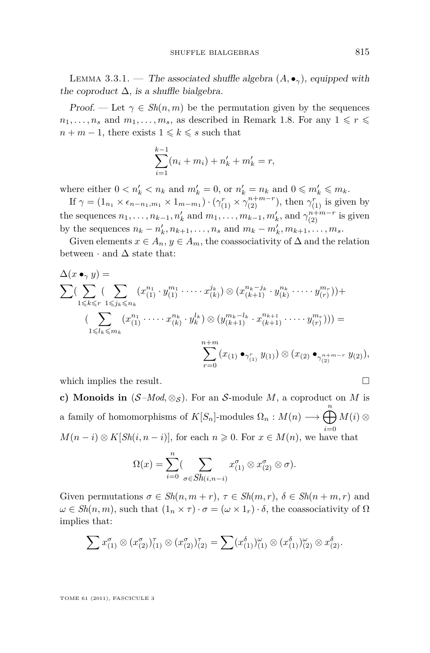<span id="page-17-0"></span>LEMMA 3.3.1. — The associated shuffle algebra  $(A, \bullet_\gamma)$ , equipped with the coproduct  $\Delta$ , is a shuffle bialgebra.

Proof. — Let  $\gamma \in Sh(n,m)$  be the permutation given by the sequences  $n_1, \ldots, n_s$  and  $m_1, \ldots, m_s$ , as described in Remark [1.8.](#page-6-0) For any  $1 \leq r \leq$  $n + m - 1$ , there exists  $1 \leq k \leq s$  such that

$$
\sum_{i=1}^{k-1} (n_i + m_i) + n'_k + m'_k = r,
$$

where either  $0 < n'_k < n_k$  and  $m'_k = 0$ , or  $n'_k = n_k$  and  $0 \leq m'_k \leq m_k$ .

If  $\gamma = (1_{n_1} \times \epsilon_{n-n_1,m_1} \times 1_{m-m_1}) \cdot (\gamma_{(1)}^r \times \gamma_{(2)}^{n+m-r})$ , then  $\gamma_{(1)}^r$  is given by the sequences  $n_1, \ldots, n_{k-1}, n'_k$  and  $m_1, \ldots, m_{k-1}, m'_k$ , and  $\gamma_{(2)}^{n+m-r}$  is given by the sequences  $n_k - n'_k, n_{k+1}, \ldots, n_s$  and  $m_k - m'_k, m_{k+1}, \ldots, m_s$ .

Given elements  $x \in A_n$ ,  $y \in A_m$ , the coassociativity of  $\Delta$  and the relation between  $\cdot$  and  $\Delta$  state that:

$$
\Delta(x \bullet_{\gamma} y) =
$$
\n
$$
\sum (\sum_{1 \leq k \leq r} (\sum_{1 \leq j_{k} \leq n_{k}} (x_{(1)}^{n_{1}} \cdot y_{(1)}^{m_{1}} \cdot \dots \cdot x_{(k)}^{j_{k}}) \otimes (x_{(k+1)}^{n_{k}-j_{k}} \cdot y_{(k)}^{n_{k}} \cdot \dots \cdot y_{(r)}^{m_{r}})) +
$$
\n
$$
(\sum_{1 \leq l_{k} \leq m_{k}} (x_{(1)}^{n_{1}} \cdot \dots \cdot x_{(k)}^{n_{k}} \cdot y_{k}^{l_{k}}) \otimes (y_{(k+1)}^{m_{k}-l_{k}} \cdot x_{(k+1)}^{n_{k+1}} \cdot \dots \cdot y_{(r)}^{m_{r}}))) =
$$
\n
$$
\sum_{r=0}^{n+m} (x_{(1)} \bullet_{\gamma_{(1)}^{r}} y_{(1)}) \otimes (x_{(2)} \bullet_{\gamma_{(2)}^{n+m-r}} y_{(2)}),
$$

which implies the result.  $\Box$ 

**c)** Monoids in  $(S-Mod, \otimes_S)$ . For an S-module *M*, a coproduct on *M* is a family of homomorphisms of  $K[S_n]$ -modules  $\Omega_n : M(n) \longrightarrow \bigoplus_{i=1}^n M(i)$  $M(n-i) \otimes K[Sh(i, n-i)],$  for each  $n \geq 0$ . For  $x \in M(n)$ , we have that

$$
\Omega(x) = \sum_{i=0}^{n} \left( \sum_{\sigma \in Sh(i,n-i)} x_{(1)}^{\sigma} \otimes x_{(2)}^{\sigma} \otimes \sigma \right).
$$

Given permutations  $\sigma \in Sh(n, m+r), \tau \in Sh(m,r), \delta \in Sh(n+m,r)$  and  $\omega \in Sh(n,m)$ , such that  $(1_n \times \tau) \cdot \sigma = (\omega \times 1_r) \cdot \delta$ , the coassociativity of  $\Omega$ implies that:

$$
\sum x_{(1)}^{\sigma} \otimes (x_{(2)}^{\sigma})_{(1)}^{\tau} \otimes (x_{(2)}^{\sigma})_{(2)}^{\tau} = \sum (x_{(1)}^{\delta})_{(1)}^{\omega} \otimes (x_{(1)}^{\delta})_{(2)}^{\omega} \otimes x_{(2)}^{\delta}.
$$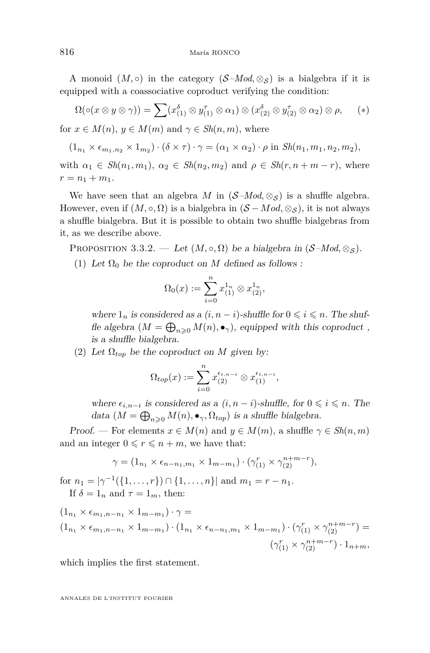A monoid  $(M, \circ)$  in the category  $(S-Mod, \otimes_S)$  is a bialgebra if it is equipped with a coassociative coproduct verifying the condition:

$$
\Omega(\circ(x \otimes y \otimes \gamma)) = \sum (x_{(1)}^{\delta} \otimes y_{(1)}^{\tau} \otimes \alpha_1) \otimes (x_{(2)}^{\delta} \otimes y_{(2)}^{\tau} \otimes \alpha_2) \otimes \rho, \quad (*)
$$
  
and  $x \in M(x)$  and  $x \in S^1(x, y)$  where

for  $x \in M(n)$ ,  $y \in M(m)$  and  $\gamma \in Sh(n, m)$ , where

$$
(1_{n_1} \times \epsilon_{m_1, n_2} \times 1_{m_2}) \cdot (\delta \times \tau) \cdot \gamma = (\alpha_1 \times \alpha_2) \cdot \rho \text{ in } Sh(n_1, m_1, n_2, m_2),
$$

with  $\alpha_1 \in Sh(n_1, m_1), \ \alpha_2 \in Sh(n_2, m_2)$  and  $\rho \in Sh(r, n + m - r)$ , where  $r = n_1 + m_1.$ 

We have seen that an algebra *M* in  $(S-Mod, \otimes_S)$  is a shuffle algebra. However, even if  $(M, \circ, \Omega)$  is a bialgebra in  $(S - Mod, \otimes_{\mathcal{S}})$ , it is not always a shuffle bialgebra. But it is possible to obtain two shuffle bialgebras from it, as we describe above.

PROPOSITION 3.3.2. — Let  $(M, \circ, \Omega)$  be a bialgebra in  $(S-Mod, \otimes_S)$ .

(1) Let  $\Omega_0$  be the coproduct on M defined as follows :

$$
\Omega_0(x) := \sum_{i=0}^n x_{(1)}^{1_n} \otimes x_{(2)}^{1_n},
$$

where  $1_n$  is considered as a  $(i, n - i)$ -shuffle for  $0 \leq i \leq n$ . The shuffle algebra  $(M = \bigoplus_{n \geq 0} M(n), \bullet_\gamma)$ , equipped with this coproduct, is a shuffle bialgebra.

(2) Let  $\Omega_{top}$  be the coproduct on *M* given by:

$$
\Omega_{top}(x):=\sum_{i=0}^n x_{(2)}^{\epsilon_{i,n-i}}\otimes x_{(1)}^{\epsilon_{i,n-i}},
$$

where  $\epsilon_{i,n-i}$  is considered as a  $(i, n-i)$ -shuffle, for  $0 \leq i \leq n$ . The data  $(M = \bigoplus_{n \geq 0} M(n), \bullet_\gamma, \Omega_{top})$  is a shuffle bialgebra.

Proof. — For elements  $x \in M(n)$  and  $y \in M(m)$ , a shuffle  $\gamma \in Sh(n, m)$ and an integer  $0 \le r \le n + m$ , we have that:

$$
\gamma = (1_{n_1} \times \epsilon_{n-n_1,m_1} \times 1_{m-m_1}) \cdot (\gamma_{(1)}^r \times \gamma_{(2)}^{n+m-r}),
$$

for  $n_1 = |\gamma^{-1}(\{1, ..., r\}) \cap \{1, ..., n\}|$  and  $m_1 = r - n_1$ . If  $\delta = 1_n$  and  $\tau = 1_m$ , then:

$$
(1_{n_1} \times \epsilon_{m_1, n-n_1} \times 1_{m-m_1}) \cdot \gamma =
$$
  
\n
$$
(1_{n_1} \times \epsilon_{m_1, n-n_1} \times 1_{m-m_1}) \cdot (1_{n_1} \times \epsilon_{n-n_1, m_1} \times 1_{m-m_1}) \cdot (\gamma_{(1)}^r \times \gamma_{(2)}^{n+m-r}) =
$$
  
\n
$$
(\gamma_{(1)}^r \times \gamma_{(2)}^{n+m-r}) \cdot 1_{n+m},
$$

which implies the first statement.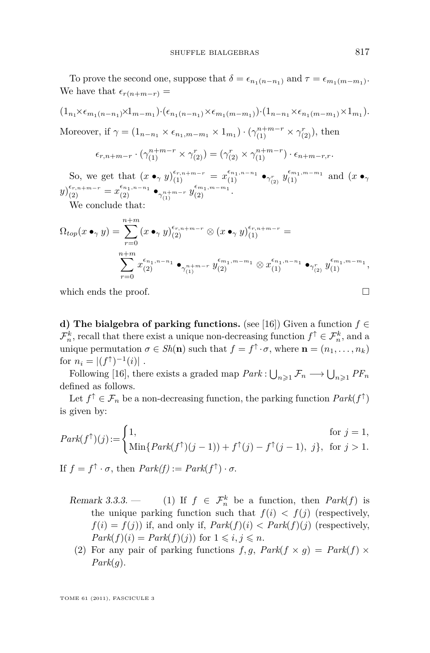To prove the second one, suppose that  $\delta = \epsilon_{n_1(n-n_1)}$  and  $\tau = \epsilon_{m_1(m-m_1)}$ . We have that  $\epsilon_{r(n+m-r)}$  =

$$
(1_{n_1}\times\epsilon_{m_1(n-n_1)}\times 1_{m-m_1})\cdot(\epsilon_{n_1(n-n_1)}\times\epsilon_{m_1(m-m_1)})\cdot(1_{n-n_1}\times\epsilon_{n_1(m-m_1)}\times 1_{m_1}).
$$

Moreover, if 
$$
\gamma = (1_{n-n_1} \times \epsilon_{n_1, m-m_1} \times 1_{m_1}) \cdot (\gamma_{(1)}^{n+m-r} \times \gamma_{(2)}^r)
$$
, then

$$
\epsilon_{r,n+m-r} \cdot (\gamma_{(1)}^{n+m-r} \times \gamma_{(2)}^r) = (\gamma_{(2)}^r \times \gamma_{(1)}^{n+m-r}) \cdot \epsilon_{n+m-r,r}.
$$

So, we get that  $(x \bullet_\gamma y)_{(1)}^{\epsilon_{r,n+m-r}} = x_{(1)}^{\epsilon_{n_1,n-n_1}} \bullet_{\gamma_{(2)}^r} y_{(1)}^{\epsilon_{m_1,m-m_1}}$  and  $(x \bullet_\gamma)$  $y)_{(2)}^{\epsilon_{r,n+m-r}} = x_{(2)}^{\epsilon_{n_1,n-n_1}} \bullet_{\gamma_{(1)}^{n+m-r}} y_{(2)}^{\epsilon_{m_1,m-m_1}}.$ 

We conclude that:

$$
\Omega_{top}(x \bullet_\gamma y) = \sum_{r=0}^{n+m} (x \bullet_\gamma y)_{(2)}^{\epsilon_{r,n+m-r}} \otimes (x \bullet_\gamma y)_{(1)}^{\epsilon_{r,n+m-r}} =
$$
  

$$
\sum_{r=0}^{n+m} x_{(2)}^{\epsilon_{n_1,n-n_1}} \bullet_{\gamma_{(1)}^{n+m-r}} y_{(2)}^{\epsilon_{m_1,m-m_1}} \otimes x_{(1)}^{\epsilon_{n_1,n-n_1}} \bullet_{\gamma_{(2)}^r} y_{(1)}^{\epsilon_{m_1,m-m_1}},
$$

which ends the proof.

**d) The bialgebra of parking functions.** (see [\[16\]](#page-52-0)) Given a function *f* ∈  $\mathcal{F}_n^k$ , recall that there exist a unique non-decreasing function  $f^{\uparrow} \in \mathcal{F}_n^k$ , and a unique permutation  $\sigma \in Sh(\mathbf{n})$  such that  $f = f^{\uparrow} \cdot \sigma$ , where  $\mathbf{n} = (n_1, \ldots, n_k)$ for  $n_i = |(f^{\uparrow})^{-1}(i)|$ .

Following [\[16\]](#page-52-0), there exists a graded map  $\text{Park}: \bigcup_{n \geqslant 1} \mathcal{F}_n \longrightarrow \bigcup_{n \geqslant 1} \text{ PF}_n$ defined as follows.

Let  $f^{\uparrow} \in \mathcal{F}_n$  be a non-decreasing function, the parking function  $\text{Park}(f^{\uparrow})$ is given by:

$$
Park(f^{\uparrow})(j) := \begin{cases} 1, & \text{for } j = 1, \\ \text{Min}\{ Park(f^{\uparrow})(j-1)) + f^{\uparrow}(j) - f^{\uparrow}(j-1), j\}, & \text{for } j > 1. \end{cases}
$$

If  $f = f^{\uparrow} \cdot \sigma$ , then  $\text{Park}(f) := \text{Park}(f^{\uparrow}) \cdot \sigma$ .

- Remark 3.3.3. (1) If  $f \in \mathcal{F}_n^k$  be a function, then  $Park(f)$  is the unique parking function such that  $f(i) < f(j)$  (respectively,  $f(i) = f(j)$  if, and only if,  $Park(f)(i) < Park(f)(j)$  (respectively,  $Park(f)(i) = Park(f)(j)$  for  $1 \leq i, j \leq n$ .
- (2) For any pair of parking functions  $f, g, Park(f \times g) = Park(f) \times$ *Park*(*g*)*.*

$$
\Box
$$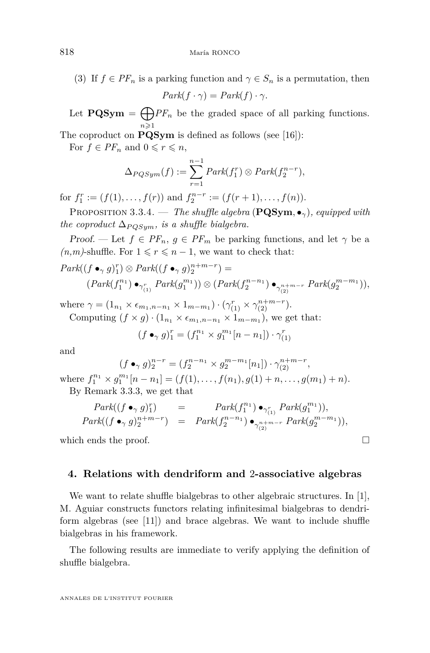(3) If  $f \in PF_n$  is a parking function and  $\gamma \in S_n$  is a permutation, then  $Park(f \cdot \gamma) = Park(f) \cdot \gamma$ .

Let  $\mathbf{PQSym} = \bigoplus PF_n$  be the graded space of all parking functions. *n*>1

The coproduct on **PQSym** is defined as follows (see [\[16\]](#page-52-0)):

For  $f \in PF_n$  and  $0 \leq r \leq n$ ,

$$
\Delta_{PQSym}(f) := \sum_{r=1}^{n-1} Park(f_1^r) \otimes Park(f_2^{n-r}),
$$

for  $f_1^r := (f(1), \ldots, f(r))$  and  $f_2^{n-r} := (f(r + 1), \ldots, f(n)).$ 

Proposition 3.3.4. — *The shuffle algebra* (**PQSym***,* •*γ*)*, equipped with the coproduct*  $\Delta_{PQSym}$ *, is a shuffle bialgebra.* 

*Proof.* — Let  $f \in PF_n$ ,  $g \in PF_m$  be parking functions, and let  $\gamma$  be a *(n,m)*-shuffle. For  $1 \le r \le n-1$ , we want to check that:

$$
Park((f \bullet_{\gamma} g)^{r}_{1}) \otimes Park((f \bullet_{\gamma} g)^{n+m-r}_{2}) =
$$
  
\n
$$
(Park(f^{n_{1}}_{1}) \bullet_{\gamma^{r}_{(1)}} Park(g^{m_{1}}_{1})) \otimes (Park(f^{n-n_{1}}_{2}) \bullet_{\gamma^{n+m-r}_{(2)}} Park(g^{m-m_{1}}_{2})),
$$

where  $\gamma = (1_{n_1} \times \epsilon_{m_1, n-n_1} \times 1_{m-m_1}) \cdot (\gamma_{(1)}^r \times \gamma_{(2)}^{n+m-r}).$ 

Computing  $(f \times g) \cdot (1_{n_1} \times \epsilon_{m_1, n-n_1} \times 1_{m-m_1})$ , we get that:

$$
(f \bullet_\gamma g)^r_1 = (f_1^{n_1} \times g_1^{m_1}[n - n_1]) \cdot \gamma_{(1)}^r
$$

and

$$
(f \bullet_{\gamma} g)_{2}^{n-r} = (f_{2}^{n-n_{1}} \times g_{2}^{m-m_{1}}[n_{1}]) \cdot \gamma_{(2)}^{n+m-r},
$$
  

$$
m_{1} \left( f(1) - f(2) \right) \cdot \gamma_{(2)}^{n+m-r}
$$

where  $f_1^{n_1} \times g_1^{m_1}[n - n_1] = (f(1), \ldots, f(n_1), g(1) + n, \ldots, g(m_1) + n).$ By Remark [3.3.3,](#page-0-0) we get that

$$
Park((f \bullet_{\gamma} g)^{r}_{1}) = Park(f^{n_{1}}_{1}) \bullet_{\gamma^{r}_{(1)}} Park(g^{m_{1}}_{1})),
$$
  
\n
$$
Park((f \bullet_{\gamma} g)^{n+m-r}_{2}) = Park(f^{n-n_{1}}_{2}) \bullet_{\gamma^{n+m-r}_{(2)}} Park(g^{m-n_{1}}_{2})),
$$

which ends the proof.  $\Box$ 

#### **4. Relations with dendriform and** 2**-associative algebras**

We want to relate shuffle bialgebras to other algebraic structures. In [\[1\]](#page-51-0), M. Aguiar constructs functors relating infinitesimal bialgebras to dendriform algebras (see [\[11\]](#page-52-0)) and brace algebras. We want to include shuffle bialgebras in his framework.

The following results are immediate to verify applying the definition of shuffle bialgebra.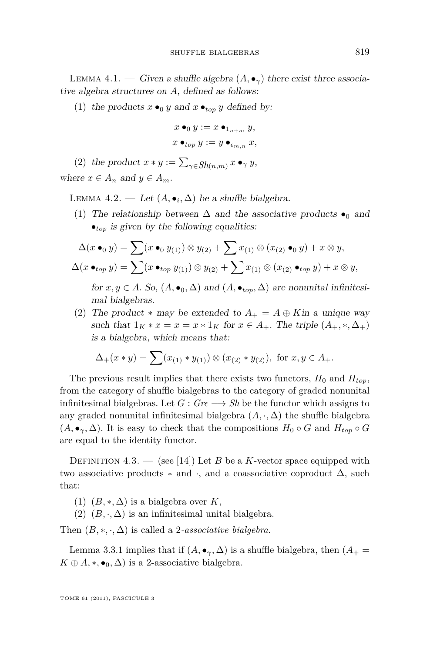LEMMA 4.1. — Given a shuffle algebra  $(A, \bullet_{\gamma})$  there exist three associative algebra structures on *A*, defined as follows:

(1) the products  $x \bullet_0 y$  and  $x \bullet_{top} y$  defined by:

$$
x \bullet_0 y := x \bullet_{1_{n+m}} y,
$$
  

$$
x \bullet_{top} y := y \bullet_{\epsilon_{m,n}} x,
$$

(2) the product  $x * y := \sum_{\gamma \in Sh(n,m)} x \bullet_{\gamma} y$ ,

where  $x \in A_n$  and  $y \in A_m$ .

LEMMA 4.2. — Let  $(A, \bullet_i, \Delta)$  be a shuffle bialgebra.

(1) The relationship between  $\Delta$  and the associative products  $\bullet_0$  and  $\bullet$ <sub>top</sub> is given by the following equalities:

$$
\Delta(x \bullet_0 y) = \sum (x \bullet_0 y_{(1)}) \otimes y_{(2)} + \sum x_{(1)} \otimes (x_{(2)} \bullet_0 y) + x \otimes y,
$$
  

$$
\Delta(x \bullet_{top} y) = \sum (x \bullet_{top} y_{(1)}) \otimes y_{(2)} + \sum x_{(1)} \otimes (x_{(2)} \bullet_{top} y) + x \otimes y,
$$
for  $x \in A$ . So  $(A \bullet A) \text{ and } (A \bullet A)$  are normalized infinite.

for  $x, y \in A$ . So,  $(A, \bullet_0, \Delta)$  and  $(A, \bullet_{top}, \Delta)$  are nonunital infinitesimal bialgebras.

(2) The product  $*$  may be extended to  $A_+ = A \oplus K$  in a unique way such that  $1_K * x = x = x * 1_K$  for  $x \in A_+$ . The triple  $(A_+, *, \Delta_+)$ is a bialgebra, which means that:

$$
\Delta_+(x*y)=\sum(x_{(1)}*y_{(1)})\otimes(x_{(2)}*y_{(2)}), \text{ for } x,y\in A_+.
$$

The previous result implies that there exists two functors,  $H_0$  and  $H_{ton}$ , from the category of shuffle bialgebras to the category of graded nonunital infinitesimal bialgebras. Let  $G: Gre \longrightarrow Sh$  be the functor which assigns to any graded nonunital infinitesimal bialgebra  $(A, \cdot, \Delta)$  the shuffle bialgebra  $(A, \bullet_{\gamma}, \Delta)$ . It is easy to check that the compositions  $H_0 \circ G$  and  $H_{top} \circ G$ are equal to the identity functor.

DEFINITION 4.3. — (see [\[14\]](#page-52-0)) Let *B* be a *K*-vector space equipped with two associative products  $*$  and  $\cdot$ , and a coassociative coproduct  $\Delta$ , such that:

- (1)  $(B, *, \Delta)$  is a bialgebra over *K*,
- (2)  $(B, \cdot, \Delta)$  is an infinitesimal unital bialgebra.

Then  $(B, *, \cdot, \Delta)$  is called a 2-*associative bialgebra*.

Lemma [3.3.1](#page-17-0) implies that if  $(A, \bullet_{\gamma}, \Delta)$  is a shuffle bialgebra, then  $(A_+ =$  $K \oplus A$ ,  $*, \bullet$ <sub>0</sub>,  $\Delta$ ) is a 2-associative bialgebra.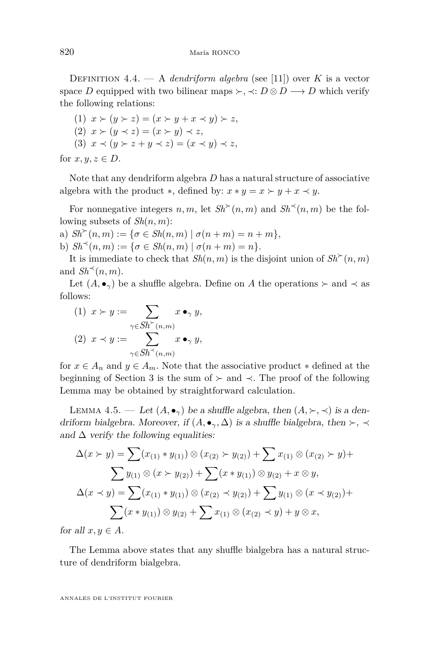Definition 4.4. — A *dendriform algebra* (see [\[11\]](#page-52-0)) over *K* is a vector space *D* equipped with two bilinear maps  $\succ$ ,  $\prec$ :  $D \otimes D \longrightarrow D$  which verify the following relations:

$$
(1) \quad x \succ (y \succ z) = (x \succ y + x \prec y) \succ z,
$$
  

$$
(2) \quad x \succ (y \prec z) = (x \succ y) \prec z,
$$
  

$$
(3) \quad x \prec (y \succ z + y \prec z) = (x \prec y) \prec z,
$$

for  $x, y, z \in D$ .

Note that any dendriform algebra *D* has a natural structure of associative algebra with the product  $*$ , defined by:  $x * y = x \succ y + x \prec y$ .

For nonnegative integers *n, m,* let  $\mathfrak{Sh}^{\succ}(n,m)$  and  $\mathfrak{Sh}^{\prec}(n,m)$  be the following subsets of *Sh*(*n, m*):

 $\{a\}$  *Sh*<sup> $\sim$ </sup>  $(n, m) := {\sigma \in Sh(n, m) \mid \sigma(n + m) = n + m}$ b)  $Sh^{\prec}(n,m) := \{ \sigma \in Sh(n,m) \mid \sigma(n+m) = n \}.$ 

It is immediate to check that  $Sh(n, m)$  is the disjoint union of  $Sh^>(n, m)$ and  $Sh^{\prec}(n, m)$ .

Let  $(A, \bullet_{\gamma})$  be a shuffle algebra. Define on A the operations  $\succ$  and  $\prec$  as follows:

(1) 
$$
x \succ y := \sum_{\gamma \in Sh^{\succ}(n,m)} x \bullet_{\gamma} y,
$$
  
(2)  $x \prec y := \sum_{\gamma \in Sh^{\prec}(n,m)} x \bullet_{\gamma} y,$ 

for  $x \in A_n$  and  $y \in A_m$ . Note that the associative product  $*$  defined at the beginning of Section 3 is the sum of  $\succ$  and  $\prec$ . The proof of the following Lemma may be obtained by straightforward calculation.

LEMMA 4.5. — Let  $(A, \bullet_{\gamma})$  be a shuffle algebra, then  $(A, \succ, \prec)$  is a dendriform bialgebra. Moreover, if  $(A, \bullet_{\gamma}, \Delta)$  is a shuffle bialgebra, then  $\succ$ ,  $\prec$ and  $\Delta$  verify the following equalities:

$$
\Delta(x \succ y) = \sum (x_{(1)} * y_{(1)}) \otimes (x_{(2)} \succ y_{(2)}) + \sum x_{(1)} \otimes (x_{(2)} \succ y) +
$$
  

$$
\sum y_{(1)} \otimes (x \succ y_{(2)}) + \sum (x * y_{(1)}) \otimes y_{(2)} + x \otimes y,
$$
  

$$
\Delta(x \prec y) = \sum (x_{(1)} * y_{(1)}) \otimes (x_{(2)} \prec y_{(2)}) + \sum y_{(1)} \otimes (x \prec y_{(2)}) +
$$
  

$$
\sum (x * y_{(1)}) \otimes y_{(2)} + \sum x_{(1)} \otimes (x_{(2)} \prec y) + y \otimes x,
$$

for all  $x, y \in A$ .

The Lemma above states that any shuffle bialgebra has a natural structure of dendriform bialgebra.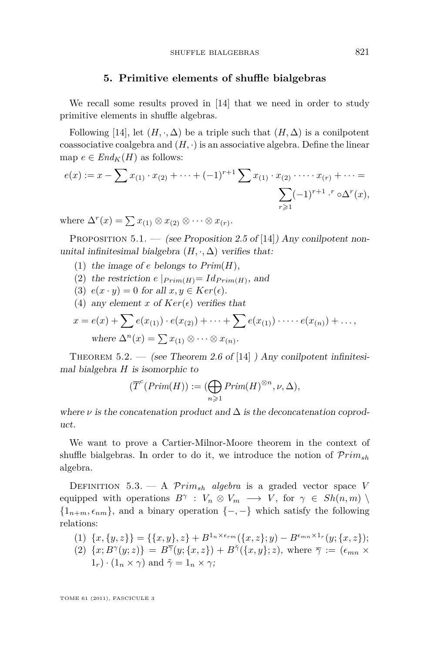#### **5. Primitive elements of shuffle bialgebras**

<span id="page-23-0"></span>We recall some results proved in [\[14\]](#page-52-0) that we need in order to study primitive elements in shuffle algebras.

Following [\[14\]](#page-52-0), let  $(H, \cdot, \Delta)$  be a triple such that  $(H, \Delta)$  is a conilpotent coassociative coalgebra and  $(H, \cdot)$  is an associative algebra. Define the linear map  $e \in End_K(H)$  as follows:

$$
e(x) := x - \sum x_{(1)} \cdot x_{(2)} + \dots + (-1)^{r+1} \sum x_{(1)} \cdot x_{(2)} \cdot \dots \cdot x_{(r)} + \dots = \sum_{r \ge 1} (-1)^{r+1} \cdot {r \cdot \Delta^{r}(x)},
$$

where  $\Delta^r(x) = \sum x_{(1)} \otimes x_{(2)} \otimes \cdots \otimes x_{(r)}$ .

PROPOSITION  $5.1.$  — (see Proposition 2.5 of [\[14\]](#page-52-0)) Any conilpotent nonunital infinitesimal bialgebra  $(H, \cdot, \Delta)$  verifies that:

- (1) the image of *e* belongs to *Prim*(*H*),
- (2) the restriction  $e \mid_{Prim(H)} = Id_{Prim(H)}$ , and
- (3)  $e(x \cdot y) = 0$  for all  $x, y \in Ker(\epsilon)$ .
- (4) any element *x* of  $Ker(\epsilon)$  verifies that

$$
x = e(x) + \sum e(x_{(1)}) \cdot e(x_{(2)}) + \dots + \sum e(x_{(1)}) \cdot \dots \cdot e(x_{(n)}) + \dots,
$$
  
where  $\Delta^n(x) = \sum x_{(1)} \otimes \dots \otimes x_{(n)}$ .

THEOREM  $5.2. -$  (see Theorem 2.6 of [\[14\]](#page-52-0)) Any conilpotent infinitesimal bialgebra *H* is isomorphic to

$$
(\overline{T}^c(Prim(H)) := (\bigoplus_{n \geq 1}Prim(H)^{\otimes n}, \nu, \Delta),
$$

where  $\nu$  is the concatenation product and  $\Delta$  is the deconcatenation coproduct.

We want to prove a Cartier-Milnor-Moore theorem in the context of shuffle bialgebras. In order to do it, we introduce the notion of P*rimsh* algebra.

DEFINITION 5.3. — A  $Prim_{sh}$  algebra is a graded vector space *V* equipped with operations  $B^{\gamma}$  :  $V_n \otimes V_m \longrightarrow V$ , for  $\gamma \in Sh(n,m)$  $\{1_{n+m}, \epsilon_{nm}\}$ , and a binary operation  $\{-,-\}$  which satisfy the following relations:

$$
(1) \ \{x, \{y, z\}\} = \{\{x, y\}, z\} + B^{1_n \times \epsilon_{rm}}(\{x, z\}; y) - B^{\epsilon_{mn} \times 1_r}(y; \{x, z\});
$$

 $(2) \ \{x; B^{\gamma}(y;z)\} = B^{\overline{\gamma}}(y;\{x,z\}) + B^{\tilde{\gamma}}(\{x,y\};z)$ , where  $\overline{\gamma} := (\epsilon_{mn} \times \overline{\gamma})$  $1_r$ ) ·  $(1_n \times \gamma)$  and  $\tilde{\gamma} = 1_n \times \gamma$ ;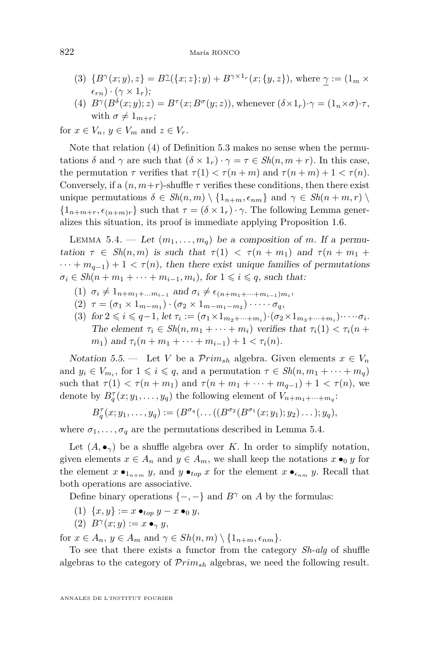- <span id="page-24-0"></span>(3)  ${B^{\gamma}(x; y), z} = B^{\gamma}(\{x; z\}; y) + B^{\gamma \times 1}r(x; \{y, z\})$ , where  $\gamma := (1_m \times$  $\epsilon_{rn}$ )  $\cdot$  ( $\gamma \times 1_r$ );
- (4)  $B^{\gamma}(B^{\delta}(x; y); z) = B^{\tau}(x; B^{\sigma}(y; z))$ , whenever  $(\delta \times 1_r) \cdot \gamma = (1_n \times \sigma) \cdot \tau$ , with  $\sigma \neq 1_{m+r}$ ;

for  $x \in V_n$ ,  $y \in V_m$  and  $z \in V_r$ .

Note that relation (4) of Definition [5.3](#page-23-0) makes no sense when the permutations  $\delta$  and  $\gamma$  are such that  $(\delta \times 1_r) \cdot \gamma = \tau \in Sh(n, m + r)$ . In this case, the permutation  $\tau$  verifies that  $\tau(1) < \tau(n+m)$  and  $\tau(n+m) + 1 < \tau(n)$ . Conversely, if a  $(n, m+r)$ -shuffle  $\tau$  verifies these conditions, then there exist unique permutations  $\delta \in Sh(n,m) \setminus \{1_{n+m}, \epsilon_{nm}\}$  and  $\gamma \in Sh(n+m, r) \setminus$  $\{1_{n+m+r}, \epsilon_{(n+m)r}\}\$  such that  $\tau = (\delta \times 1_r) \cdot \gamma$ . The following Lemma generalizes this situation, its proof is immediate applying Proposition [1.6.](#page-6-0)

LEMMA 5.4. — Let  $(m_1, \ldots, m_q)$  be a composition of m. If a permutation  $\tau \in Sh(n,m)$  is such that  $\tau(1) < \tau(n+m_1)$  and  $\tau(n+m_1 +$  $\cdots + m_{q-1}$ ) + 1 <  $\tau(n)$ , then there exist unique families of permutations  $\sigma_i \in Sh(n+m_1+\cdots+m_{i-1},m_i)$ , for  $1 \leq i \leq q$ , such that:

- $(1)$   $\sigma_i \neq 1_{n+m_1+\dots+m_{i-1}}$  and  $\sigma_i \neq \epsilon_{(n+m_1+\dots+m_{i-1})m_i}$
- $(2)$   $\tau = (\sigma_1 \times 1_{m-m_1}) \cdot (\sigma_2 \times 1_{m-m_1-m_2}) \cdot \cdots \cdot \sigma_q$
- (3) for  $2 \leq i \leq q-1$ , let  $\tau_i := (\sigma_1 \times 1_{m_2 + \dots + m_i}) \cdot (\sigma_2 \times 1_{m_3 + \dots + m_i}) \cdot \dots \cdot \sigma_i$ . The element  $\tau_i \in Sh(n, m_1 + \cdots + m_i)$  verifies that  $\tau_i(1) < \tau_i(n+1)$ *m*<sub>1</sub>) and  $\tau_i(n+m_1+\cdots+m_{i-1})+1<\tau_i(n)$ .

Notation 5.5. — Let *V* be a  $Prim_{sh}$  algebra. Given elements  $x \in V_n$ and  $y_i \in V_{m_i}$ , for  $1 \leqslant i \leqslant q$ , and a permutation  $\tau \in Sh(n, m_1 + \cdots + m_q)$ such that  $\tau(1) < \tau(n+m_1)$  and  $\tau(n+m_1+\cdots+m_{q-1})+1 < \tau(n)$ , we denote by  $B_q^{\tau}(x; y_1, \ldots, y_q)$  the following element of  $V_{n+m_1+\cdots+m_q}$ :

$$
B_q^{\tau}(x; y_1, \ldots, y_q) := (B^{\sigma_q}(\ldots((B^{\sigma_2}(B^{\sigma_1}(x; y_1); y_2) \ldots); y_q),
$$

where  $\sigma_1, \ldots, \sigma_q$  are the permutations described in Lemma 5.4.

Let  $(A, \bullet_\gamma)$  be a shuffle algebra over *K*. In order to simplify notation, given elements  $x \in A_n$  and  $y \in A_m$ , we shall keep the notations  $x \bullet_0 y$  for the element  $x \bullet_{1_{n+m}} y$ , and  $y \bullet_{top} x$  for the element  $x \bullet_{\epsilon_{nm}} y$ . Recall that both operations are associative.

Define binary operations  $\{-,-\}$  and  $B^{\gamma}$  on *A* by the formulas:

- $(1) \{x, y\} := x \bullet_{top} y x \bullet_0 y,$
- (2)  $B^{\gamma}(x; y) := x \bullet_{\gamma} y,$

for  $x \in A_n$ ,  $y \in A_m$  and  $\gamma \in Sh(n,m) \setminus \{1_{n+m}, \epsilon_{nm}\}.$ 

To see that there exists a functor from the category *Sh-alg* of shuffle algebras to the category of P*rimsh* algebras, we need the following result.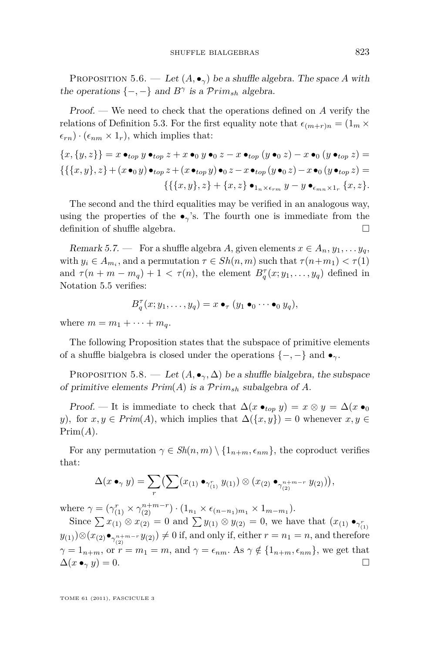<span id="page-25-0"></span>PROPOSITION 5.6. — Let  $(A, \bullet_{\gamma})$  be a shuffle algebra. The space A with the operations  $\{-,-\}$  and  $B^{\gamma}$  is a  $\mathcal{P}^{r}$ *im<sub>sh</sub>* algebra.

Proof. — We need to check that the operations defined on *A* verify the relations of Definition [5.3.](#page-23-0) For the first equality note that  $\epsilon_{(m+r)n} = (1_m \times$  $\epsilon_{rn}$ )  $\cdot$  ( $\epsilon_{nm} \times 1_r$ ), which implies that:

$$
\{x, \{y, z\}\}=x \bullet_{top} y \bullet_{top} z + x \bullet_0 y \bullet_0 z - x \bullet_{top} (y \bullet_0 z) - x \bullet_0 (y \bullet_{top} z) =
$$
  

$$
\{\{\{x, y\}, z\} + (x \bullet_0 y) \bullet_{top} z + (x \bullet_{top} y) \bullet_0 z - x \bullet_{top} (y \bullet_0 z) - x \bullet_0 (y \bullet_{top} z) =
$$
  

$$
\{\{\{x, y\}, z\} + \{x, z\} \bullet_{1_n \times \epsilon_{rm}} y - y \bullet_{\epsilon_{mn} \times 1_r} \{x, z\}.
$$

The second and the third equalities may be verified in an analogous way, using the properties of the  $\bullet_\gamma$ 's. The fourth one is immediate from the definition of shuffle algebra.

Remark 5.7. — For a shuffle algebra *A*, given elements  $x \in A_n, y_1, \ldots, y_q$ , with  $y_i \in A_{m_i}$ , and a permutation  $\tau \in Sh(n, m)$  such that  $\tau(n+m_1) < \tau(1)$ and  $\tau(n+m-m_q)+1 < \tau(n)$ , the element  $B_q^{\tau}(x; y_1, \ldots, y_q)$  defined in Notation [5.5](#page-24-0) verifies:

$$
B_q^{\tau}(x; y_1,\ldots,y_q)=x\bullet_{\tau}(y_1\bullet_0\cdots\bullet_0 y_q),
$$

where  $m = m_1 + \cdots + m_q$ .

The following Proposition states that the subspace of primitive elements of a shuffle bialgebra is closed under the operations  $\{-, -\}$  and  $\bullet_\gamma$ .

PROPOSITION 5.8. — Let  $(A, \bullet_{\gamma}, \Delta)$  be a shuffle bialgebra, the subspace of primitive elements *Prim*(*A*) is a P*rimsh* subalgebra of *A*.

Proof. — It is immediate to check that  $\Delta(x \bullet_{top} y) = x \otimes y = \Delta(x \bullet_0$ *y*)*,* for  $x, y \in Prim(A)$ *,* which implies that  $\Delta({x, y}) = 0$  whenever  $x, y \in$ Prim(*A*).

For any permutation  $\gamma \in Sh(n,m) \setminus \{1_{n+m}, \epsilon_{nm}\}$ , the coproduct verifies that:

$$
\Delta(x \bullet_\gamma y) = \sum_r \bigl( \sum (x_{(1)} \bullet_{\gamma_{(1)}^r} y_{(1)}) \otimes (x_{(2)} \bullet_{\gamma_{(2)}^{n+m-r}} y_{(2)}) \bigr),
$$

where  $\gamma = (\gamma_{(1)}^r \times \gamma_{(2)}^{n+m-r}) \cdot (1_{n_1} \times \epsilon_{(n-n_1)m_1} \times 1_{m-m_1}).$ 

Since  $\sum x_{(1)} \otimes x_{(2)} = 0$  and  $\sum y_{(1)} \otimes y_{(2)} = 0$ , we have that  $(x_{(1)} \bullet_{\gamma_{(1)}^r}$  $y_{(1)}$ )⊗ $(x_{(2)} \bullet_{\gamma_{(2)}^{n+m-r}} y_{(2)}) \neq 0$  if, and only if, either  $r = n_1 = n$ , and therefore  $\gamma = 1_{n+m}$ , or  $r = m_1 = m$ , and  $\gamma = \epsilon_{nm}$ . As  $\gamma \notin \{1_{n+m}, \epsilon_{nm}\}$ , we get that  $\Delta(x \bullet_\gamma y) = 0.$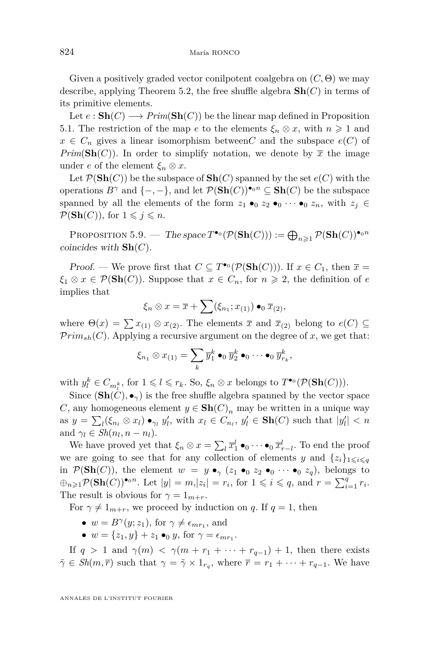<span id="page-26-0"></span>Given a positively graded vector conilpotent coalgebra on (*C,* Θ) we may describe, applying Theorem [5.2,](#page-23-0) the free shuffle algebra **Sh**(*C*) in terms of its primitive elements.

Let  $e : \mathbf{Sh}(C) \longrightarrow Prim(\mathbf{Sh}(C))$  be the linear map defined in Proposition [5.1.](#page-23-0) The restriction of the map *e* to the elements  $\xi_n \otimes x$ , with  $n \geq 1$  and  $x \in C_n$  gives a linear isomorphism between *C* and the subspace  $e(C)$  of *Prim*( $\text{Sh}(C)$ ). In order to simplify notation, we denote by  $\overline{x}$  the image under *e* of the element  $\xi_n \otimes x$ .

Let  $\mathcal{P}(\mathbf{Sh}(C))$  be the subspace of  $\mathbf{Sh}(C)$  spanned by the set  $e(C)$  with the operations  $B^{\gamma}$  and  $\{-,-\}$ , and let  $\mathcal{P}(\mathbf{Sh}(C))^{\bullet_0 n} \subseteq \mathbf{Sh}(C)$  be the subspace spanned by all the elements of the form  $z_1 \bullet_0 z_2 \bullet_0 \cdots \bullet_0 z_n$ , with  $z_i \in$  $\mathcal{P}(\mathbf{Sh}(C))$ , for  $1 \leqslant j \leqslant n$ .

PROPOSITION 5.9. — The space  $T^{\bullet_0}(\mathcal{P}(\mathbf{Sh}(C))) := \bigoplus_{n \geqslant 1} \mathcal{P}(\mathbf{Sh}(C))^{\bullet_0 n}$ coincides with **Sh**(*C*).

*Proof.* — We prove first that  $C \subseteq T^{\bullet}(\mathcal{P}(\mathbf{Sh}(C)))$ . If  $x \in C_1$ , then  $\overline{x} =$  $\xi_1 \otimes x \in \mathcal{P}(\mathbf{Sh}(C))$ . Suppose that  $x \in C_n$ , for  $n \geq 2$ , the definition of *e* implies that

$$
\xi_n \otimes x = \overline{x} + \sum (\xi_{n_1}; x_{(1)}) \bullet_0 \overline{x}_{(2)},
$$

where  $\Theta(x) = \sum x_{(1)} \otimes x_{(2)}$ . The elements  $\overline{x}$  and  $\overline{x}_{(2)}$  belong to  $e(C) \subseteq$  $Prim_{sh}(C)$ . Applying a recursive argument on the degree of x, we get that:

$$
\xi_{n_1} \otimes x_{(1)} = \sum_k \overline{y}_1^k \bullet_0 \overline{y}_2^k \bullet_0 \cdots \bullet_0 \overline{y}_{r_k}^k,
$$

with  $y_l^k \in C_{m_l^k}$ , for  $1 \leq l \leq r_k$ . So,  $\xi_n \otimes x$  belongs to  $T^{\bullet_0}(\mathcal{P}(\mathbf{Sh}(C)))$ .

Since  $(\mathbf{Sh}(C), \bullet_{\gamma})$  is the free shuffle algebra spanned by the vector space *C*, any homogeneous element  $y \in Sh(C)_n$  may be written in a unique way as  $y = \sum_l (\xi_{n_l} \otimes x_l) \bullet_{\gamma_l} y'_l$ , with  $x_l \in C_{n_l}$ ,  $y'_l \in \mathbf{Sh}(C)$  such that  $|y'_l| < n$ and  $\gamma_l \in Sh(n_l, n - n_l)$ .

We have proved yet that  $\xi_n \otimes x = \sum_l \overline{x}_1^l \bullet_0 \cdots \bullet_0 \overline{x}_{r-l}^l$ . To end the proof we are going to see that for any collection of elements *y* and  $\{z_i\}_{1\leq i\leq q}$ in  $\mathcal{P}(\mathbf{Sh}(C))$ , the element  $w = y \bullet_{\gamma} (z_1 \bullet_0 z_2 \bullet_0 \cdots \bullet_0 z_q)$ , belongs to  $\bigoplus_{n\geqslant 1} P(\textbf{Sh}(C))^{\bullet \circ n}$ . Let  $|y| = m, |z_i| = r_i$ , for  $1 \leqslant i \leqslant q$ , and  $r = \sum_{i=1}^q r_i$ . The result is obvious for  $\gamma = 1_{m+r}$ .

For  $\gamma \neq 1_{m+r}$ , we proceed by induction on *q*. If  $q = 1$ , then

- $w = B^{\gamma}(y; z_1)$ , for  $\gamma \neq \epsilon_{mr_1}$ , and
- $w = \{z_1, y\} + z_1 \bullet_0 y$ , for  $\gamma = \epsilon_{mr_1}$ .

If  $q > 1$  and  $\gamma(m) < \gamma(m+r_1+\cdots+r_{q-1})+1$ , then there exists  $\tilde{\gamma} \in Sh(m, \overline{r})$  such that  $\gamma = \tilde{\gamma} \times 1_{r_q}$ , where  $\overline{r} = r_1 + \cdots + r_{q-1}$ . We have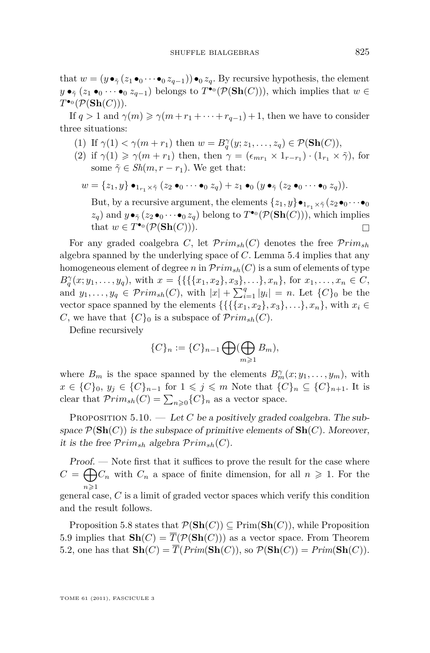<span id="page-27-0"></span>that  $w = (y \bullet_{\tilde{\gamma}} (z_1 \bullet_0 \cdots \bullet_0 z_{q-1})) \bullet_0 z_q$ . By recursive hypothesis, the element  $y \bullet_{\tilde{\gamma}} (z_1 \bullet_0 \cdots \bullet_0 z_{q-1})$  belongs to  $T^{\bullet_0}(\mathcal{P}(\mathbf{Sh}(C)))$ , which implies that  $w \in$  $T^{\bullet}$ <sup>0</sup> $(\mathcal{P}(\mathbf{Sh}(C)))$ .

If  $q > 1$  and  $\gamma(m) \geq \gamma(m + r_1 + \cdots + r_{q-1}) + 1$ , then we have to consider three situations:

- (1) If  $\gamma(1) < \gamma(m + r_1)$  then  $w = B_q^{\gamma}(y; z_1, \dots, z_q) \in \mathcal{P}(\mathbf{Sh}(C)),$
- (2) if  $\gamma(1) \geq \gamma(m+r_1)$  then, then  $\gamma = (\epsilon_{mr_1} \times 1_{r-r_1}) \cdot (1_{r_1} \times \tilde{\gamma})$ , for some  $\tilde{\gamma} \in Sh(m, r - r_1)$ . We get that:

$$
w = \{z_1, y\} \bullet_{1_{r_1} \times \tilde{\gamma}} (z_2 \bullet_0 \cdots \bullet_0 z_q) + z_1 \bullet_0 (y \bullet_{\tilde{\gamma}} (z_2 \bullet_0 \cdots \bullet_0 z_q)).
$$

But, by a recursive argument, the elements  $\{z_1, y\} \bullet_{1_{r_1} \times \tilde{\gamma}} (z_2 \bullet_0 \cdots \bullet_0$  $z_q$ ) and  $y \bullet_{\tilde{\gamma}} (z_2 \bullet_0 \cdots \bullet_0 z_q)$  belong to  $T^{\bullet_0}(\mathcal{P}(\mathbf{Sh}(C)))$ , which implies that  $w \in T^{\bullet_0}(\mathcal{P}(\mathbf{Sh}(C)))$ .

For any graded coalgebra *C*, let  $Prim_{sh}(C)$  denotes the free  $Prim_{sh}$ algebra spanned by the underlying space of *C*. Lemma [5.4](#page-24-0) implies that any homogeneous element of degree *n* in  $Prim_{sh}(C)$  is a sum of elements of type  $B_q^{\gamma}(x; y_1, \ldots, y_q)$ , with  $x = \{\{\{\{x_1, x_2\}, x_3\}, \ldots\}, x_n\}$ , for  $x_1, \ldots, x_n \in C$ , and  $y_1, \ldots, y_q \in \mathcal{P} \text{rim}_{sh}(C)$ , with  $|x| + \sum_{i=1}^q |y_i| = n$ . Let  $\{C\}_0$  be the vector space spanned by the elements  $\{\{\{\{x_1, x_2\}, x_3\}, \ldots\}, x_n\}$ , with  $x_i \in$ *C*, we have that  ${C}_0$  is a subspace of  $Prim_{sh}(C)$ .

Define recursively

$$
\{C\}_n := \{C\}_{n-1} \bigoplus (\bigoplus_{m \geq 1} B_m),
$$

where  $B_m$  is the space spanned by the elements  $B_m^{\gamma}(x; y_1, \ldots, y_m)$ , with *x* ∈ {*C*}<sub>0</sub>, *y*<sub>*j*</sub> ∈ {*C*}<sub>*n*−1</sub> for 1 ≤ *j* ≤ *m* Note that {*C*}<sub>*n*</sub> ⊆ {*C*}<sub>*n*+1</sub>. It is clear that  $Prim_{sh}(C) = \sum_{n\geqslant 0} \{C\}_n$  as a vector space.

PROPOSITION  $5.10.$  — Let *C* be a positively graded coalgebra. The subspace  $\mathcal{P}(\mathbf{Sh}(C))$  is the subspace of primitive elements of  $\mathbf{Sh}(C)$ . Moreover, it is the free  $Prim_{sh}$  algebra  $Prim_{sh}(C)$ .

Proof. — Note first that it suffices to prove the result for the case where  $C = \bigoplus C_n$  with  $C_n$  a space of finite dimension, for all  $n \geq 1$ . For the *n*>1 general case, *C* is a limit of graded vector spaces which verify this condition

and the result follows. Proposition [5.8](#page-25-0) states that  $\mathcal{P}(\mathbf{Sh}(C)) \subseteq \mathrm{Prim}(\mathbf{Sh}(C))$ , while Proposition

[5.9](#page-26-0) implies that  $\mathbf{Sh}(C) = \overline{T}(\mathcal{P}(\mathbf{Sh}(C)))$  as a vector space. From Theorem [5.2,](#page-23-0) one has that  $\mathbf{Sh}(C) = \overline{T}(Prim(\mathbf{Sh}(C)),$  so  $\mathcal{P}(\mathbf{Sh}(C)) = Prim(\mathbf{Sh}(C)).$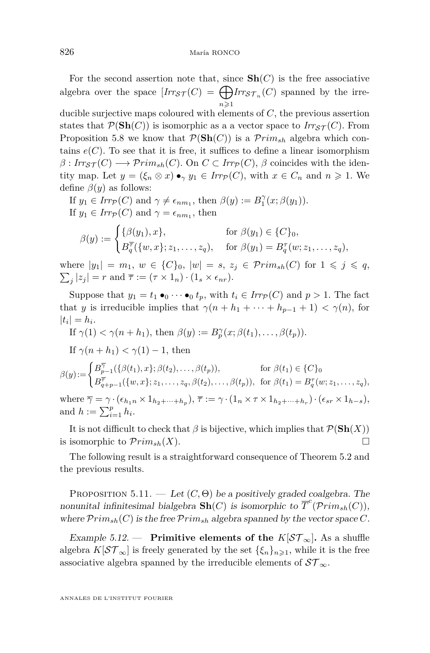<span id="page-28-0"></span>For the second assertion note that, since  $\mathbf{Sh}(C)$  is the free associative algebra over the space  $[Irr_{\mathcal{ST}}(C) = \bigoplus Irr_{\mathcal{ST}_n}(C)$  spanned by the irre*n*>1

ducible surjective maps coloured with elements of *C*, the previous assertion states that  $\mathcal{P}(\mathbf{Sh}(C))$  is isomorphic as a a vector space to  $Irr_{\mathcal{ST}}(C)$ . From Proposition [5.8](#page-25-0) we know that  $\mathcal{P}(\mathbf{Sh}(C))$  is a  $\mathcal{P}rim_{sh}$  algebra which contains  $e(C)$ . To see that it is free, it suffices to define a linear isomorphism  $\beta: Irr_{ST}(C) \longrightarrow Prim_{sh}(C)$ . On  $C \subset Irr_{\mathcal{P}}(C)$ ,  $\beta$  coincides with the identity map. Let  $y = (\xi_n \otimes x) \bullet_\gamma y_1 \in Irr_{\mathcal{P}}(C)$ , with  $x \in C_n$  and  $n \geq 1$ . We define  $\beta(y)$  as follows:

If  $y_1 \in \text{Irr}_{\mathcal{P}}(C)$  and  $\gamma \neq \epsilon_{nm_1}$ , then  $\beta(y) := B_1^{\gamma}(x; \beta(y_1))$ . If  $y_1 \in \text{Irr}_{\mathcal{P}}(C)$  and  $\gamma = \epsilon_{nm_1}$ , then

$$
\beta(y) := \begin{cases} \{\beta(y_1), x\}, & \text{for } \beta(y_1) \in \{C\}_0, \\ B_q^{\overline{\tau}}(\{w, x\}; z_1, \dots, z_q), & \text{for } \beta(y_1) = B_q^{\tau}(w; z_1, \dots, z_q), \end{cases}
$$

where  $|y_1| = m_1$ ,  $w \in \{C\}_0$ ,  $|w| = s$ ,  $z_j \in \mathcal{P}^{r}$ *i* $m_{sh}(C)$  for  $1 \leq j \leq q$ ,  $\sum_{j} |z_j| = r$  and  $\overline{\tau} := (\tau \times 1_n) \cdot (1_s \times \epsilon_{nr}).$ 

Suppose that  $y_1 = t_1 \bullet_0 \cdots \bullet_0 t_p$ , with  $t_i \in \text{Irr}_\mathcal{P}(C)$  and  $p > 1$ . The fact that *y* is irreducible implies that  $\gamma(n+h_1+\cdots+h_{p-1}+1) < \gamma(n)$ , for  $|t_i| = h_i.$ 

If 
$$
\gamma(1) < \gamma(n+h_1)
$$
, then  $\beta(y) := B_p^{\gamma}(x; \beta(t_1), \dots, \beta(t_p))$ .

If  $\gamma(n+h_1) < \gamma(1) - 1$ , then

$$
\beta(y) := \begin{cases} B_{p-1}^{\overline{\gamma}}(\{\beta(t_1), x\}; \beta(t_2), \dots, \beta(t_p)), & \text{for } \beta(t_1) \in \{C\}_0 \\ B_{q+p-1}^{\overline{\gamma}}(\{w, x\}; z_1, \dots, z_q, \beta(t_2), \dots, \beta(t_p)), & \text{for } \beta(t_1) = B_q^{\tau}(w; z_1, \dots, z_q), \end{cases}
$$
  
where  $\overline{\gamma} = \gamma \cdot (\epsilon_{h_1 n} \times 1_{h_2 + \dots + h_p}), \overline{\tau} := \gamma \cdot (1_n \times \tau \times 1_{h_2 + \dots + h_r}) \cdot (\epsilon_{sr} \times 1_{h-s}),$   
and  $h := \sum_{i=1}^p h_i.$ 

It is not difficult to check that  $\beta$  is bijective, which implies that  $\mathcal{P}(\mathbf{Sh}(X))$ is isomorphic to  $Prim_{sh}(X)$ .

The following result is a straightforward consequence of Theorem [5.2](#page-23-0) and the previous results.

PROPOSITION 5.11. — Let  $(C, \Theta)$  be a positively graded coalgebra. The nonunital infinitesimal bialgebra  $\mathbf{Sh}(C)$  is isomorphic to  $\overline{T}^c(\overline{\mathcal{P}r}im_{sh}(C))$ , where  $Prim_{sh}(C)$  is the free  $Prim_{sh}$  algebra spanned by the vector space  $C$ .

Example 5.12. – **Primitive elements of the**  $K[\mathcal{ST}_{\infty}]$ . As a shuffle algebra  $K[\mathcal{ST}_{\infty}]$  is freely generated by the set  $\{\xi_n\}_{n\geq 1}$ , while it is the free associative algebra spanned by the irreducible elements of  $ST_{\infty}$ .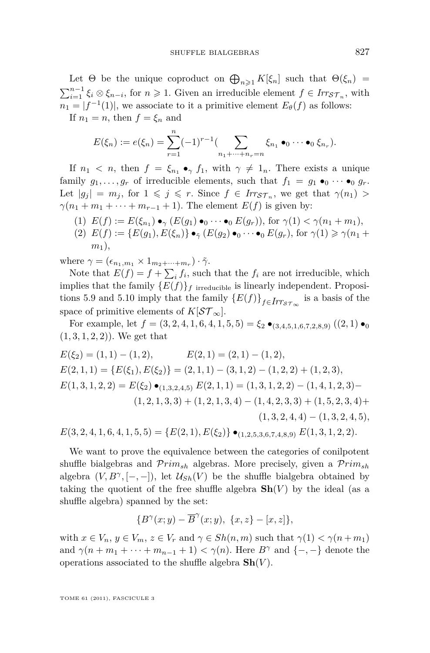Let  $\Theta$  be the unique coproduct on  $\bigoplus_{n\geqslant 1} K[\xi_n]$  such that  $\Theta(\xi_n) =$  $\sum_{i=1}^{n-1} \xi_i \otimes \xi_{n-i}$ , for  $n \geq 1$ . Given an irreducible element  $f \in \text{Irr}_{ST_n}$ , with  $n_1 = |f^{-1}(1)|$ , we associate to it a primitive element  $E_{\theta}(f)$  as follows:

If  $n_1 = n$ , then  $f = \xi_n$  and

$$
E(\xi_n) := e(\xi_n) = \sum_{r=1}^n (-1)^{r-1} \left( \sum_{n_1 + \dots + n_r = n} \xi_{n_1} \bullet_0 \cdots \bullet_0 \xi_{n_r} \right).
$$

If  $n_1 < n$ , then  $f = \xi_{n_1} \bullet_{\gamma} f_1$ , with  $\gamma \neq 1_n$ . There exists a unique family  $g_1, \ldots, g_r$  of irreducible elements, such that  $f_1 = g_1 \bullet_0 \cdots \bullet_0 g_r$ . Let  $|g_j| = m_j$ , for  $1 \leq j \leq r$ . Since  $f \in Irr_{ST_n}$ , we get that  $\gamma(n_1) >$  $\gamma(n_1 + m_1 + \cdots + m_{r-1} + 1)$ . The element  $E(f)$  is given by:

(1)  $E(f) := E(\xi_{n_1}) \bullet_\gamma (E(g_1) \bullet_0 \cdots \bullet_0 E(g_r)),$  for  $\gamma(1) < \gamma(n_1 + m_1),$ (2)  $E(f) := {E(g_1), E(\xi_n)} \bullet_{\tilde{\gamma}} (E(g_2) \bullet_0 \cdots \bullet_0 E(g_r), \text{ for } \gamma(1) \geq \gamma(n_1 + \xi_n)$  $m_1$ ),

where  $\gamma = (\epsilon_{n_1,m_1} \times 1_{m_2+\cdots+m_r}) \cdot \tilde{\gamma}.$ 

Note that  $E(f) = f + \sum_i f_i$ , such that the  $f_i$  are not irreducible, which implies that the family  ${E(f)}_f$  irreducible is linearly independent. Proposi-tions [5.9](#page-26-0) and [5.10](#page-27-0) imply that the family  ${E(f)}_{f \in Irr_{S\tau_{\infty}}}$  is a basis of the space of primitive elements of  $K[\mathcal{ST}_{\infty}].$ 

For example, let  $f = (3, 2, 4, 1, 6, 4, 1, 5, 5) = \xi_2 \bullet_{(3,4,5,1,6,7,2,8,9)} ((2, 1) \bullet_0$ (1*,* 3*,* 1*,* 2*,* 2))*.* We get that

$$
E(\xi_2) = (1, 1) - (1, 2), \qquad E(2, 1) = (2, 1) - (1, 2),
$$
  
\n
$$
E(2, 1, 1) = \{E(\xi_1), E(\xi_2)\} = (2, 1, 1) - (3, 1, 2) - (1, 2, 2) + (1, 2, 3),
$$
  
\n
$$
E(1, 3, 1, 2, 2) = E(\xi_2) \bullet_{(1, 3, 2, 4, 5)} E(2, 1, 1) = (1, 3, 1, 2, 2) - (1, 4, 1, 2, 3) - (1, 2, 1, 3, 3) + (1, 2, 1, 3, 4) - (1, 4, 2, 3, 3) + (1, 5, 2, 3, 4) + (1, 3, 2, 4, 4) - (1, 3, 2, 4, 5),
$$
  
\n
$$
E(3, 2, 4, 1, 6, 4, 1, 5, 5) = \{E(2, 1), E(\xi_2)\} \bullet_{(1, 2, 5, 3, 6, 7, 4, 8, 9)} E(1, 3, 1, 2, 2).
$$

We want to prove the equivalence between the categories of conilpotent shuffle bialgebras and P*rimsh* algebras. More precisely, given a P*rimsh* algebra  $(V, B^{\gamma}, [-,-])$ , let  $\mathcal{U}_{Sh}(V)$  be the shuffle bialgebra obtained by taking the quotient of the free shuffle algebra  $\mathbf{Sh}(V)$  by the ideal (as a shuffle algebra) spanned by the set:

$$
\{B^\gamma(x;y)-\overline{B}^\gamma(x;y),\ \{x,z\}-[x,z]\},
$$

with  $x \in V_n$ ,  $y \in V_m$ ,  $z \in V_r$  and  $\gamma \in Sh(n, m)$  such that  $\gamma(1) < \gamma(n + m_1)$ and  $\gamma(n+m_1+\cdots+m_{n-1}+1)<\gamma(n)$ . Here  $B^{\gamma}$  and  $\{-,-\}$  denote the operations associated to the shuffle algebra  $\mathbf{Sh}(V)$ .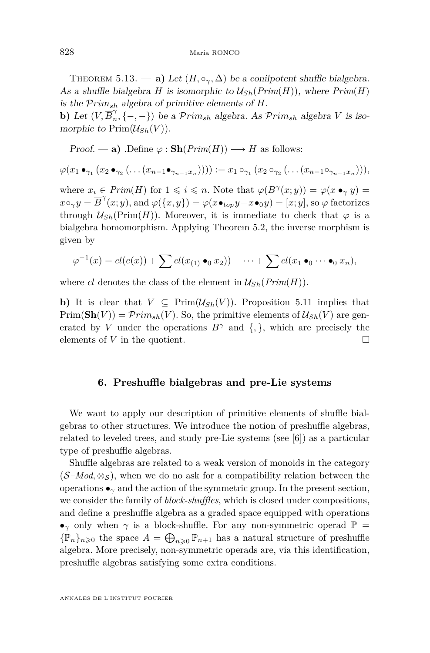<span id="page-30-0"></span>THEOREM 5.13. — **a**) Let  $(H, \circ_{\gamma}, \Delta)$  be a conilpotent shuffle bialgebra. As a shuffle bialgebra *H* is isomorphic to  $\mathcal{U}_{Sh}(Prim(H))$ , where  $Prim(H)$ is the P*rimsh* algebra of primitive elements of *H*.

**b**) Let  $(V, \overline{B}_n^{\gamma})$ *n ,* {−*,* −}) be a P*rimsh* algebra. As P*rimsh* algebra *V* is isomorphic to  $\text{Prim}(\mathcal{U}_{Sh}(V)).$ 

Proof. — **a**) .Define  $\varphi : \mathbf{Sh}(Prim(H)) \longrightarrow H$  as follows:

$$
\varphi(x_1\bullet_{\gamma_1}(x_2\bullet_{\gamma_2}(\ldots(x_{n-1}\bullet_{\gamma_{n-1}x_n})))):=x_1\circ_{\gamma_1}(x_2\circ_{\gamma_2}(\ldots(x_{n-1}\circ_{\gamma_{n-1}x_n}))),
$$

where  $x_i \in Prim(H)$  for  $1 \leq i \leq n$ . Note that  $\varphi(B^{\gamma}(x; y)) = \varphi(x \bullet_{\gamma} y) =$  $x \circ_\gamma y = \overline{B}^\gamma(x; y)$ , and  $\varphi(\{x, y\}) = \varphi(x \bullet_{top} y - x \bullet_0 y) = [x; y]$ , so  $\varphi$  factorizes through  $\mathcal{U}_{Sh}(\text{Prim}(H))$ . Moreover, it is immediate to check that  $\varphi$  is a bialgebra homomorphism. Applying Theorem [5.2,](#page-23-0) the inverse morphism is given by

$$
\varphi^{-1}(x) = cl(e(x)) + \sum cl(x_{(1)} \bullet_0 x_2)) + \cdots + \sum cl(x_1 \bullet_0 \cdots \bullet_0 x_n),
$$

where *cl* denotes the class of the element in  $\mathcal{U}_{Sh}(Prim(H)).$ 

**b)** It is clear that  $V \subseteq \text{Prim}(\mathcal{U}_{Sh}(V))$ . Proposition [5.11](#page-28-0) implies that  $Prim(\mathbf{Sh}(V)) = Prim_{sh}(V)$ . So, the primitive elements of  $\mathcal{U}_{Sh}(V)$  are generated by *V* under the operations  $B^{\gamma}$  and  $\{,\}$ , which are precisely the elements of  $V$  in the quotient.

#### **6. Preshuffle bialgebras and pre-Lie systems**

We want to apply our description of primitive elements of shuffle bialgebras to other structures. We introduce the notion of preshuffle algebras, related to leveled trees, and study pre-Lie systems (see [\[6\]](#page-52-0)) as a particular type of preshuffle algebras.

Shuffle algebras are related to a weak version of monoids in the category  $(S-Mod, \otimes_{\mathcal{S}})$ , when we do no ask for a compatibility relation between the operations  $\bullet_\gamma$  and the action of the symmetric group. In the present section, we consider the family of *block-shuffles*, which is closed under compositions, and define a preshuffle algebra as a graded space equipped with operations •<sub>γ</sub> only when  $\gamma$  is a block-shuffle. For any non-symmetric operad  $\mathbb{P}$  =  $\{\mathbb{P}_n\}_{n\geqslant 0}$  the space  $A = \bigoplus_{n\geqslant 0} \mathbb{P}_{n+1}$  has a natural structure of preshuffle algebra. More precisely, non-symmetric operads are, via this identification, preshuffle algebras satisfying some extra conditions.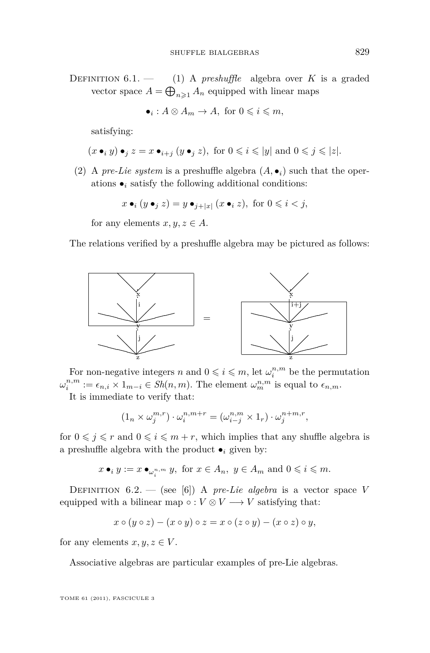DEFINITION  $6.1$  – (1) A *preshuffle* algebra over *K* is a graded vector space  $A = \bigoplus_{n \geqslant 1} A_n$  equipped with linear maps

$$
\bullet_i: A \otimes A_m \to A, \text{ for } 0 \leqslant i \leqslant m,
$$

satisfying:

$$
(x \bullet_i y) \bullet_j z = x \bullet_{i+j} (y \bullet_j z), \text{ for } 0 \leq i \leq |y| \text{ and } 0 \leq j \leq |z|.
$$

(2) A *pre-Lie system* is a preshuffle algebra  $(A, \bullet_i)$  such that the operations  $\bullet_i$  satisfy the following additional conditions:

$$
x \bullet_i (y \bullet_j z) = y \bullet_{j+|x|} (x \bullet_i z), \text{ for } 0 \leq i < j,
$$

for any elements  $x, y, z \in A$ .

The relations verified by a preshuffle algebra may be pictured as follows:



For non-negative integers *n* and  $0 \leq i \leq m$ , let  $\omega_i^{n,m}$  be the permutation  $\omega_i^{n,m} := \epsilon_{n,i} \times 1_{m-i} \in Sh(n,m)$ . The element  $\omega_m^{n,m}$  is equal to  $\epsilon_{n,m}$ .

It is immediate to verify that:

$$
(1_n \times \omega_j^{m,r}) \cdot \omega_i^{n,m+r} = (\omega_{i-j}^{n,m} \times 1_r) \cdot \omega_j^{n+m,r},
$$

for  $0 \leq j \leq r$  and  $0 \leq i \leq m+r$ , which implies that any shuffle algebra is a preshuffle algebra with the product  $\bullet_i$  given by:

$$
x \bullet_i y := x \bullet_{\omega_i^{n,m}} y, \text{ for } x \in A_n, y \in A_m \text{ and } 0 \leqslant i \leqslant m.
$$

DEFINITION  $6.2$ . — (see [\[6\]](#page-52-0)) A *pre-Lie algebra* is a vector space *V* equipped with a bilinear map  $\circ : V \otimes V \longrightarrow V$  satisfying that:

$$
x \circ (y \circ z) - (x \circ y) \circ z = x \circ (z \circ y) - (x \circ z) \circ y,
$$

for any elements  $x, y, z \in V$ .

Associative algebras are particular examples of pre-Lie algebras.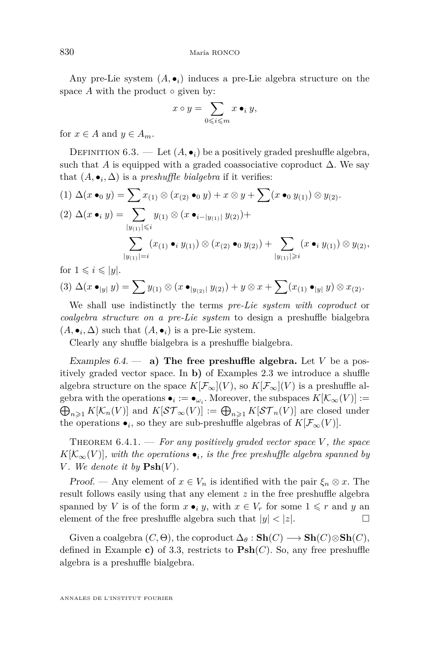Any pre-Lie system  $(A, \bullet_i)$  induces a pre-Lie algebra structure on the space  $A$  with the product  $\circ$  given by:

$$
x\circ y=\sum_{0\leqslant i\leqslant m}x\bullet_i y,
$$

for  $x \in A$  and  $y \in A_m$ .

DEFINITION  $6.3.$  — Let  $(A, \bullet_i)$  be a positively graded preshuffle algebra, such that *A* is equipped with a graded coassociative coproduct  $\Delta$ . We say that  $(A, \bullet_i, \Delta)$  is a *preshuffle bialgebra* if it verifies:

$$
(1) \ \Delta(x \bullet_0 y) = \sum x_{(1)} \otimes (x_{(2)} \bullet_0 y) + x \otimes y + \sum (x \bullet_0 y_{(1)}) \otimes y_{(2)}.
$$
  

$$
(2) \ \Delta(x \bullet_i y) = \sum_{|y_{(1)}| \leq i} y_{(1)} \otimes (x \bullet_{i-|y_{(1)}|} y_{(2)}) + \sum_{|y_{(1)}| = i} (x_{(1)} \bullet_i y_{(1)}) \otimes (x_{(2)} \bullet_0 y_{(2)}) + \sum_{|y_{(1)}| \geq i} (x \bullet_i y_{(1)}) \otimes y_{(2)},
$$

for  $1 \leqslant i \leqslant |y|$ .

$$
(3) \Delta(x \bullet_{|y|} y) = \sum y_{(1)} \otimes (x \bullet_{|y_{(2)}|} y_{(2)}) + y \otimes x + \sum (x_{(1)} \bullet_{|y|} y) \otimes x_{(2)}.
$$

We shall use indistinctly the terms *pre-Lie system with coproduct* or *coalgebra structure on a pre-Lie system* to design a preshuffle bialgebra  $(A, \bullet_i, \Delta)$  such that  $(A, \bullet_i)$  is a pre-Lie system.

Clearly any shuffle bialgebra is a preshuffle bialgebra.

Examples  $6.4.$  — **a)** The free preshuffle algebra. Let *V* be a positively graded vector space. In **b)** of Examples [2.3](#page-10-0) we introduce a shuffle algebra structure on the space  $K[\mathcal{F}_{\infty}](V)$ , so  $K[\mathcal{F}_{\infty}](V)$  is a preshuffle al- $\mathsf{gebra}$  with the operations  $\bullet_i := \bullet_{\omega_i}$ . Moreover, the subspaces  $K[\mathcal{K}_{\infty}(V)] :=$  $\bigoplus_{n\geqslant 1} K[\mathcal{K}_n(V)]$  and  $K[\mathcal{ST}_{\infty}(V)] := \bigoplus_{n\geqslant 1} K[\mathcal{ST}_n(V)]$  are closed under the operations  $\bullet_i$ , so they are sub-preshuffle algebras of  $K[\mathcal{F}_{\infty}(V)]$ .

THEOREM  $6.4.1.$  – For any positively graded vector space V, the space  $K[\mathcal{K}_{\infty}(V)]$ *, with the operations* •*i, is the free preshuffle algebra spanned by V. We denote it by*  $\text{Psh}(V)$ *.* 

Proof. — Any element of  $x \in V_n$  is identified with the pair  $\xi_n \otimes x$ . The result follows easily using that any element *z* in the free preshuffle algebra spanned by *V* is of the form  $x \bullet_i y$ , with  $x \in V_r$  for some  $1 \leq r$  and *y* and element of the free preshuffle algebra such that  $|y| < |z|$ .

Given a coalgebra  $(C, \Theta)$ , the coproduct  $\Delta_{\theta} : \mathbf{Sh}(C) \longrightarrow \mathbf{Sh}(C) \otimes \mathbf{Sh}(C)$ , defined in Example **c**) of [3.3,](#page-16-0) restricts to  $\text{Psh}(C)$ . So, any free preshuffle algebra is a preshuffle bialgebra.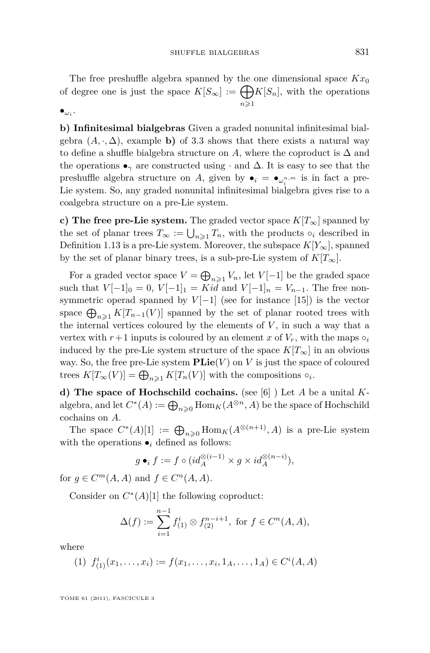The free preshuffle algebra spanned by the one dimensional space  $Kx_0$ of degree one is just the space  $K[S_{\infty}] := \bigoplus$ *n*>1  $K[S_n]$ , with the operations

 $\bullet_{\omega_i}$ .

**b) Infinitesimal bialgebras** Given a graded nonunital infinitesimal bialgebra  $(A, \cdot, \Delta)$ , example **b**) of [3.3](#page-16-0) shows that there exists a natural way to define a shuffle bialgebra structure on A, where the coproduct is  $\Delta$  and the operations  $\bullet_\gamma$  are constructed using  $\cdot$  and  $\Delta$ . It is easy to see that the preshuffle algebra structure on *A*, given by  $\bullet_i = \bullet_{\omega_i^{n,m}}$  is in fact a pre*i* Lie system. So, any graded nonunital infinitesimal bialgebra gives rise to a coalgebra structure on a pre-Lie system.

**c)** The free pre-Lie system. The graded vector space  $K[T_\infty]$  spanned by the set of planar trees  $T_{\infty} := \bigcup_{n \geq 1} T_n$ , with the products  $\circ_i$  described in Definition [1.13](#page-8-0) is a pre-Lie system. Moreover, the subspace  $K[Y_\infty]$ , spanned by the set of planar binary trees, is a sub-pre-Lie system of  $K[T_\infty]$ .

For a graded vector space  $V = \bigoplus_{n \geq 1} V_n$ , let  $V[-1]$  be the graded space such that  $V[-1]_0 = 0$ ,  $V[-1]_1 = Kid$  and  $V[-1]_n = V_{n-1}$ . The free nonsymmetric operad spanned by  $V[-1]$  (see for instance [\[15\]](#page-52-0)) is the vector space  $\bigoplus_{n\geqslant1} K[T_{n-1}(V)]$  spanned by the set of planar rooted trees with the internal vertices coloured by the elements of  $V$ , in such a way that a vertex with  $r+1$  inputs is coloured by an element *x* of  $V_r$ , with the maps  $\circ_i$ induced by the pre-Lie system structure of the space  $K[T_\infty]$  in an obvious way. So, the free pre-Lie system  $\mathbf{PLie}(V)$  on *V* is just the space of coloured trees  $K[T_\infty(V)] = \bigoplus_{n \geqslant 1} K[T_n(V)]$  with the compositions  $\circ_i$ .

**d) The space of Hochschild cochains.** (see [\[6\]](#page-52-0) ) Let *A* be a unital *K*algebra, and let  $C^*(A) := \bigoplus_{n \geq 0} \text{Hom}_K(A^{\otimes n}, A)$  be the space of Hochschild cochains on *A*.

The space  $C^*(A)[1] := \bigoplus_{n \geq 0} \text{Hom}_K(A^{\otimes (n+1)}, A)$  is a pre-Lie system with the operations  $\bullet_i$  defined as follows:

$$
g \bullet_i f := f \circ (id_A^{\otimes (i-1)} \times g \times id_A^{\otimes (n-i)}),
$$

for  $g \in C^m(A, A)$  and  $f \in C^n(A, A)$ .

Consider on  $C^*(A)[1]$  the following coproduct:

$$
\Delta(f) := \sum_{i=1}^{n-1} f_{(1)}^i \otimes f_{(2)}^{n-i+1}, \text{ for } f \in C^n(A, A),
$$

where

$$
(1) f(1)i f(1)(x1,...,xi) := f(x1,...,xi,1A,...,1A) \in Ci(A, A)
$$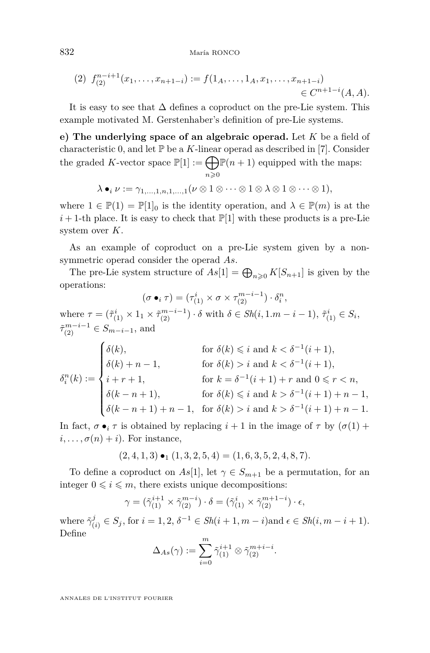$$
(2) f_{(2)}^{n-i+1}(x_1,\ldots,x_{n+1-i}) := f(1_A,\ldots,1_A,x_1,\ldots,x_{n+1-i}) \in C^{n+1-i}(A,A).
$$

It is easy to see that  $\Delta$  defines a coproduct on the pre-Lie system. This example motivated M. Gerstenhaber's definition of pre-Lie systems.

**e) The underlying space of an algebraic operad.** Let *K* be a field of characteristic 0, and let  $\mathbb P$  be a *K*-linear operad as described in [\[7\]](#page-52-0). Consider the graded *K*-vector space  $\mathbb{P}[1] := \bigoplus$ *n*>0  $\mathbb{P}(n+1)$  equipped with the maps:

$$
\lambda \bullet_i \nu := \gamma_{1,\dots,1,n,1,\dots,1} (\nu \otimes 1 \otimes \dots \otimes 1 \otimes \lambda \otimes 1 \otimes \dots \otimes 1),
$$

where  $1 \in \mathbb{P}(1) = \mathbb{P}[1]_0$  is the identity operation, and  $\lambda \in \mathbb{P}(m)$  is at the  $i+1$ -th place. It is easy to check that  $\mathbb{P}[1]$  with these products is a pre-Lie system over *K*.

As an example of coproduct on a pre-Lie system given by a nonsymmetric operad consider the operad *As*.

The pre-Lie system structure of  $As[1] = \bigoplus_{n \geq 0} K[S_{n+1}]$  is given by the operations:

$$
(\sigma \bullet_i \tau) = (\tau_{(1)}^i \times \sigma \times \tau_{(2)}^{m-i-1}) \cdot \delta_i^n,
$$
  
where  $\tau = (\tilde{\tau}_{(1)}^i \times 1_1 \times \tilde{\tau}_{(2)}^{m-i-1}) \cdot \delta$  with  $\delta \in Sh(i, 1.m - i - 1), \tilde{\tau}_{(1)}^i \in S_i,$   
 $\tilde{\tau}_{(2)}^{m-i-1} \in S_{m-i-1}$ , and

$$
\delta_i^n(k) := \begin{cases}\n\delta(k), & \text{for } \delta(k) \leq i \text{ and } k < \delta^{-1}(i+1), \\
\delta(k) + n - 1, & \text{for } \delta(k) > i \text{ and } k < \delta^{-1}(i+1), \\
i + r + 1, & \text{for } k = \delta^{-1}(i+1) + r \text{ and } 0 \leq r < n, \\
\delta(k - n + 1), & \text{for } \delta(k) \leq i \text{ and } k > \delta^{-1}(i+1) + n - 1, \\
\delta(k - n + 1) + n - 1, & \text{for } \delta(k) > i \text{ and } k > \delta^{-1}(i+1) + n - 1.\n\end{cases}
$$

In fact,  $\sigma \bullet_i \tau$  is obtained by replacing  $i + 1$  in the image of  $\tau$  by  $(\sigma(1) +$  $i, \ldots, \sigma(n) + i$ . For instance,

$$
(2,4,1,3) \bullet_1 (1,3,2,5,4) = (1,6,3,5,2,4,8,7).
$$

To define a coproduct on  $As[1]$ , let  $\gamma \in S_{m+1}$  be a permutation, for an integer  $0 \leq i \leq m$ , there exists unique decompositions:

$$
\gamma = (\tilde{\gamma}_{(1)}^{i+1} \times \tilde{\gamma}_{(2)}^{m-i}) \cdot \delta = (\tilde{\gamma}_{(1)}^i \times \tilde{\gamma}_{(2)}^{m+1-i}) \cdot \epsilon,
$$

where  $\tilde{\gamma}_0^j$  $\mathcal{L}_{(i)}^{j}$  ∈ *S<sub>j</sub>*, for  $i = 1, 2, \delta^{-1}$  ∈ *Sh*( $i + 1, m - i$ )and  $\epsilon$  ∈ *Sh*( $i, m - i + 1$ ). Define

$$
\Delta_{As}(\gamma) := \sum_{i=0}^m \tilde{\gamma}_{(1)}^{i+1} \otimes \tilde{\gamma}_{(2)}^{m+i-i}.
$$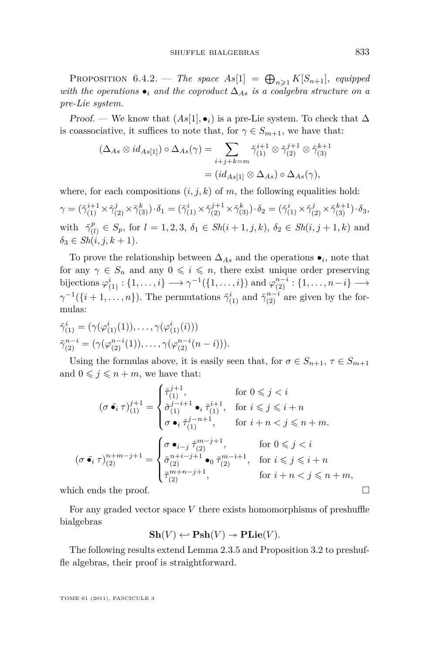PROPOSITION 6.4.2. — *The space*  $As[1] = \bigoplus_{n \geq 1} K[S_{n+1}]$ *, equipped with the operations*  $\bullet_i$  *and the coproduct*  $\Delta_{As}$  *is a coalgebra structure on a pre-Lie system.*

Proof. — We know that  $(As[1], \bullet_i)$  is a pre-Lie system. To check that  $\Delta$ is coassociative, it suffices to note that, for  $\gamma \in S_{m+1}$ , we have that:

$$
\begin{aligned} (\Delta_{As} \otimes id_{As[1]}) \circ \Delta_{As}(\gamma) &= \sum_{i+j+k=m} \tilde{\gamma}_{(1)}^{i+1} \otimes \tilde{\gamma}_{(2)}^{j+1} \otimes \tilde{\gamma}_{(3)}^{k+1} \\ &= (id_{As[1]} \otimes \Delta_{As}) \circ \Delta_{As}(\gamma), \end{aligned}
$$

where, for each compositions  $(i, j, k)$  of  $m$ , the following equalities hold:  $\gamma=(\tilde{\gamma}_{(1)}^{i+1}\times\tilde{\gamma}_{(2)}^{j}\times\tilde{\gamma}_{(3)}^{k})\cdot\delta_1=(\tilde{\gamma}_{(1)}^{i}\times\tilde{\gamma}_{(2)}^{j+1}\times\tilde{\gamma}_{(3)}^{k})\cdot\delta_2=(\tilde{\gamma}_{(1)}^{i}\times\tilde{\gamma}_{(2)}^{j}\times\tilde{\gamma}_{(3)}^{k+1})\cdot\delta_3,$ with  $\tilde{\gamma}_{ij}^p$  $\mathcal{L}_{(l)}^p$  ∈ *S*<sub>*p*</sub>, for *l* = 1, 2, 3, δ<sub>1</sub> ∈ *Sh*(*i* + 1, *j*, *k*), δ<sub>2</sub> ∈ *Sh*(*i*, *j* + 1, *k*) and  $\delta_3 \in Sh(i, j, k+1)$ .

To prove the relationship between  $\Delta_{As}$  and the operations  $\bullet_i$ , note that for any  $\gamma \in S_n$  and any  $0 \leqslant i \leqslant n$ , there exist unique order preserving bijections  $\varphi^i_{(1)} : \{1, \ldots, i\} \longrightarrow \gamma^{-1}(\{1, \ldots, i\})$  and  $\varphi^{n-i}_{(2)} : \{1, \ldots, n-i\} \longrightarrow$  $\gamma^{-1}(\{i+1,\ldots,n\})$ . The permutations  $\tilde{\gamma}^i_{(1)}$  and  $\tilde{\gamma}^{n-i}_{(2)}$  are given by the formulas:

$$
\tilde{\gamma}_{(1)}^i = (\gamma(\varphi_{(1)}^i(1)), \dots, \gamma(\varphi_{(1)}^i(i))) \n\tilde{\gamma}_{(2)}^{n-i} = (\gamma(\varphi_{(2)}^{n-i}(1)), \dots, \gamma(\varphi_{(2)}^{n-i}(n-i))).
$$

Using the formulas above, it is easily seen that, for  $\sigma \in S_{n+1}$ ,  $\tau \in S_{m+1}$ and  $0 \leq j \leq n+m$ , we have that:

$$
(\sigma \tilde{\bullet}_i \tau)^{j+1}_{(1)} = \begin{cases} \tilde{\tau}^{j+1}_{(1)}, & \text{for } 0 \leq j < i \\ \tilde{\sigma}^{j-1}_{(1)} \bullet_i \tilde{\tau}^{i+1}_{(1)}, & \text{for } i \leq j \leq i+n \\ \sigma \bullet_i \tilde{\tau}^{j-n+1}_{(1)}, & \text{for } i+n < j \leq n+m. \end{cases}
$$
\n
$$
(\sigma \tilde{\bullet}_i \tau)^{n+m-j+1}_{(2)} = \begin{cases} \sigma \bullet_{i-j} \tilde{\tau}^{m-j+1}_{(2)}, & \text{for } 0 \leq j < i \\ \tilde{\sigma}^{n+i-j+1}_{(2)} \bullet_0 \tilde{\tau}^{m-i+1}_{(2)}, & \text{for } i \leq j \leq i+n \\ \tilde{\tau}^{m+n-j+1}_{(2)}, & \text{for } i+n < j \leq n+m, \end{cases}
$$
\nwhich gives

which ends the proof.

For any graded vector space *V* there exists homomorphisms of preshuffle bialgebras

$$
Sh(V) \leftarrow Psh(V) \twoheadrightarrow \mathbf{PLie}(V).
$$

The following results extend Lemma [2.3.5](#page-14-0) and Proposition [3.2](#page-15-0) to preshuffle algebras, their proof is straightforward.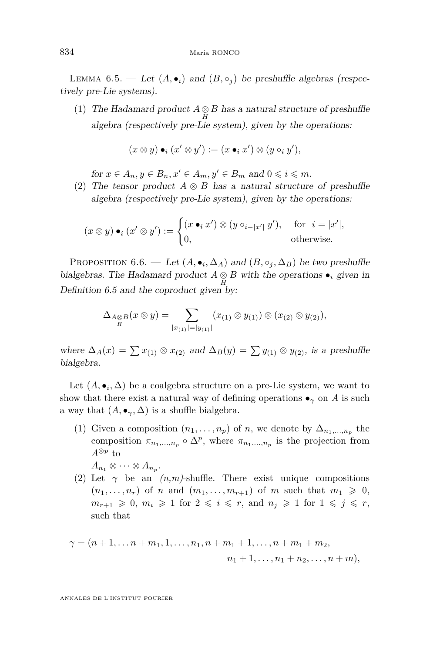LEMMA 6.5. — Let  $(A, \bullet_i)$  and  $(B, \circ_i)$  be preshuffle algebras (respectively pre-Lie systems).

(1) The Hadamard product  $A \otimes B$  has a natural structure of preshuffle algebra (respectively pre-Lie system), given by the operations:

$$
(x \otimes y) \bullet_i (x' \otimes y') := (x \bullet_i x') \otimes (y \circ_i y'),
$$

for  $x \in A_n, y \in B_n, x' \in A_m, y' \in B_m$  and  $0 \leq i \leq m$ .

(2) The tensor product  $A \otimes B$  has a natural structure of preshuffle algebra (respectively pre-Lie system), given by the operations:

$$
(x \otimes y) \bullet_i (x' \otimes y') := \begin{cases} (x \bullet_i x') \otimes (y \circ_{i-|x'|} y'), & \text{for } i = |x'|, \\ 0, & \text{otherwise.} \end{cases}
$$

PROPOSITION 6.6. — Let  $(A, \bullet_i, \Delta_A)$  and  $(B, \circ_j, \Delta_B)$  be two preshuffle bialgebras. The Hadamard product  $A \underset{H}{\otimes} B$  with the operations  $\bullet_i$  given in Definition 6.5 and the coproduct given by:

$$
\Delta_{A\otimes B}(x\otimes y)=\sum_{|x_{(1)}|=|y_{(1)}|}(x_{(1)}\otimes y_{(1)})\otimes (x_{(2)}\otimes y_{(2)}),
$$

where  $\Delta_A(x) = \sum x_{(1)} \otimes x_{(2)}$  and  $\Delta_B(y) = \sum y_{(1)} \otimes y_{(2)}$ , is a preshuffle bialgebra.

Let  $(A, \bullet_i, \Delta)$  be a coalgebra structure on a pre-Lie system, we want to show that there exist a natural way of defining operations  $\bullet$ <sub>*γ*</sub> on *A* is such a way that  $(A, \bullet_{\gamma}, \Delta)$  is a shuffle bialgebra.

(1) Given a composition  $(n_1, \ldots, n_p)$  of *n*, we denote by  $\Delta_{n_1, \ldots, n_p}$  the composition  $\pi_{n_1,\dots,n_p} \circ \Delta^p$ , where  $\pi_{n_1,\dots,n_p}$  is the projection from *A*<sup>⊗</sup>*<sup>p</sup>* to

$$
A_{n_1}\otimes\cdots\otimes A_{n_p}.
$$

(2) Let  $\gamma$  be an  $(n,m)$ -shuffle. There exist unique compositions  $(n_1, \ldots, n_r)$  of *n* and  $(m_1, \ldots, m_{r+1})$  of *m* such that  $m_1 \geq 0$ ,  $m_{r+1} \geq 0$ ,  $m_i \geq 1$  for  $2 \leq i \leq r$ , and  $n_j \geq 1$  for  $1 \leq j \leq r$ , such that

$$
\gamma = (n+1, \dots n+m_1, 1, \dots, n_1, n+m_1+1, \dots, n+m_1+m_2, n_1+1, \dots, n_1+n_2, \dots, n+m),
$$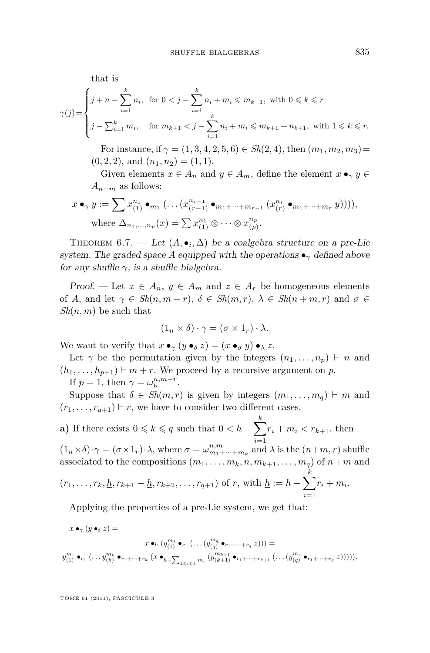<span id="page-37-0"></span>that is  
\n
$$
\gamma(j) = \begin{cases}\nj + n - \sum_{i=1}^{k} n_i, & \text{for } 0 < j - \sum_{i=1}^{k} n_i + m_i \le m_{k+1}, \text{ with } 0 \le k \le r \\
j - \sum_{i=1}^{k} m_i, & \text{for } m_{k+1} < j - \sum_{i=1}^{k} n_i + m_i \le m_{k+1} + n_{k+1}, \text{ with } 1 \le k \le r.\n\end{cases}
$$

For instance, if  $\gamma = (1, 3, 4, 2, 5, 6) \in Sh(2, 4)$ , then  $(m_1, m_2, m_3)$  $(0, 2, 2)$ , and  $(n_1, n_2) = (1, 1)$ .

Given elements  $x \in A_n$  and  $y \in A_m$ , define the element  $x \bullet_\gamma y \in A_m$  $A_{n+m}$  as follows:

$$
x \bullet_{\gamma} y := \sum x_{(1)}^{n_1} \bullet_{m_1} (\dots (x_{(r-1)}^{n_{r-1}} \bullet_{m_1 + \dots + m_{r-1}} (x_{(r)}^{n_r} \bullet_{m_1 + \dots + m_r} y))))
$$
,  
where  $\Delta_{n_1, ..., n_p}(x) = \sum x_{(1)}^{n_1} \otimes \dots \otimes x_{(p)}^{n_p}$ .

THEOREM  $6.7.$  — Let  $(A, \bullet_i, \Delta)$  be a coalgebra structure on a pre-Lie system. The graded space A equipped with the operations  $\bullet_{\gamma}$  defined above for any shuffle  $\gamma$ , is a shuffle bialgebra.

Proof. — Let  $x \in A_n$ ,  $y \in A_m$  and  $z \in A_r$  be homogeneous elements of *A*, and let  $\gamma \in Sh(n, m + r)$ ,  $\delta \in Sh(m, r)$ ,  $\lambda \in Sh(n + m, r)$  and  $\sigma \in$ *Sh*(*n, m*) be such that

$$
(1_n \times \delta) \cdot \gamma = (\sigma \times 1_r) \cdot \lambda.
$$

We want to verify that  $x \bullet_\gamma (y \bullet_\delta z) = (x \bullet_\sigma y) \bullet_\lambda z$ .

Let  $\gamma$  be the permutation given by the integers  $(n_1, \ldots, n_p) \vdash n$  and  $(h_1, \ldots, h_{p+1}) \vdash m + r$ . We proceed by a recursive argument on p. *n,m*+*r*

If 
$$
p = 1
$$
, then  $\gamma = \omega_h^{n,m+r}$ .

 $\lim_{n \to \infty} p = 1$ , then  $n = \omega_h$ .<br>
Suppose that  $\delta \in Sh(m, r)$  is given by integers  $(m_1, \ldots, m_q) \vdash m$  and  $(r_1, \ldots, r_{q+1}) \vdash r$ , we have to consider two different cases.

**a**) If there exists  $0 \leq k \leq q$  such that  $0 < h - \sum_{k=1}^{k}$  $(1_n \times \delta) \cdot \gamma = (\sigma \times 1_r) \cdot \lambda$ , where  $\sigma = \omega_{m_1 + \dots + m_k}^{n,m}$  and  $\lambda$  is the  $(n+m, r)$  shuffle  $r_i + m_i < r_{k+1}$ , then associated to the compositions  $(m_1, \ldots, m_k, n, m_{k+1}, \ldots, m_q)$  of  $n+m$  and *k*

$$
(r_1, \ldots, r_k, \underline{h}, r_{k+1} - \underline{h}, r_{k+2}, \ldots, r_{q+1})
$$
 of r, with  $\underline{h} := h - \sum_{i=1} r_i + m_i$ .

Applying the properties of a pre-Lie system, we get that:

 $x \bullet_{\gamma} (y \bullet_{\delta} z) =$  $x \bullet_h (y_{(1)}^{m_1} \bullet_{r_1} (\ldots (y_{(q)}^{m_q} \bullet_{r_1+\cdots+r_q} z))) =$  $y_{(1)}^{m_1} \bullet_{r_1} ( \ldots y_{(k)}^{m_k} \bullet_{r_1 + \cdots + r_k} (x \bullet_{h - \sum_{1 \leqslant i \leqslant k} m_i} (y_{(k+1)}^{m_{k+1}} \bullet_{r_1 + \cdots + r_{k+1}} ( \ldots (y_{(q)}^{m_q} \bullet_{r_1 + \cdots + r_q} z))))).$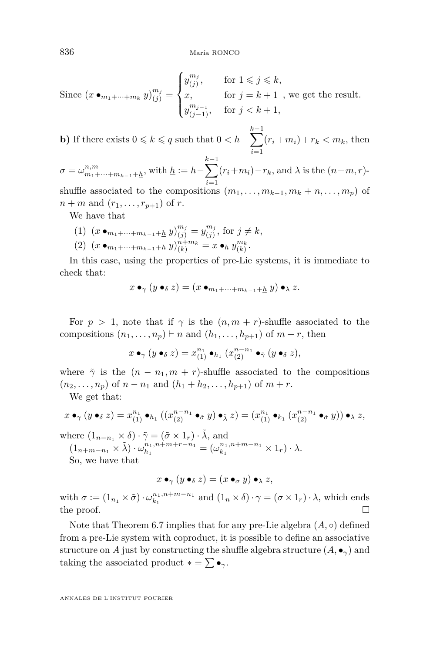836 María RONCO

Since  $(x \bullet_{m_1 + \dots + m_k} y)_{(j)}^{m_j} =$  $\sqrt{ }$  $\int$  $\overline{\mathcal{L}}$  $y_{(i)}^{m_j}$  $\int_{(j)}^{m_j}$ , for  $1 \leqslant j \leqslant k$ , x, for  $j = k + 1$  $y_{(j-1)}^{m_{j-1}},$  for  $j < k+1$ , , we get the result.

**b**) If there exists  $0 \leq k \leq q$  such that  $0 < h - \sum_{k=1}^{k-1}$ *i*=1  $(r_i + m_i) + r_k < m_k$ , then

$$
\sigma = \omega_{m_1 + \dots + m_{k-1} + \underline{h}}^{n,m},
$$
 with  $\underline{h} := h - \sum_{i=1}^{k-1} (r_i + m_i) - r_k$ , and  $\lambda$  is the  $(n+m, r)$ -  
shuffle associated to the compositions  $(m_1, \dots, m_{k-1}, m_k + n, \dots, m_p)$  of

 $n + m$  and  $(r_1, \ldots, r_{p+1})$  of *r*.

We have that

(1) 
$$
(x \bullet_{m_1 + \dots + m_{k-1} + \underline{h}} y)^{m_j}_{(j)} = y^{m_j}_{(j)}
$$
, for  $j \neq k$ ,  
\n(2)  $(x \bullet_{m_1 + \dots + m_{k-1} + \underline{h}} y)^{n+m_k}_{(k)} = x \bullet_{\underline{h}} y^{m_k}_{(k)}$ .

In this case, using the properties of pre-Lie systems, it is immediate to check that:

$$
x \bullet_{\gamma} (y \bullet_{\delta} z) = (x \bullet_{m_1 + \dots + m_{k-1} + \underline{h}} y) \bullet_{\lambda} z.
$$

For  $p > 1$ , note that if  $\gamma$  is the  $(n, m + r)$ -shuffle associated to the compositions  $(n_1, \ldots, n_p) \vdash n$  and  $(h_1, \ldots, h_{p+1})$  of  $m + r$ , then

$$
x \bullet_{\gamma} (y \bullet_{\delta} z) = x_{(1)}^{n_1} \bullet_{h_1} (x_{(2)}^{n-n_1} \bullet_{\tilde{\gamma}} (y \bullet_{\delta} z),
$$

where  $\tilde{\gamma}$  is the  $(n - n_1, m + r)$ -shuffle associated to the compositions  $(n_2, \ldots, n_p)$  of  $n - n_1$  and  $(h_1 + h_2, \ldots, h_{p+1})$  of  $m + r$ .

We get that:

$$
x \bullet_{\gamma} (y \bullet_{\delta} z) = x_{(1)}^{n_1} \bullet_{h_1} ((x_{(2)}^{n-n_1} \bullet_{\tilde{\sigma}} y) \bullet_{\tilde{\lambda}} z) = (x_{(1)}^{n_1} \bullet_{k_1} (x_{(2)}^{n-n_1} \bullet_{\tilde{\sigma}} y)) \bullet_{\lambda} z,
$$

where  $(1_{n-n_1} \times \delta) \cdot \tilde{\gamma} = (\tilde{\sigma} \times 1_r) \cdot \tilde{\lambda}$ , and  $(1_{n+m-n_1} \times \tilde{\lambda}) \cdot \omega_{h_1}^{n_1, n+m+r-n_1} = (\omega_{k_1}^{n_1, n+m-n_1} \times 1_r) \cdot \lambda.$ So, we have that

$$
x \bullet_{\gamma} (y \bullet_{\delta} z) = (x \bullet_{\sigma} y) \bullet_{\lambda} z,
$$

with  $\sigma := (1_{n_1} \times \tilde{\sigma}) \cdot \omega_{k_1}^{n_1, n+m-n_1}$  and  $(1_n \times \delta) \cdot \gamma = (\sigma \times 1_r) \cdot \lambda$ , which ends the proof.  $\Box$ 

Note that Theorem [6.7](#page-37-0) implies that for any pre-Lie algebra  $(A, \circ)$  defined from a pre-Lie system with coproduct, it is possible to define an associative structure on *A* just by constructing the shuffle algebra structure  $(A, \bullet_\gamma)$  and taking the associated product  $* = \sum \bullet_{\gamma}$ .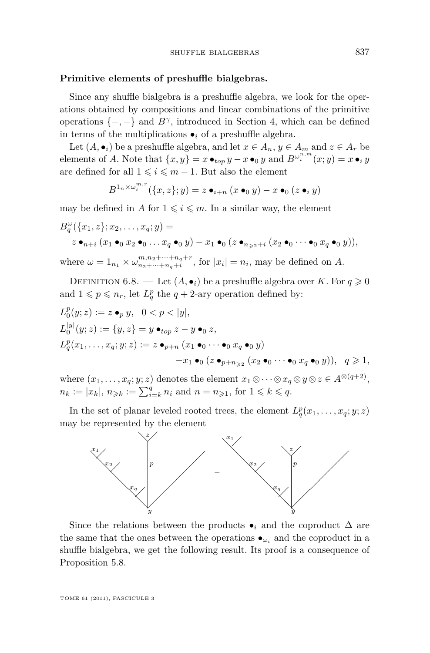#### <span id="page-39-0"></span>**Primitive elements of preshuffle bialgebras.**

Since any shuffle bialgebra is a preshuffle algebra, we look for the operations obtained by compositions and linear combinations of the primitive operations {−*,* −} and *B<sup>γ</sup>* , introduced in Section 4, which can be defined in terms of the multiplications  $\bullet_i$  of a preshuffle algebra.

Let  $(A, \bullet_i)$  be a preshuffle algebra, and let  $x \in A_n$ ,  $y \in A_m$  and  $z \in A_r$  be elements of *A*. Note that  $\{x, y\} = x \bullet_{top} y - x \bullet_0 y$  and  $B^{\omega_i^{n,m}}(x; y) = x \bullet_i y$ are defined for all  $1 \leqslant i \leqslant m-1$ . But also the element

$$
B^{1_n \times \omega_i^{m,r}}(\lbrace x,z\rbrace;y) = z \bullet_{i+n} (x \bullet_0 y) - x \bullet_0 (z \bullet_i y)
$$

may be defined in *A* for  $1 \leq i \leq m$ . In a similar way, the element

$$
B_q^{\omega}(\{x_1, z\}; x_2, \dots, x_q; y) =
$$
  
\n
$$
z \bullet_{n+i} (x_1 \bullet_0 x_2 \bullet_0 \dots x_q \bullet_0 y) - x_1 \bullet_0 (z \bullet_{n \geq 2+i} (x_2 \bullet_0 \dots \bullet_0 x_q \bullet_0 y)),
$$
  
\nwhere  $\omega = 1_{n_1} \times \omega_{n_2 + \dots + n_q + i}^{m, n_2 + \dots + n_q + r}$ , for  $|x_i| = n_i$ , may be defined on A.

DEFINITION 6.8. — Let  $(A, \bullet_i)$  be a preshuffle algebra over *K*. For  $q \ge 0$ and  $1 \leq p \leq n_r$ , let  $L_q^p$  the  $q+2$ -ary operation defined by:

$$
L_0^p(y; z) := z \bullet_p y, \quad 0 < p < |y|,
$$
\n
$$
L_0^{|y|}(y; z) := \{y, z\} = y \bullet_{top} z - y \bullet_0 z,
$$
\n
$$
L_q^p(x_1, \ldots, x_q; y; z) := z \bullet_{p+n} (x_1 \bullet_0 \cdots \bullet_0 x_q \bullet_0 y)
$$
\n
$$
-x_1 \bullet_0 (z \bullet_{p+n_{\geq 2}} (x_2 \bullet_0 \cdots \bullet_0 x_q \bullet_0 y)), \quad q \geq 1,
$$

where  $(x_1, \ldots, x_q; y; z)$  denotes the element  $x_1 \otimes \cdots \otimes x_q \otimes y \otimes z \in A^{\otimes (q+2)}$ ,  $n_k := |x_k|, n_{\geqslant k} := \sum_{i=k}^q n_i \text{ and } n = n_{\geqslant 1}$ , for  $1 \leqslant k \leqslant q$ .

In the set of planar leveled rooted trees, the element  $L_q^p(x_1, \ldots, x_q; y; z)$ may be represented by the element



Since the relations between the products  $\bullet_i$  and the coproduct  $\Delta$  are the same that the ones between the operations  $\bullet_{\omega_i}$  and the coproduct in a shuffle bialgebra, we get the following result. Its proof is a consequence of Proposition [5.8.](#page-25-0)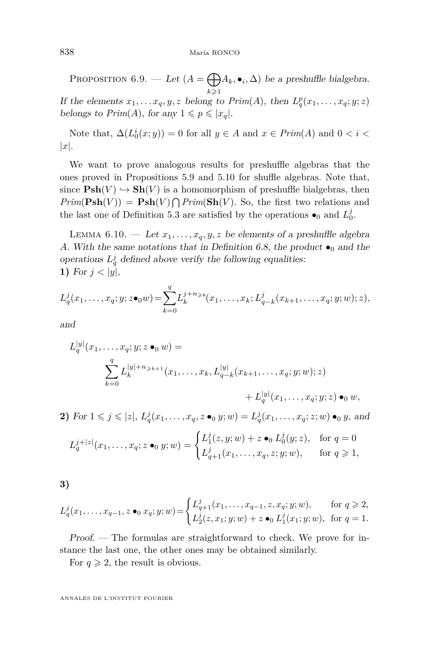<span id="page-40-0"></span>PROPOSITION 6.9. — Let  $(A = \bigoplus$ *k*>1  $(A_k, \bullet_i, \Delta)$  be a preshuffle bialgebra.

If the elements  $x_1, \ldots, x_q, y, z$  belong to  $Prim(A)$ , then  $L_q^p(x_1, \ldots, x_q; y; z)$ belongs to  $Prim(A)$ , for any  $1 \leqslant p \leqslant |x_q|$ .

Note that,  $\Delta(L_0^i(x; y)) = 0$  for all  $y \in A$  and  $x \in Prim(A)$  and  $0 < i <$ |*x*|.

We want to prove analogous results for preshuffle algebras that the ones proved in Propositions [5.9](#page-26-0) and [5.10](#page-27-0) for shuffle algebras. Note that, since  $\text{Psh}(V) \hookrightarrow \text{Sh}(V)$  is a homomorphism of preshuffle bialgebras, then  $Prim(\mathbf{Psh}(V)) = \mathbf{Psh}(V) \bigcap Prim(\mathbf{Sh}(V)$ . So, the first two relations and the last one of Definition [5.3](#page-23-0) are satisfied by the operations  $\bullet$ <sub>0</sub> and  $L_0^j$ .

LEMMA 6.10. — Let  $x_1, \ldots, x_q, y, z$  be elements of a preshuffle algebra *A*. With the same notations that in Definition [6.8,](#page-39-0) the product  $\bullet$ <sub>0</sub> and the operations  $L_q^j$  defined above verify the following equalities: **1)** For  $j < |y|$ ,

$$
L_q^j(x_1,\ldots,x_q;y;z\bullet_0 w)=\sum_{k=0}^q L_k^{j+n_{\geq k}}(x_1,\ldots,x_k;L_{q-k}^j(x_{k+1},\ldots,x_q;y;w);z),
$$

and

$$
L_q^{|y|}(x_1, \ldots, x_q; y; z \bullet_0 w) =
$$
  

$$
\sum_{k=0}^q L_k^{|y|+n \ge k+1}(x_1, \ldots, x_k, L_{q-k}^{|y|}(x_{k+1}, \ldots, x_q; y; w); z)
$$
  

$$
+ L_q^{|y|}(x_1, \ldots, x_q; y; z) \bullet_0 w,
$$

2) For  $1 \leq j \leq |z|$ ,  $L_q^j(x_1, \ldots, x_q, z \bullet_0 y; w) = L_q^j(x_1, \ldots, x_q; z; w) \bullet_0 y$ , and

$$
L_q^{j+|z|}(x_1,\ldots,x_q;z\bullet_0 y;w)=\begin{cases}L_1^j(z,y;w)+z\bullet_0 L_0^j(y;z),&\text{for }q=0\\L_{q+1}^j(x_1,\ldots,x_q,z;y;w),&\text{for }q\geqslant 1,\end{cases}
$$

**3)**

$$
L_q^j(x_1,\ldots,x_{q-1},z\bullet_0 x_q;y;w) = \begin{cases} L_{q+1}^j(x_1,\ldots,x_{q-1},z,x_q;y;w), & \text{for } q \geq 2, \\ L_2^j(z,x_1;y;w) + z\bullet_0 L_1^j(x_1;y;w), & \text{for } q = 1. \end{cases}
$$

Proof. — The formulas are straightforward to check. We prove for instance the last one, the other ones may be obtained similarly.

For  $q \geqslant 2$ , the result is obvious.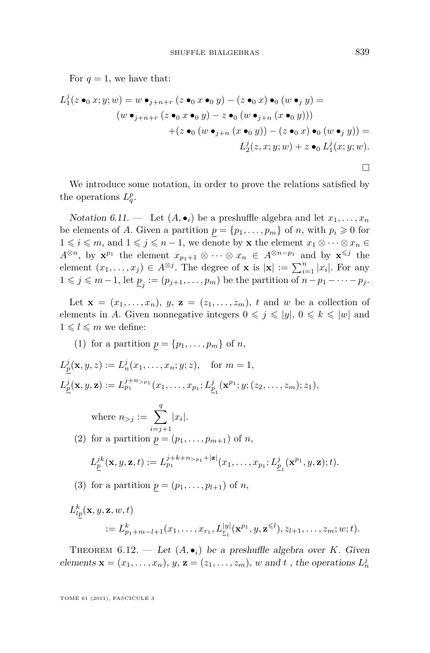<span id="page-41-0"></span>For  $q = 1$ , we have that:

$$
L_1^j(z \bullet_0 x; y; w) = w \bullet_{j+n+r} (z \bullet_0 x \bullet_0 y) - (z \bullet_0 x) \bullet_0 (w \bullet_j y) =
$$
  

$$
(w \bullet_{j+n+r} (z \bullet_0 x \bullet_0 y) - z \bullet_0 (w \bullet_{j+n} (x \bullet_0 y)))
$$

$$
+ (z \bullet_0 (w \bullet_{j+n} (x \bullet_0 y)) - (z \bullet_0 x) \bullet_0 (w \bullet_j y)) =
$$

$$
L_2^j(z, x; y; w) + z \bullet_0 L_1^j(x; y; w).
$$

We introduce some notation, in order to prove the relations satisfied by the operations  $L_q^p$ .

Notation 6.11. — Let  $(A, \bullet_i)$  be a preshuffle algebra and let  $x_1, \ldots, x_n$ be elements of *A*. Given a partition  $p = \{p_1, \ldots, p_m\}$  of *n*, with  $p_i \geq 0$  for  $1 \leq i \leq m$ , and  $1 \leq j \leq n-1$ , we denote by **x** the element  $x_1 \otimes \cdots \otimes x_n \in$ *A*<sup>⊗*n*</sup>, by **x**<sup>*p*1</sup> the element  $x_{p_1+1} \otimes \cdots \otimes x_n \in A^{\otimes n-p_1}$  and by **x**<sup>≤*j*</sup> the element  $(x_1, \ldots, x_j) \in A^{\otimes j}$ . The degree of **x** is  $|\mathbf{x}| := \sum_{i=1}^n |x_i|$ . For any  $1 \leq j \leq m-1$ , let  $\underline{p}_j := (p_{j+1}, \ldots, p_m)$  be the partition of  $n - p_1 - \cdots - p_j$ .

Let  $\mathbf{x} = (x_1, \ldots, x_n), y, \mathbf{z} = (z_1, \ldots, z_m), t$  and w be a collection of elements in *A*. Given nonnegative integers  $0 \leq j \leq |y|, 0 \leq k \leq |w|$  and  $1 \leqslant l \leqslant m$  we define:

(1) for a partition  $p = \{p_1, ..., p_m\}$  of *n*,

$$
L_{\underline{p}}^{j}(\mathbf{x}, y, z) := L_{n}^{j}(x_{1}, \dots, x_{n}; y; z), \text{ for } m = 1,
$$
  
\n
$$
L_{\underline{p}}^{j}(\mathbf{x}, y, \mathbf{z}) := L_{p_{1}}^{j+n_{>p_{1}}}(x_{1}, \dots, x_{p_{1}}; L_{\underline{p}_{1}}^{j}(\mathbf{x}^{p_{1}}; y; (z_{2}, \dots, z_{m}); z_{1}),
$$

where  $n_{>j} := \sum_{i=1}^{q}$ *i*=*j*+1  $|x_i|$ . (2) for a partition  $p = (p_1, ..., p_{m+1})$  of *n*,

$$
L^{jk}_{\underline{p}}({\bf x},y,{\bf z},t):=L^{j+k+n_{>p_1}+|{\bf z}|}_{p_1}(x_1,\ldots,x_{p_1};L^j_{\underline{p}_1}({\bf x}^{p_1},y,{\bf z});t).
$$

(3) for a partition  $p = (p_1, ..., p_{l+1})$  of *n*,

$$
L_{l\underline{p}}^{k}(\mathbf{x}, y, \mathbf{z}, w, t) = L_{p_{1}+m-l+1}^{k}(x_{1}, \ldots, x_{r_{1}}, L_{\underline{r_{1}}}^{|y|}(\mathbf{x}^{p_{1}}, y, \mathbf{z}^{\leq l}), z_{l+1}, \ldots, z_{m}; w; t).
$$

THEOREM 6.12. — Let  $(A, \bullet_i)$  be a preshuffle algebra over *K*. Given elements  $\mathbf{x} = (x_1, \ldots, x_n), y, \mathbf{z} = (z_1, \ldots, z_m), w$  and *t*, the operations  $L_n^j$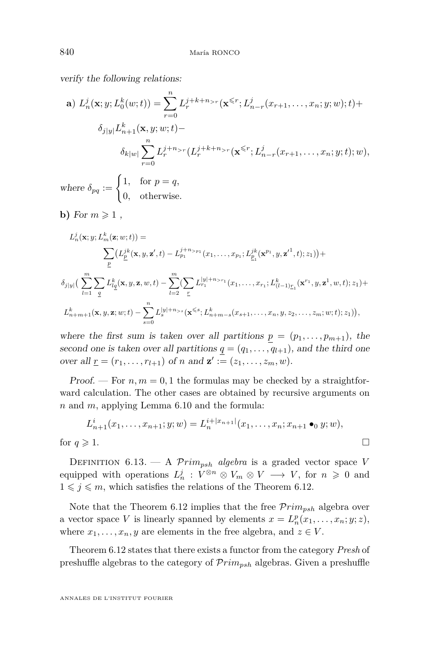verify the following relations:

a) 
$$
L_n^j(\mathbf{x}; y; L_0^k(w; t)) = \sum_{r=0}^n L_r^{j+k+n_{>r}}(\mathbf{x}^{\leq r}; L_{n-r}^j(x_{r+1}, \dots, x_n; y; w); t) +
$$
  
\n
$$
\delta_{j|y|} L_{n+1}^k(\mathbf{x}, y; w; t) -
$$
\n
$$
\delta_{k|w|} \sum_{r=0}^n L_r^{j+n_{>r}}(L_r^{j+k+n_{>r}}(\mathbf{x}^{\leq r}; L_{n-r}^j(x_{r+1}, \dots, x_n; y; t); w),
$$

where  $\delta_{pq} := \begin{cases} 1, & \text{for } p = q, \\ 0, & \text{otherwise} \end{cases}$ 0*,* otherwise*.*

**b**) For  $m \geq 1$ ,

$$
L_n^j(\mathbf{x}; y; L_m^k(\mathbf{z}; w; t)) =
$$
\n
$$
\sum_{\underline{p}} \left( L_{\underline{p}}^{jk}(\mathbf{x}, y, \mathbf{z}', t) - L_{p_1}^{j+n_{>p_1}}(x_1, \dots, x_{p_1}; L_{\underline{p}_1}^{jk}(\mathbf{x}^{p_1}, y, \mathbf{z}'^1, t); z_1) \right) +
$$
\n
$$
\delta_{j|y|} \left( \sum_{l=1}^m \sum_{\underline{q}} L_{l\underline{q}}^k(\mathbf{x}, y, \mathbf{z}, w, t) - \sum_{l=2}^m \left( \sum_{\underline{r}} L_{r_1}^{|y|+n_{>r_1}}(x_1, \dots, x_{r_1}; L_{(l-1)\underline{r}_1}^k(\mathbf{x}^{r_1}, y, \mathbf{z}^1, w, t); z_1) +
$$
\n
$$
L_{n+m+1}^k(\mathbf{x}, y, \mathbf{z}; w; t) - \sum_{s=0}^n L_s^{|y|+n_{>s}}(\mathbf{x}^{\leqslant s}; L_{n+m-s}^k(x_{s+1}, \dots, x_n, y, z_2, \dots, z_m; w; t); z_1) \right),
$$

where the first sum is taken over all partitions  $p = (p_1, \ldots, p_{m+1})$ , the second one is taken over all partitions  $q = (q_1, \ldots, q_{l+1})$ , and the third one over all  $\underline{r} = (r_1, \ldots, r_{l+1})$  of *n* and  $\mathbf{z}' := (z_1, \ldots, z_m, w)$ .

Proof. — For  $n, m = 0, 1$  the formulas may be checked by a straightforward calculation. The other cases are obtained by recursive arguments on *n* and *m*, applying Lemma [6.10](#page-40-0) and the formula:

$$
L_{n+1}^i(x_1,\ldots,x_{n+1};y;w) = L_n^{i+|x_{n+1}|}(x_1,\ldots,x_n;x_{n+1}\bullet_0 y;w),
$$
  
for  $q \ge 1$ .

DEFINITION  $6.13.$  – A  $Prim_{psh}$  *algebra* is a graded vector space *V* equipped with operations  $L_n^j : V^{\otimes n} \otimes V_m \otimes V \longrightarrow V$ , for  $n \geq 0$  and  $1 \leq j \leq m$ , which satisfies the relations of the Theorem [6.12.](#page-41-0)

Note that the Theorem [6.12](#page-41-0) implies that the free P*rimpsh* algebra over a vector space *V* is linearly spanned by elements  $x = L_n^p(x_1, \ldots, x_n; y; z)$ , where  $x_1, \ldots, x_n, y$  are elements in the free algebra, and  $z \in V$ .

Theorem [6.12](#page-41-0) states that there exists a functor from the category *Presh* of preshuffle algebras to the category of P*rimpsh* algebras. Given a preshuffle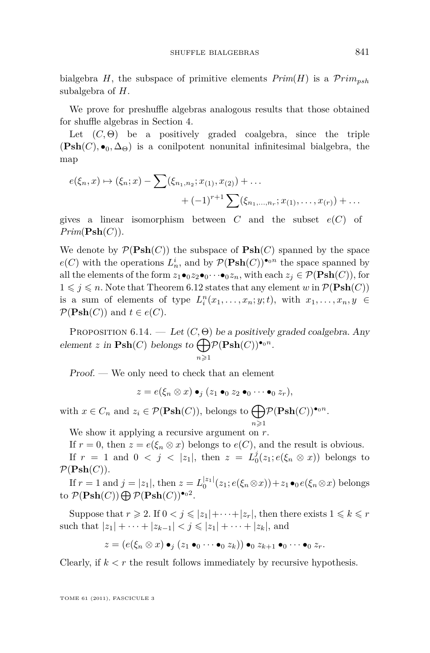<span id="page-43-0"></span>bialgebra *H*, the subspace of primitive elements  $Prim(H)$  is a  $Prim_{psh}$ subalgebra of *H*.

We prove for preshuffle algebras analogous results that those obtained for shuffle algebras in Section 4.

Let  $(C, \Theta)$  be a positively graded coalgebra, since the triple  $({\bf Psh}(C), \bullet_0, \Delta_{\Theta})$  is a conilpotent nonunital infinitesimal bialgebra, the map

$$
e(\xi_n, x) \mapsto (\xi_n; x) - \sum (\xi_{n_1, n_2}; x_{(1)}, x_{(2)}) + \dots + (-1)^{r+1} \sum (\xi_{n_1, \dots, n_r}; x_{(1)}, \dots, x_{(r)}) + \dots
$$

gives a linear isomorphism between *C* and the subset *e*(*C*) of  $Prim(Psh(C)).$ 

We denote by  $\mathcal{P}(\mathbf{Psh}(C))$  the subspace of  $\mathbf{Psh}(C)$  spanned by the space  $e(C)$  with the operations  $L_n^i$ , and by  $\mathcal{P}(\mathbf{Psh}(C))$ <sup>•0*n*</sup> the space spanned by all the elements of the form  $z_1 \bullet_0 z_2 \bullet_0 \cdots \bullet_0 z_n$ , with each  $z_i \in \mathcal{P}(\mathbf{Psh}(C))$ , for  $1 \leq j \leq n$ . Note that Theorem [6.12](#page-41-0) states that any element *w* in  $\mathcal{P}(\mathbf{Psh}(C))$ is a sum of elements of type  $L_i^n(x_1, \ldots, x_n; y; t)$ , with  $x_1, \ldots, x_n, y \in$  $\mathcal{P}(\mathbf{Psh}(C))$  and  $t \in e(C)$ .

PROPOSITION  $6.14.$  — Let  $(C, \Theta)$  be a positively graded coalgebra. Any element *z* in  $\text{Psh}(C)$  belongs to  $\bigoplus$ *n*>1  $\mathcal{P}(\mathbf{Psh}(C))^{\bullet_0 n}$ .

Proof. — We only need to check that an element

$$
z = e(\xi_n \otimes x) \bullet_j (z_1 \bullet_0 z_2 \bullet_0 \cdots \bullet_0 z_r),
$$

with  $x \in C_n$  and  $z_i \in \mathcal{P}(\mathbf{Psh}(C))$ , belongs to  $\bigoplus$ *n*>1  $\mathcal{P}(\mathbf{Psh}(C))^{\bullet_0 n}$ .

We show it applying a recursive argument on *r*.

If  $r = 0$ , then  $z = e(\xi_n \otimes x)$  belongs to  $e(C)$ , and the result is obvious.

If  $r = 1$  and  $0 < j < |z_1|$ , then  $z = L_0^j(z_1; e(\xi_n \otimes x))$  belongs to  $\mathcal{P}(\mathbf{Psh}(C)).$ 

If  $r = 1$  and  $j = |z_1|$ , then  $z = L_0^{|z_1|}(z_1; e(\xi_n \otimes x)) + z_1 \bullet_0 e(\xi_n \otimes x)$  belongs to  $\mathcal{P}(\mathbf{Psh}(C)) \bigoplus \mathcal{P}(\mathbf{Psh}(C))^{\bullet}$ <sup>02</sup>.

Suppose that  $r \geq 2$ . If  $0 < j \leq |z_1| + \cdots + |z_r|$ , then there exists  $1 \leq k \leq r$ such that  $|z_1| + \cdots + |z_{k-1}| < j \le |z_1| + \cdots + |z_k|$ , and

 $z = (e(\xi_n \otimes x) \bullet_i (z_1 \bullet_0 \cdots \bullet_0 z_k)) \bullet_0 z_{k+1} \bullet_0 \cdots \bullet_0 z_r.$ 

Clearly, if  $k < r$  the result follows immediately by recursive hypothesis.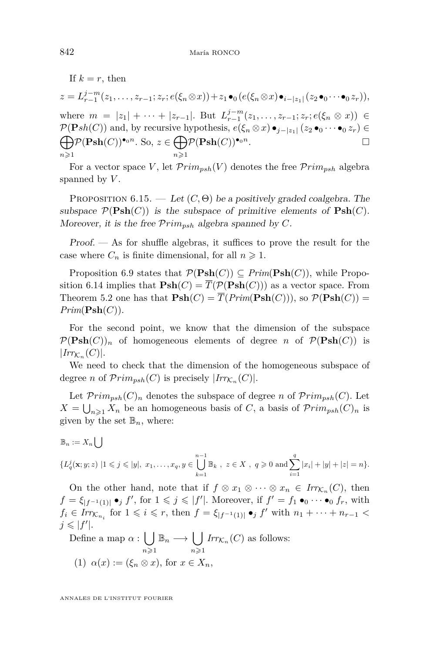<span id="page-44-0"></span>If  $k = r$ , then

$$
z = L_{r-1}^{j-m}(z_1, \ldots, z_{r-1}; z_r; e(\xi_n \otimes x)) + z_1 \bullet_0 (e(\xi_n \otimes x) \bullet_{i-|z_1|} (z_2 \bullet_0 \cdots \bullet_0 z_r)),
$$
  
where  $m = |z_1| + \cdots + |z_{r-1}|$ . But  $L_{r-1}^{j-m}(z_1, \ldots, z_{r-1}; z_r; e(\xi_n \otimes x)) \in$   
 $\mathcal{P}(\mathbf{P}sh(C))$  and, by recursive hypothesis,  $e(\xi_n \otimes x) \bullet_{j-|z_1|} (z_2 \bullet_0 \cdots \bullet_0 z_r) \in$   
 $\bigoplus_{n \geq 1} \mathcal{P}(\mathbf{P}sh(C))^{\bullet_0 n}$ . So,  $z \in \bigoplus_{n \geq 1} \mathcal{P}(\mathbf{P}sh(C))^{\bullet_0 n}$ .

For a vector space *V*, let  $Prim_{psh}(V)$  denotes the free  $Prim_{psh}$  algebra spanned by *V* .

PROPOSITION  $6.15.$  — Let  $(C, \Theta)$  be a positively graded coalgebra. The subspace  $\mathcal{P}(\mathbf{Psh}(C))$  is the subspace of primitive elements of  $\mathbf{Psh}(C)$ . Moreover, it is the free P*rimpsh* algebra spanned by *C*.

Proof. — As for shuffle algebras, it suffices to prove the result for the case where  $C_n$  is finite dimensional, for all  $n \geq 1$ .

Proposition [6.9](#page-40-0) states that  $\mathcal{P}(\mathbf{Psh}(C)) \subseteq Prim(\mathbf{Psh}(C))$ , while Propo-sition [6.14](#page-43-0) implies that  $\text{Psh}(C) = \overline{T}(\mathcal{P}(\text{Psh}(C)))$  as a vector space. From Theorem [5.2](#page-23-0) one has that  $\mathbf{Psh}(C) = \overline{T}(Prim(\mathbf{Psh}(C)))$ , so  $\mathcal{P}(\mathbf{Psh}(C))$  =  $Prim(Psh(C)).$ 

For the second point, we know that the dimension of the subspace  $\mathcal{P}(\mathbf{Psh}(C))_n$  of homogeneous elements of degree *n* of  $\mathcal{P}(\mathbf{Psh}(C))$  is  $|Irr_{\mathcal{K}_n}(C)|.$ 

We need to check that the dimension of the homogeneous subspace of degree *n* of  $Prim_{psh}(C)$  is precisely  $| Irr_{\mathcal{K}_n}(C)|$ .

Let  $Prim_{psh}(C)_n$  denotes the subspace of degree *n* of  $Prim_{psh}(C)$ . Let  $X = \bigcup_{n \geq 1} X_n$  be an homogeneous basis of *C*, a basis of  $\mathcal{P}rim_{psh}(C)_n$  is given by the set  $\mathbb{B}_n$ , where:

$$
\mathbb{B}_n := X_n \left[ \ \right]
$$

$$
\{L_q^j(\mathbf{x};y;z) \; | 1 \leq j \leq |y|, \; x_1,\ldots,x_q,y \in \bigcup_{k=1}^{n-1} \mathbb{B}_k \; , \; z \in X \; , \; q \geq 0 \; \text{and} \sum_{i=1}^q |x_i| + |y| + |z| = n \}.
$$

On the other hand, note that if  $f \otimes x_1 \otimes \cdots \otimes x_n \in Irr_{\mathcal{K}_n}(C)$ , then  $f = \xi_{|f^{-1}(1)|} \bullet_j f'$ , for  $1 \leq j \leq |f'|$ . Moreover, if  $f' = f_1 \bullet_0 \cdots \bullet_0 f_r$ , with  $f_i \in \text{Irr}_{\mathcal{K}_{n_i}}$  for  $1 \leq i \leq r$ , then  $f = \xi_{|f^{-1}(1)|} \bullet_j f'$  with  $n_1 + \cdots + n_{r-1}$  $j \leqslant |f'|$ .

Define a map  $\alpha:$   $\begin{bmatrix} \end{bmatrix}$ *n*>1  $\mathbb{B}_n\longrightarrow \bigcup$ *n*>1  $Irr_{\mathcal{K}_n}(C)$  as follows: (1)  $\alpha(x) := (\xi_n \otimes x)$ , for  $x \in X_n$ ,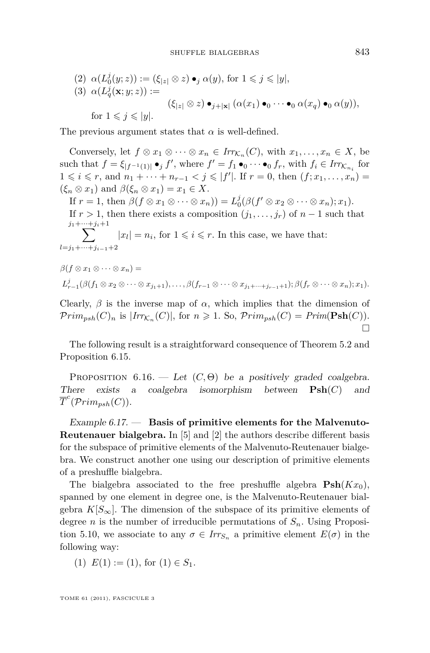(2) 
$$
\alpha(L_0^j(y; z)) := (\xi_{|z|} \otimes z) \bullet_j \alpha(y)
$$
, for  $1 \leq j \leq |y|$ ,  
\n(3)  $\alpha(L_q^j(\mathbf{x}; y; z)) := (\xi_{|z|} \otimes z) \bullet_{j+|\mathbf{x}|} (\alpha(x_1) \bullet_0 \cdots \bullet_0 \alpha(x_q) \bullet_0 \alpha(y)),$   
\nfor  $1 \leq j \leq |y|$ .

The previous argument states that  $\alpha$  is well-defined.

Conversely, let  $f \otimes x_1 \otimes \cdots \otimes x_n \in Irr_{\mathcal{K}_n}(C)$ , with  $x_1, \ldots, x_n \in X$ , be such that  $f = \xi_{|f^{-1}(1)|} \bullet_j f'$ , where  $f' = f_1 \bullet_0 \cdots \bullet_0 f_r$ , with  $f_i \in \textit{Irr}_{\mathcal{K}_{n_i}}$  for 1 ≤ *i* ≤ *r*, and  $n_1 + \cdots + n_{r-1} < j$  ≤ |f'|. If  $r = 0$ , then  $(f; x_1, \ldots, x_n) =$  $(\xi_n \otimes x_1)$  and  $\beta(\xi_n \otimes x_1) = x_1 \in X$ .

If  $r = 1$ , then  $\beta(f \otimes x_1 \otimes \cdots \otimes x_n)) = L_0^j(\beta(f' \otimes x_2 \otimes \cdots \otimes x_n); x_1)$ . If  $r > 1$ , then there exists a composition  $(j_1, \ldots, j_r)$  of  $n-1$  such that  $j_1 + \cdots + j_i + 1$  $\sum$ *l*=*j*1+···+*ji*−1+2  $|x_l| = n_i$ , for  $1 \leq i \leq r$ . In this case, we have that:

 $\beta(f \otimes x_1 \otimes \cdots \otimes x_n) =$  $L_{r-1}^j(\beta(f_1\otimes x_2\otimes\cdots\otimes x_{j_1+1}),\ldots,\beta(f_{r-1}\otimes\cdots\otimes x_{j_1+\cdots+j_{r-1}+1});\beta(f_r\otimes\cdots\otimes x_n);x_1).$ 

Clearly,  $\beta$  is the inverse map of  $\alpha$ , which implies that the dimension of  $Prim_{psh}(C)_n$  is  $|Irr_{\mathcal{K}_n}(C)|$ , for  $n \geq 1$ . So,  $Prim_{psh}(C) = Prim(\mathbf{Psh}(C))$ .  $\Box$ 

The following result is a straightforward consequence of Theorem [5.2](#page-23-0) and Proposition [6.15.](#page-44-0)

PROPOSITION  $6.16.$  — Let  $(C, \Theta)$  be a positively graded coalgebra. There exists a coalgebra isomorphism between **Psh**(*C*) and  $\overline{T}^c(\mathcal{P}rim_{psh}(C)).$ 

Example 6.17. — **Basis of primitive elements for the Malvenuto-Reutenauer bialgebra.** In [\[5\]](#page-51-0) and [\[2\]](#page-51-0) the authors describe different basis for the subspace of primitive elements of the Malvenuto-Reutenauer bialgebra. We construct another one using our description of primitive elements of a preshuffle bialgebra.

The bialgebra associated to the free preshuffle algebra  $\text{Psh}(Kx_0)$ , spanned by one element in degree one, is the Malvenuto-Reutenauer bialgebra  $K[S_\infty]$ . The dimension of the subspace of its primitive elements of degree *n* is the number of irreducible permutations of  $S_n$ . Using Proposi-tion [5.10,](#page-27-0) we associate to any  $\sigma \in \text{Irr}_{S_n}$  a primitive element  $E(\sigma)$  in the following way:

(1)  $E(1) := (1)$ , for  $(1) \in S_1$ .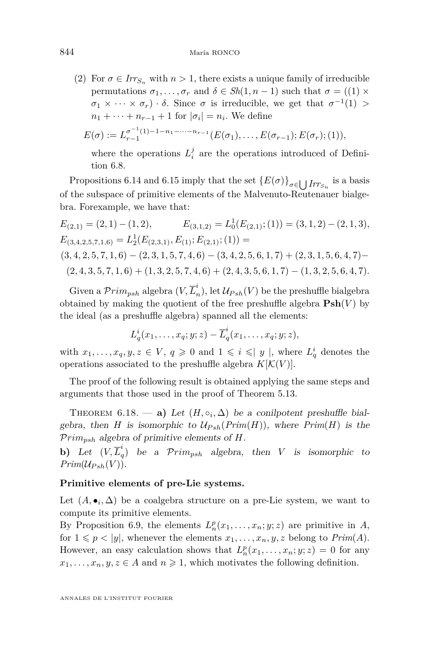(2) For  $\sigma \in \text{Irr}_{S_n}$  with  $n > 1$ , there exists a unique family of irreducible permutations  $\sigma_1, \ldots, \sigma_r$  and  $\delta \in Sh(1, n-1)$  such that  $\sigma = ((1) \times$  $\sigma_1 \times \cdots \times \sigma_r$ ) · *δ*. Since  $\sigma$  is irreducible, we get that  $\sigma^{-1}(1)$  >  $n_1 + \cdots + n_{r-1} + 1$  for  $|\sigma_i| = n_i$ . We define

$$
E(\sigma) := L_{r-1}^{\sigma^{-1}(1)-1-n_1-\cdots-n_{r-1}}(E(\sigma_1),\ldots,E(\sigma_{r-1});E(\sigma_r);(1)),
$$

where the operations  $L_i^j$  are the operations introduced of Definition [6.8.](#page-39-0)

Propositions [6.14](#page-43-0) and [6.15](#page-44-0) imply that the set  ${E(\sigma)}_{\sigma \in \bigcup Irr_{S_n}}$  is a basis of the subspace of primitive elements of the Malvenuto-Reutenauer bialgebra. Forexample, we have that:

$$
E_{(2,1)} = (2,1) - (1,2), \qquad E_{(3,1,2)} = L_0^1(E_{(2,1)}; (1)) = (3,1,2) - (2,1,3),
$$
  
\n
$$
E_{(3,4,2,5,7,1,6)} = L_2^1(E_{(2,3,1)}, E_{(1)}; E_{(2,1)}; (1)) =
$$
  
\n
$$
(3,4,2,5,7,1,6) - (2,3,1,5,7,4,6) - (3,4,2,5,6,1,7) + (2,3,1,5,6,4,7) -
$$
  
\n
$$
(2,4,3,5,7,1,6) + (1,3,2,5,7,4,6) + (2,4,3,5,6,1,7) - (1,3,2,5,6,4,7).
$$

Given a  $\mathcal{P}rim_{psh}$  algebra  $(V, \overline{L}_r^i)$  $n(n)$ , let  $\mathcal{U}_{Psh}(V)$  be the preshuffle bialgebra obtained by making the quotient of the free preshuffle algebra  $\text{Psh}(V)$  by the ideal (as a preshuffle algebra) spanned all the elements:

$$
L_q^i(x_1,\ldots,x_q;y;z)-\overline{L}_q^i(x_1,\ldots,x_q;y;z),
$$

with  $x_1, \ldots, x_q, y, z \in V$ ,  $q \geq 0$  and  $1 \leq i \leq |y|$ , where  $L_q^i$  denotes the operations associated to the preshuffle algebra  $K[\mathcal{K}(V)]$ .

The proof of the following result is obtained applying the same steps and arguments that those used in the proof of Theorem [5.13.](#page-30-0)

THEOREM 6.18. — **a**) Let  $(H, \circ_i, \Delta)$  be a conilpotent preshuffle bialgebra, then *H* is isomorphic to  $\mathcal{U}_{Psh}(Prim(H))$ , where  $Prim(H)$  is the P*rimpsh* algebra of primitive elements of *H*.

**b**) Let  $(V, \overline{L}_a^i)$ *q* ) be a P*rimpsh* algebra, then *V* is isomorphic to  $Prim(\mathcal{U}_{Psh}(V)).$ 

#### **Primitive elements of pre-Lie systems.**

Let  $(A, \bullet_i, \Delta)$  be a coalgebra structure on a pre-Lie system, we want to compute its primitive elements.

By Proposition [6.9,](#page-40-0) the elements  $L_n^p(x_1, \ldots, x_n; y; z)$  are primitive in *A*, for  $1 \leq p \leq |y|$ , whenever the elements  $x_1, \ldots, x_n, y, z$  belong to  $Prim(A)$ . However, an easy calculation shows that  $L_n^p(x_1, \ldots, x_n; y; z) = 0$  for any  $x_1, \ldots, x_n, y, z \in A$  and  $n \geq 1$ , which motivates the following definition.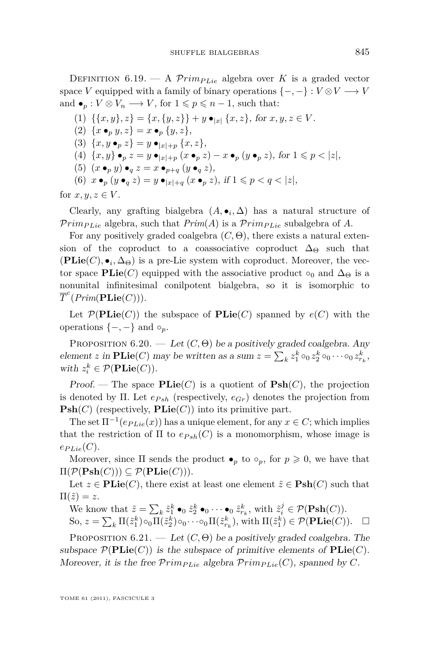<span id="page-47-0"></span>DEFINITION 6.19. — A  $\mathcal{P}rimp_{Lie}$  algebra over K is a graded vector space *V* equipped with a family of binary operations  $\{-, -\} : V \otimes V \longrightarrow V$ and  $\bullet_p : V \otimes V_n \longrightarrow V$ , for  $1 \leqslant p \leqslant n-1$ , such that:

(1) 
$$
\{\{x, y\}, z\} = \{x, \{y, z\}\} + y \bullet_{|x|} \{x, z\}, \text{ for } x, y, z \in V.
$$
  
\n(2) 
$$
\{x \bullet_p y, z\} = x \bullet_p \{y, z\},
$$
  
\n(3) 
$$
\{x, y \bullet_p z\} = y \bullet_{|x|+p} \{x, z\},
$$
  
\n(4) 
$$
\{x, y\} \bullet_p z = y \bullet_{|x|+p} (x \bullet_p z) - x \bullet_p (y \bullet_p z), \text{ for } 1 \leq p < |z|,
$$
  
\n(5) 
$$
(x \bullet_p y) \bullet_q z = x \bullet_{p+q} (y \bullet_q z),
$$
  
\n(6) 
$$
x \bullet_p (y \bullet_q z) = y \bullet_{|x|+q} (x \bullet_p z), \text{ if } 1 \leq p < q < |z|,
$$

for  $x, y, z \in V$ .

Clearly, any grafting bialgebra  $(A, \bullet_i, \Delta)$  has a natural structure of  $Prim_{PLie}$  algebra, such that  $Prim(A)$  is a  $Prim_{PLie}$  subalgebra of *A*.

For any positively graded coalgebra  $(C, \Theta)$ , there exists a natural extension of the coproduct to a coassociative coproduct  $\Delta_{\Theta}$  such that  $(PLie(C), \bullet_i, \Delta_{\Theta})$  is a pre-Lie system with coproduct. Moreover, the vector space **PLie**(*C*) equipped with the associative product  $\circ_0$  and  $\Delta_{\Theta}$  is a nonunital infinitesimal conilpotent bialgebra, so it is isomorphic to  $\overline{T}^c$  (*Prim*( $P\text{Lie}(C)$ )).

Let  $\mathcal{P}(\mathbf{PLie}(C))$  the subspace of  $\mathbf{PLie}(C)$  spanned by  $e(C)$  with the operations  $\{-,-\}$  and  $\circ_n$ .

PROPOSITION  $6.20.$  — Let  $(C, \Theta)$  be a positively graded coalgebra. Any element *z* in  $\textbf{PLie}(C)$  may be written as a sum  $z = \sum_k z_1^k \circ_0 z_2^k \circ_0 \cdots \circ_0 z_{r_k}^k$ , with  $z_i^k \in \mathcal{P}(\mathbf{PLie}(C)).$ 

Proof. — The space  $\textbf{PLie}(C)$  is a quotient of  $\textbf{Psh}(C)$ , the projection is denoted by Π. Let  $e_{Psh}$  (respectively,  $e_{Gr}$ ) denotes the projection from  $\text{Psh}(C)$  (respectively,  $\text{PLie}(C)$ ) into its primitive part.

The set  $\Pi^{-1}(e_{PLie}(x))$  has a unique element, for any  $x \in C$ ; which implies that the restriction of  $\Pi$  to  $e_{Psh}(C)$  is a monomorphism, whose image is  $e_{PLie}(C)$ .

Moreover, since  $\Pi$  sends the product  $\bullet_p$  to  $\circ_p$ , for  $p \geq 0$ , we have that  $\Pi(\mathcal{P}(\mathbf{Psh}(C))) \subseteq \mathcal{P}(\mathbf{PLie}(C))).$ 

Let  $z \in \mathbf{PLie}(C)$ , there exist at least one element  $\tilde{z} \in \mathbf{Psh}(C)$  such that  $\Pi(\tilde{z})=z.$ 

We know that  $\tilde{z} = \sum_{k} \tilde{z}_{1}^{k} \bullet_{0} \tilde{z}_{2}^{k} \bullet_{0} \cdots \bullet_{0} \tilde{z}_{r_{k}}^{k}$ , with  $\tilde{z}_{i}^{j} \in \mathcal{P}(\mathbf{Psh}(C)).$  $\text{So, } z = \sum_k \Pi(\tilde{z}_1^k) \circ_0 \Pi(\tilde{z}_2^k) \circ_0 \cdots \circ_0 \Pi(\tilde{z}_{r_k}^k), \text{ with } \Pi(\tilde{z}_1^k) \in \mathcal{P}(\mathbf{PLie}(C)). \quad \Box$ 

PROPOSITION  $6.21.$  — Let  $(C, \Theta)$  be a positively graded coalgebra. The subspace  $\mathcal{P}(\mathbf{PLie}(C))$  is the subspace of primitive elements of  $\mathbf{PLie}(C)$ . Moreover, it is the free  $Prim_{PLie}$  algebra  $Prim_{PLie}(C)$ , spanned by C.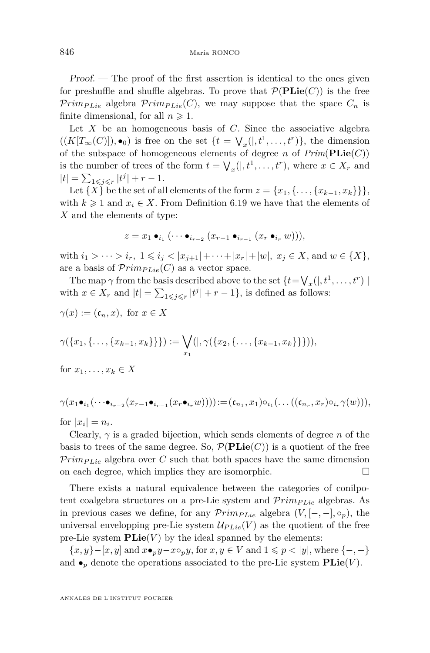Proof. — The proof of the first assertion is identical to the ones given for preshuffle and shuffle algebras. To prove that  $\mathcal{P}(\mathbf{PLie}(C))$  is the free *Prim<sub>PLie</sub>* algebra  $Prim_{PLie}(C)$ , we may suppose that the space  $C_n$  is finite dimensional, for all  $n \geq 1$ .

Let *X* be an homogeneous basis of *C*. Since the associative algebra  $((K[T_\infty(C)]), \bullet_0)$  is free on the set  $\{t = \bigvee_x(|, t^1, \ldots, t^r)\}$ , the dimension of the subspace of homogeneous elements of degree *n* of  $Prim(\mathbf{PLie}(C))$ is the number of trees of the form  $t = \bigvee_x(|, t^1, \ldots, t^r)$ , where  $x \in X_r$  and  $|t| = \sum_{1 \leq j \leq r} |t^j| + r - 1.$ 

Let  $\{X\}$  be the set of all elements of the form  $z = \{x_1, \{..., x_{k-1}, x_k\}\}\,$ with  $k \geq 1$  and  $x_i \in X$ . From Definition [6.19](#page-47-0) we have that the elements of *X* and the elements of type:

$$
z = x_1 \bullet_{i_1} (\cdots \bullet_{i_{r-2}} (x_{r-1} \bullet_{i_{r-1}} (x_r \bullet_{i_r} w))),
$$

with  $i_1 > \cdots > i_r$ ,  $1 \leq i_j < |x_{j+1}| + \cdots + |x_r| + |w|$ ,  $x_j \in X$ , and  $w \in \{X\}$ , are a basis of  $Prim_{PLie}(C)$  as a vector space.

The map  $\gamma$  from the basis described above to the set  $\{t = \bigvee_x(|, t^1, \ldots, t^r)|\}$ with  $x \in X_r$  and  $|t| = \sum_{1 \leq j \leq r} |t^j| + r - 1$ , is defined as follows:

$$
\gamma(x) := (\mathfrak{c}_n, x), \text{ for } x \in X
$$

$$
\gamma(\{x_1,\{\ldots,\{x_{k-1},x_k\}\}\}):=\bigvee_{x_1}(|,\gamma(\{x_2,\{\ldots,\{x_{k-1},x_k\}\}\})),
$$

for  $x_1, \ldots, x_k \in X$ 

$$
\gamma(x_1\bullet_{i_1}(\cdots\bullet_{i_{r-2}}(x_{r-1}\bullet_{i_{r-1}}(x_r\bullet_{i_r}w)))):= (\mathfrak{c}_{n_1},x_1)\circ_{i_1}(\ldots((\mathfrak{c}_{n_r},x_r)\circ_{i_r}\gamma(w))),
$$

for  $|x_i| = n_i$ .

Clearly, *γ* is a graded bijection, which sends elements of degree *n* of the basis to trees of the same degree. So,  $\mathcal{P}(\mathbf{PLie}(C))$  is a quotient of the free  $Prim_{\text{Pic}}$  algebra over C such that both spaces have the same dimension on each degree, which implies they are isomorphic.

There exists a natural equivalence between the categories of conilpotent coalgebra structures on a pre-Lie system and  $Prim_{PLie}$  algebras. As in previous cases we define, for any  $\mathcal{P}rim_{PLie}$  algebra  $(V, [-, -], \circ_p)$ , the universal envelopping pre-Lie system  $\mathcal{U}_{PLie}(V)$  as the quotient of the free pre-Lie system  $\mathbf{Plie}(V)$  by the ideal spanned by the elements:

{ $x, y$ }−[ $x, y$ ] and  $x \bullet_p y - x \circ_p y$ , for  $x, y \in V$  and  $1 \leq p \leq |y|$ , where {-, -} and  $\bullet_p$  denote the operations associated to the pre-Lie system  $\mathbf{PLie}(V)$ .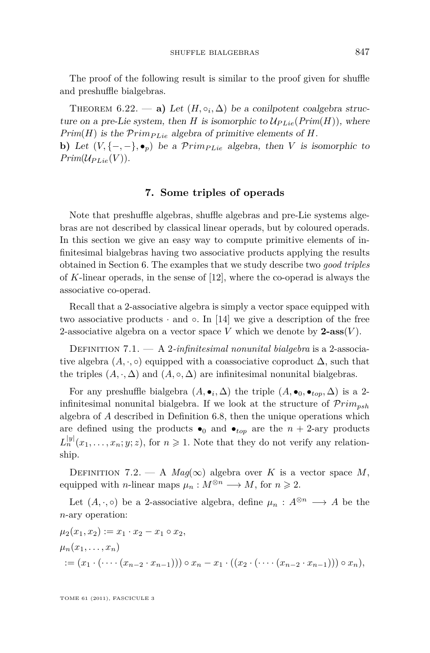The proof of the following result is similar to the proof given for shuffle and preshuffle bialgebras.

THEOREM 6.22. — **a**) Let  $(H, o_i, \Delta)$  be a conilpotent coalgebra structure on a pre-Lie system, then *H* is isomorphic to  $U_{PLie}(Prim(H))$ , where *Prim*(*H*) is the  $Prim_{Lie}$  algebra of primitive elements of *H*. **b)** Let  $(V, \{-,-\}, \bullet_p)$  be a Prim<sub>PLie</sub> algebra, then *V* is isomorphic to  $Prim(\mathcal{U}_{PLie}(V)).$ 

#### **7. Some triples of operads**

Note that preshuffle algebras, shuffle algebras and pre-Lie systems algebras are not described by classical linear operads, but by coloured operads. In this section we give an easy way to compute primitive elements of infinitesimal bialgebras having two associative products applying the results obtained in Section 6. The examples that we study describe two *good triples* of *K*-linear operads, in the sense of [\[12\]](#page-52-0), where the co-operad is always the associative co-operad.

Recall that a 2-associative algebra is simply a vector space equipped with two associative products  $\cdot$  and  $\circ$ . In [\[14\]](#page-52-0) we give a description of the free 2-associative algebra on a vector space *V* which we denote by  $2\text{-}ass(V)$ .

Definition 7.1. — A 2*-infinitesimal nonunital bialgebra* is a 2-associative algebra  $(A, \cdot, \circ)$  equipped with a coassociative coproduct  $\Delta$ , such that the triples  $(A, \cdot, \Delta)$  and  $(A, \circ, \Delta)$  are infinitesimal nonunital bialgebras.

For any preshuffle bialgebra  $(A, \bullet_i, \Delta)$  the triple  $(A, \bullet_0, \bullet_{top}, \Delta)$  is a 2infinitesimal nonunital bialgebra. If we look at the structure of P*rimpsh* algebra of *A* described in Definition [6.8,](#page-39-0) then the unique operations which are defined using the products  $\bullet_0$  and  $\bullet_{top}$  are the  $n+2$ -ary products  $L_n^{|y|}(x_1,\ldots,x_n;y;z)$ , for  $n \geq 1$ . Note that they do not verify any relationship.

DEFINITION 7.2. — A  $Mag(\infty)$  algebra over K is a vector space M, equipped with *n*-linear maps  $\mu_n : M^{\otimes n} \longrightarrow M$ , for  $n \geq 2$ .

Let  $(A, \cdot, \circ)$  be a 2-associative algebra, define  $\mu_n : A^{\otimes n} \longrightarrow A$  be the *n*-ary operation:

$$
\mu_2(x_1, x_2) := x_1 \cdot x_2 - x_1 \circ x_2, \n\mu_n(x_1, \ldots, x_n) \n:= (x_1 \cdot (\cdots (x_{n-2} \cdot x_{n-1}))) \circ x_n - x_1 \cdot ((x_2 \cdot (\cdots (x_{n-2} \cdot x_{n-1}))) \circ x_n),
$$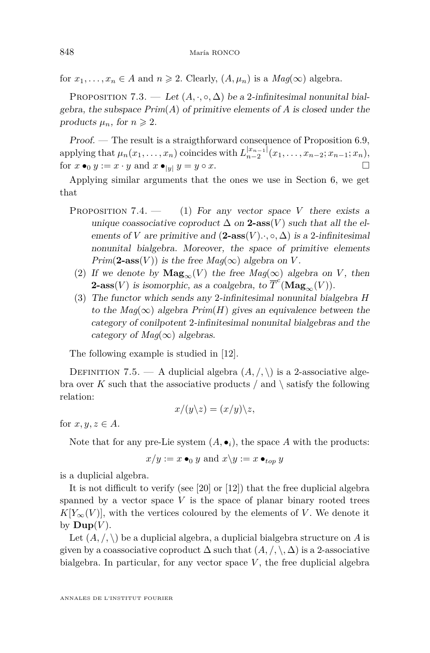for  $x_1, \ldots, x_n \in A$  and  $n \ge 2$ . Clearly,  $(A, \mu_n)$  is a  $Mag(\infty)$  algebra.

PROPOSITION 7.3. — Let  $(A, \cdot, \circ, \Delta)$  be a 2-infinitesimal nonunital bialgebra, the subspace *Prim*(*A*) of primitive elements of *A* is closed under the products  $\mu_n$ , for  $n \geq 2$ .

Proof. — The result is a straigthforward consequence of Proposition [6.9,](#page-40-0) applying that  $\mu_n(x_1,\ldots,x_n)$  coincides with  $L_{n-2}^{|x_{n-1}|}(x_1,\ldots,x_{n-2};x_{n-1};x_n)$ , for  $x \bullet_0 y := x \cdot y$  and  $x \bullet_{|y|} y = y \circ x$ .

Applying similar arguments that the ones we use in Section 6, we get that

- PROPOSITION 7.4.  $-$  (1) For any vector space *V* there exists a unique coassociative coproduct  $\Delta$  on **2-ass**(*V*) such that all the elements of *V* are primitive and  $(2\text{-}ass(V) \cdot \cdot, \circ, \Delta)$  is a 2-infinitesimal nonunital bialgebra. Moreover, the space of primitive elements *Prim*(2-ass(*V*)) is the free  $Mag(\infty)$  algebra on *V*.
	- (2) If we denote by  $\mathbf{Mag}_{\infty}(V)$  the free  $Mag(\infty)$  algebra on *V*, then **2-ass**(*V*) is isomorphic, as a coalgebra, to  $\overline{T}^c(\mathbf{Mag}_{\infty}(V))$ .
	- (3) The functor which sends any 2-infinitesimal nonunital bialgebra *H* to the  $Mag(\infty)$  algebra  $Prim(H)$  gives an equivalence between the category of conilpotent 2-infinitesimal nonunital bialgebras and the category of  $Mag(\infty)$  algebras.

The following example is studied in [\[12\]](#page-52-0).

DEFINITION 7.5. — A duplicial algebra  $(A, \langle, \rangle)$  is a 2-associative algebra over  $K$  such that the associative products  $\ell$  and  $\setminus$  satisfy the following relation:

$$
x/(y\backslash z) = (x/y)\backslash z,
$$

for  $x, y, z \in A$ .

Note that for any pre-Lie system  $(A, \bullet_i)$ , the space A with the products:

$$
x/y := x \bullet_0 y
$$
 and  $x \setminus y := x \bullet_{top} y$ 

is a duplicial algebra.

It is not difficult to verify (see [\[20\]](#page-52-0) or [\[12\]](#page-52-0)) that the free duplicial algebra spanned by a vector space  $V$  is the space of planar binary rooted trees  $K[Y_{\infty}(V)]$ , with the vertices coloured by the elements of *V*. We denote it by  $\mathbf{Dup}(V)$ .

Let  $(A, \langle, \rangle)$  be a duplicial algebra, a duplicial bialgebra structure on A is given by a coassociative coproduct  $\Delta$  such that  $(A, \langle, \rangle, \Delta)$  is a 2-associative bialgebra. In particular, for any vector space  $V$ , the free duplicial algebra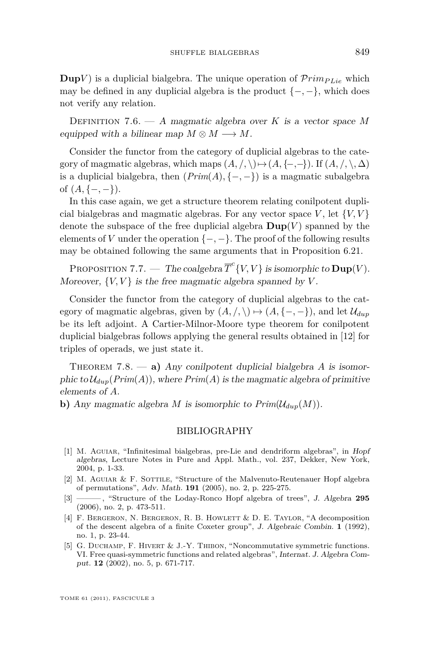<span id="page-51-0"></span>**Dup***V*) is a duplicial bialgebra. The unique operation of  $\mathcal{P}rim_{PLie}$  which may be defined in any duplicial algebra is the product  $\{-,-\}$ , which does not verify any relation.

Definition 7.6. — A magmatic algebra over *K* is a vector space *M* equipped with a bilinear map  $M \otimes M \longrightarrow M$ .

Consider the functor from the category of duplicial algebras to the category of magmatic algebras, which maps  $(A, \langle, \rangle) \mapsto (A, \{-, -\})$ . If  $(A, \langle, \rangle, \Delta)$ is a duplicial bialgebra, then  $(Prim(A), \{-, -\})$  is a magmatic subalgebra of  $(A, \{-,-\})$ .

In this case again, we get a structure theorem relating conilpotent duplicial bialgebras and magmatic algebras. For any vector space  $V$ , let  $\{V, V\}$ denote the subspace of the free duplicial algebra  $\text{Dup}(V)$  spanned by the elements of *V* under the operation  $\{-,-\}$ . The proof of the following results may be obtained following the same arguments that in Proposition [6.21.](#page-47-0)

PROPOSITION 7.7. — The coalgebra  $\overline{T}^c \{V, V\}$  is isomorphic to  $\textbf{Dup}(V)$ . Moreover,  $\{V, V\}$  is the free magmatic algebra spanned by  $V$ .

Consider the functor from the category of duplicial algebras to the category of magmatic algebras, given by  $(A, /, \mathcal{C}) \mapsto (A, \{-, -\})$ , and let  $\mathcal{U}_{dup}$ be its left adjoint. A Cartier-Milnor-Moore type theorem for conilpotent duplicial bialgebras follows applying the general results obtained in [\[12\]](#page-52-0) for triples of operads, we just state it.

THEOREM 7.8.  $\rightarrow$  **a**) Any conilpotent duplicial bialgebra A is isomorphic to  $\mathcal{U}_{dup}(Prim(A)),$  where  $Prim(A)$  is the magmatic algebra of primitive elements of *A*.

**b)** Any magmatic algebra *M* is isomorphic to  $Prim(\mathcal{U}_{dun}(M)).$ 

#### BIBLIOGRAPHY

- [1] M. AGUIAR, "Infinitesimal bialgebras, pre-Lie and dendriform algebras", in Hopf algebras, Lecture Notes in Pure and Appl. Math., vol. 237, Dekker, New York, 2004, p. 1-33.
- [2] M. Aguiar & F. Sottile, "Structure of the Malvenuto-Reutenauer Hopf algebra of permutations", Adv. Math. **191** (2005), no. 2, p. 225-275.
- [3] ——— , "Structure of the Loday-Ronco Hopf algebra of trees", J. Algebra **295** (2006), no. 2, p. 473-511.
- [4] F. Bergeron, N. Bergeron, R. B. Howlett & D. E. Taylor, "A decomposition of the descent algebra of a finite Coxeter group", J. Algebraic Combin. **1** (1992), no. 1, p. 23-44.
- [5] G. DUCHAMP, F. HIVERT & J.-Y. THIBON, "Noncommutative symmetric functions. VI. Free quasi-symmetric functions and related algebras", Internat. J. Algebra Comput. **12** (2002), no. 5, p. 671-717.